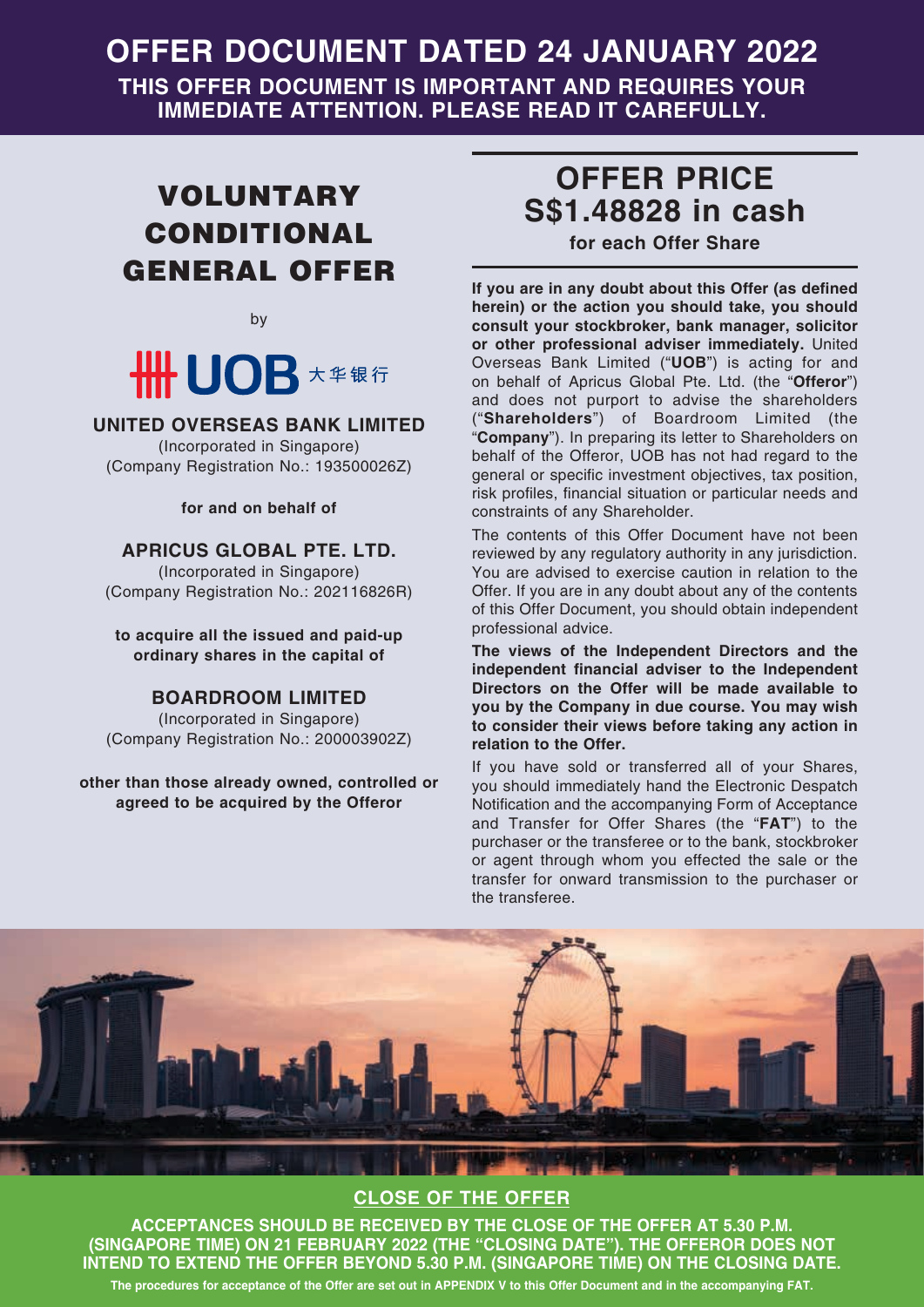# **OFFER DOCUMENT DATED 24 JANUARY 2022**

**THIS OFFER DOCUMENT IS IMPORTANT AND REQUIRES YOUR IMMEDIATE ATTENTION. PLEASE READ IT CAREFULLY.**

# VOLUNTARY CONDITIONAL GENERAL OFFER

by

# **\HH UOB** 大华银行

### **UNITED OVERSEAS BANK LIMITED**

(Incorporated in Singapore) (Company Registration No.: 193500026Z)

**for and on behalf of**

### **APRICUS GLOBAL PTE. LTD.**

(Incorporated in Singapore) (Company Registration No.: 202116826R)

**to acquire all the issued and paid-up ordinary shares in the capital of**

### **BOARDROOM LIMITED**

(Incorporated in Singapore) (Company Registration No.: 200003902Z)

**other than those already owned, controlled or agreed to be acquired by the Offeror**

# **OFFER PRICE S\$1.48828 in cash**

**for each Offer Share**

**If you are in any doubt about this Offer (as defined herein) or the action you should take, you should consult your stockbroker, bank manager, solicitor or other professional adviser immediately.** United Overseas Bank Limited ("**UOB**") is acting for and on behalf of Apricus Global Pte. Ltd. (the "**Offeror**") and does not purport to advise the shareholders ("**Shareholders**") of Boardroom Limited (the "**Company**"). In preparing its letter to Shareholders on behalf of the Offeror, UOB has not had regard to the general or specific investment objectives, tax position, risk profiles, financial situation or particular needs and constraints of any Shareholder.

The contents of this Offer Document have not been reviewed by any regulatory authority in any jurisdiction. You are advised to exercise caution in relation to the Offer. If you are in any doubt about any of the contents of this Offer Document, you should obtain independent professional advice.

**The views of the Independent Directors and the independent financial adviser to the Independent Directors on the Offer will be made available to you by the Company in due course. You may wish to consider their views before taking any action in relation to the Offer.**

If you have sold or transferred all of your Shares, you should immediately hand the Electronic Despatch Notification and the accompanying Form of Acceptance and Transfer for Offer Shares (the "**FAT**") to the purchaser or the transferee or to the bank, stockbroker or agent through whom you effected the sale or the transfer for onward transmission to the purchaser or the transferee.



# **CLOSE OF THE OFFER**

**ACCEPTANCES SHOULD BE RECEIVED BY THE CLOSE OF THE OFFER AT 5.30 P.M. (SINGAPORE TIME) ON 21 FEBRUARY 2022 (THE "CLOSING DATE"). THE OFFEROR DOES NOT INTEND TO EXTEND THE OFFER BEYOND 5.30 P.M. (SINGAPORE TIME) ON THE CLOSING DATE. The procedures for acceptance of the Offer are set out in APPENDIX V to this Offer Document and in the accompanying FAT.**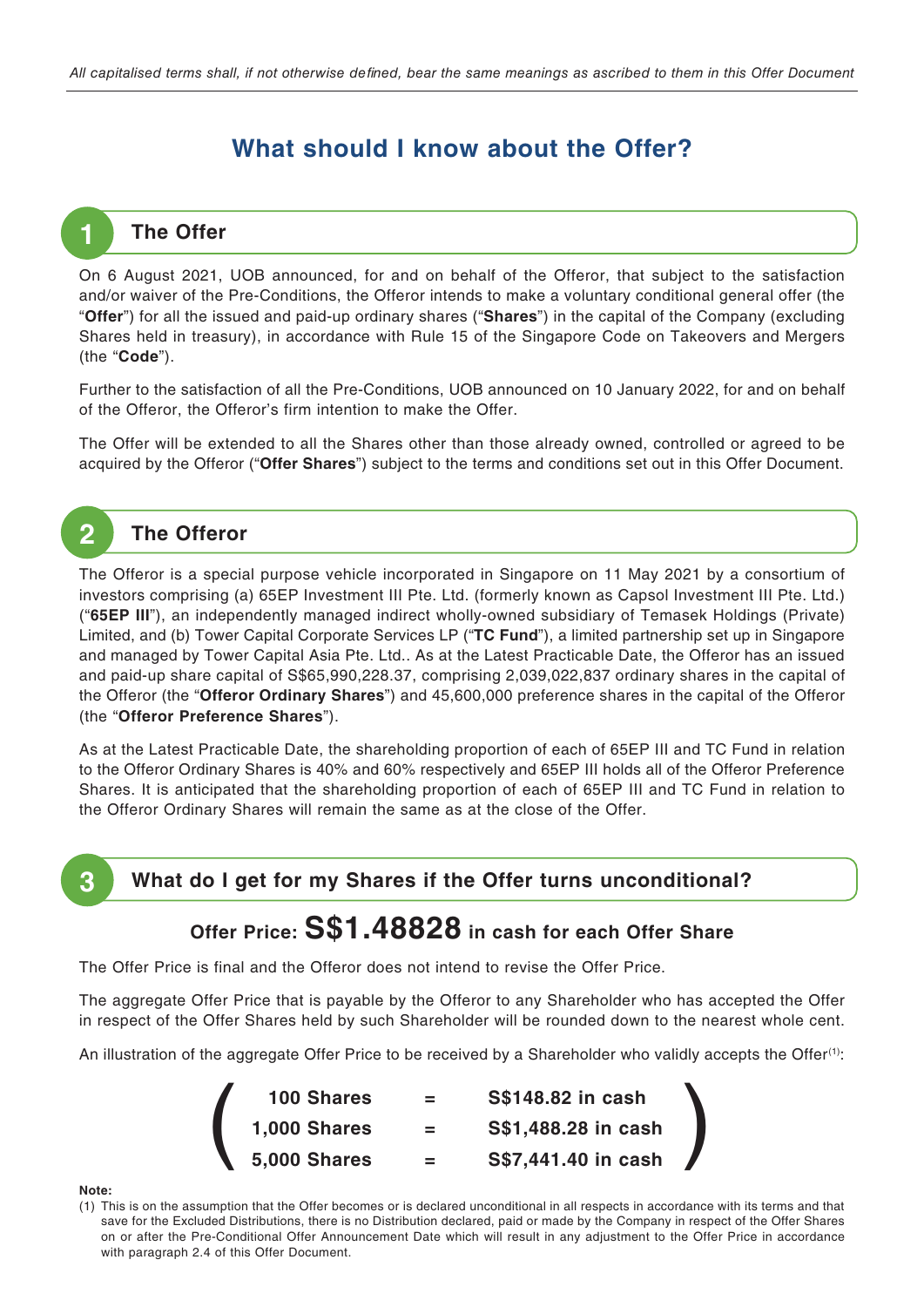# **What should I know about the Offer?**

## **The Offer**

**1**

On 6 August 2021, UOB announced, for and on behalf of the Offeror, that subject to the satisfaction and/or waiver of the Pre-Conditions, the Offeror intends to make a voluntary conditional general offer (the "**Offer**") for all the issued and paid-up ordinary shares ("**Shares**") in the capital of the Company (excluding Shares held in treasury), in accordance with Rule 15 of the Singapore Code on Takeovers and Mergers (the "**Code**").

Further to the satisfaction of all the Pre-Conditions, UOB announced on 10 January 2022, for and on behalf of the Offeror, the Offeror's firm intention to make the Offer.

The Offer will be extended to all the Shares other than those already owned, controlled or agreed to be acquired by the Offeror ("**Offer Shares**") subject to the terms and conditions set out in this Offer Document.

# **2 The Offeror**

The Offeror is a special purpose vehicle incorporated in Singapore on 11 May 2021 by a consortium of investors comprising (a) 65EP Investment III Pte. Ltd. (formerly known as Capsol Investment III Pte. Ltd.) ("**65EP III**"), an independently managed indirect wholly-owned subsidiary of Temasek Holdings (Private) Limited, and (b) Tower Capital Corporate Services LP ("**TC Fund**"), a limited partnership set up in Singapore and managed by Tower Capital Asia Pte. Ltd.. As at the Latest Practicable Date, the Offeror has an issued and paid-up share capital of S\$65,990,228.37, comprising 2,039,022,837 ordinary shares in the capital of the Offeror (the "**Offeror Ordinary Shares**") and 45,600,000 preference shares in the capital of the Offeror (the "**Offeror Preference Shares**").

As at the Latest Practicable Date, the shareholding proportion of each of 65EP III and TC Fund in relation to the Offeror Ordinary Shares is 40% and 60% respectively and 65EP III holds all of the Offeror Preference Shares. It is anticipated that the shareholding proportion of each of 65EP III and TC Fund in relation to the Offeror Ordinary Shares will remain the same as at the close of the Offer.



# **3 What do I get for my Shares if the Offer turns unconditional?**

# **Offer Price: S\$1.48828 in cash for each Offer Share**

The Offer Price is final and the Offeror does not intend to revise the Offer Price.

The aggregate Offer Price that is payable by the Offeror to any Shareholder who has accepted the Offer in respect of the Offer Shares held by such Shareholder will be rounded down to the nearest whole cent.

An illustration of the aggregate Offer Price to be received by a Shareholder who validly accepts the Offer<sup>(1)</sup>:

| <b>100 Shares</b>   | $=$                | S\$148.82 in cash   |  |
|---------------------|--------------------|---------------------|--|
| <b>1,000 Shares</b> | $=$ $\overline{ }$ | S\$1,488.28 in cash |  |
| <b>5,000 Shares</b> |                    | S\$7,441.40 in cash |  |

#### **Note:**

(1) This is on the assumption that the Offer becomes or is declared unconditional in all respects in accordance with its terms and that save for the Excluded Distributions, there is no Distribution declared, paid or made by the Company in respect of the Offer Shares on or after the Pre-Conditional Offer Announcement Date which will result in any adjustment to the Offer Price in accordance with paragraph 2.4 of this Offer Document.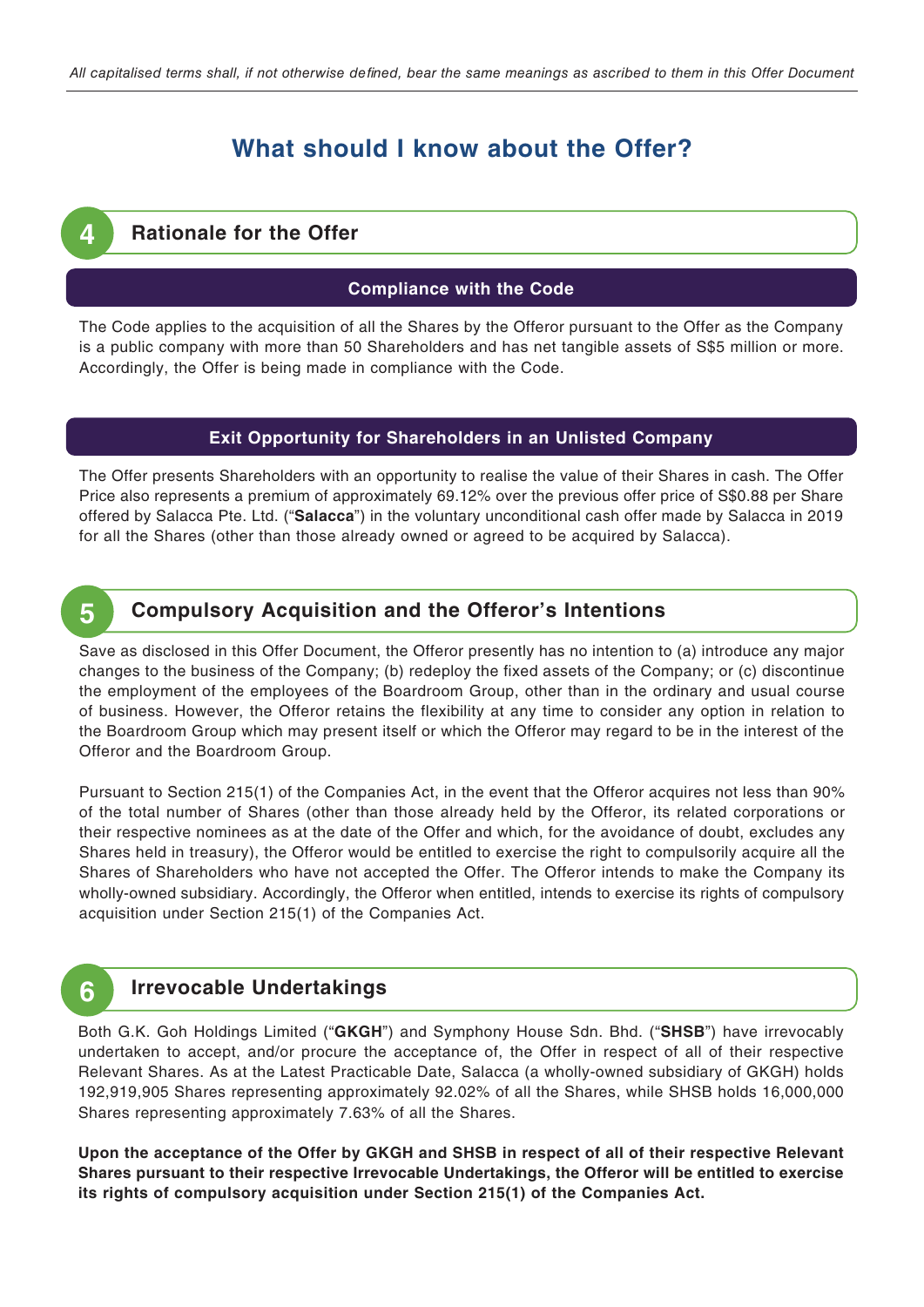# **What should I know about the Offer?**

### **Rationale for the Offer**

**4**

#### **Compliance with the Code**

The Code applies to the acquisition of all the Shares by the Offeror pursuant to the Offer as the Company is a public company with more than 50 Shareholders and has net tangible assets of S\$5 million or more. Accordingly, the Offer is being made in compliance with the Code.

#### **Exit Opportunity for Shareholders in an Unlisted Company**

The Offer presents Shareholders with an opportunity to realise the value of their Shares in cash. The Offer Price also represents a premium of approximately 69.12% over the previous offer price of S\$0.88 per Share offered by Salacca Pte. Ltd. ("**Salacca**") in the voluntary unconditional cash offer made by Salacca in 2019 for all the Shares (other than those already owned or agreed to be acquired by Salacca).

#### **Compulsory Acquisition and the Offeror's Intentions 5**

Save as disclosed in this Offer Document, the Offeror presently has no intention to (a) introduce any major changes to the business of the Company; (b) redeploy the fixed assets of the Company; or (c) discontinue the employment of the employees of the Boardroom Group, other than in the ordinary and usual course of business. However, the Offeror retains the flexibility at any time to consider any option in relation to the Boardroom Group which may present itself or which the Offeror may regard to be in the interest of the Offeror and the Boardroom Group.

Pursuant to Section 215(1) of the Companies Act, in the event that the Offeror acquires not less than 90% of the total number of Shares (other than those already held by the Offeror, its related corporations or their respective nominees as at the date of the Offer and which, for the avoidance of doubt, excludes any Shares held in treasury), the Offeror would be entitled to exercise the right to compulsorily acquire all the Shares of Shareholders who have not accepted the Offer. The Offeror intends to make the Company its wholly-owned subsidiary. Accordingly, the Offeror when entitled, intends to exercise its rights of compulsory acquisition under Section 215(1) of the Companies Act.

#### **Irrevocable Undertakings 6**

Both G.K. Goh Holdings Limited ("**GKGH**") and Symphony House Sdn. Bhd. ("**SHSB**") have irrevocably undertaken to accept, and/or procure the acceptance of, the Offer in respect of all of their respective Relevant Shares. As at the Latest Practicable Date, Salacca (a wholly-owned subsidiary of GKGH) holds 192,919,905 Shares representing approximately 92.02% of all the Shares, while SHSB holds 16,000,000 Shares representing approximately 7.63% of all the Shares.

**Upon the acceptance of the Offer by GKGH and SHSB in respect of all of their respective Relevant Shares pursuant to their respective Irrevocable Undertakings, the Offeror will be entitled to exercise its rights of compulsory acquisition under Section 215(1) of the Companies Act.**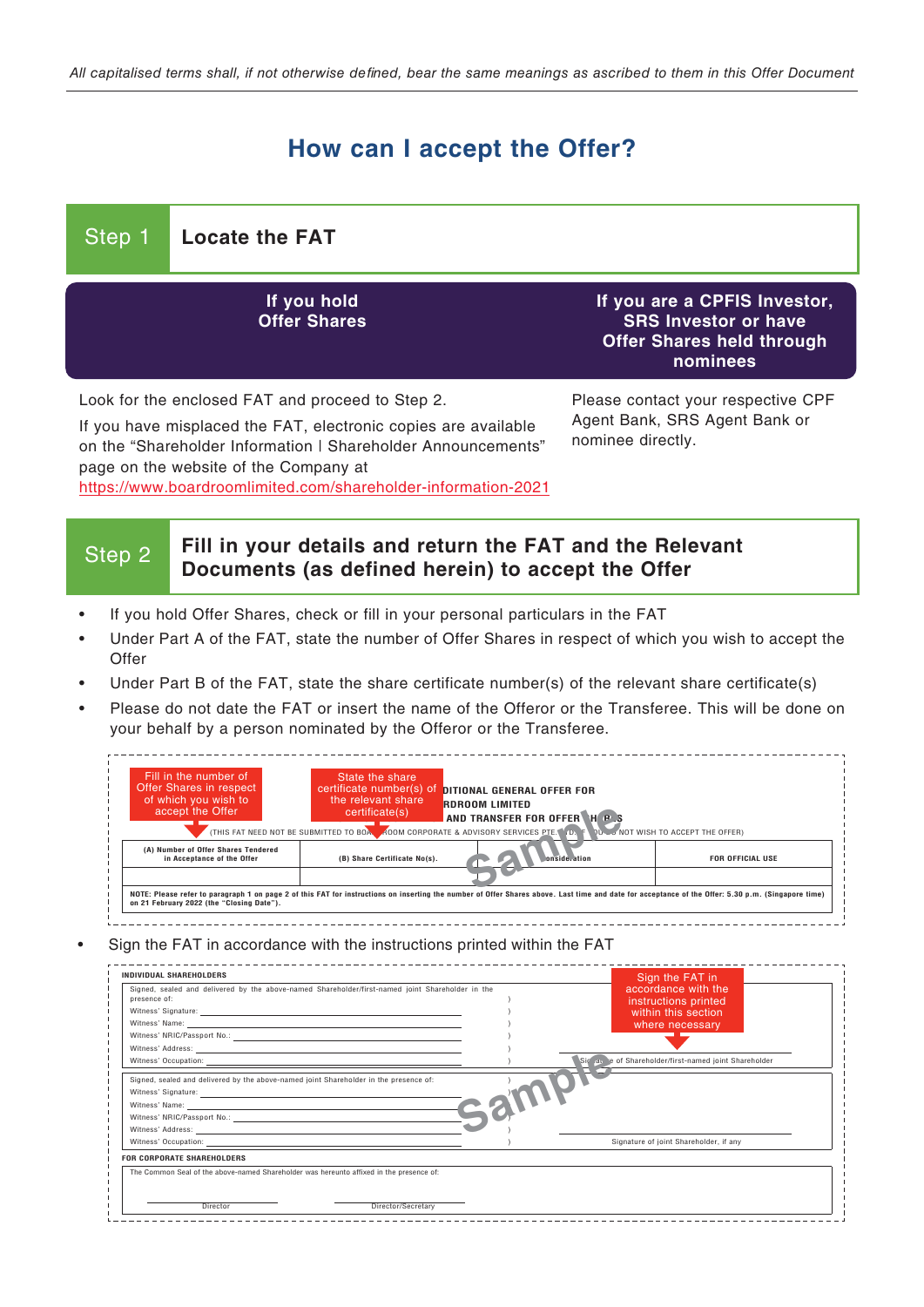# **How can I accept the Offer?**

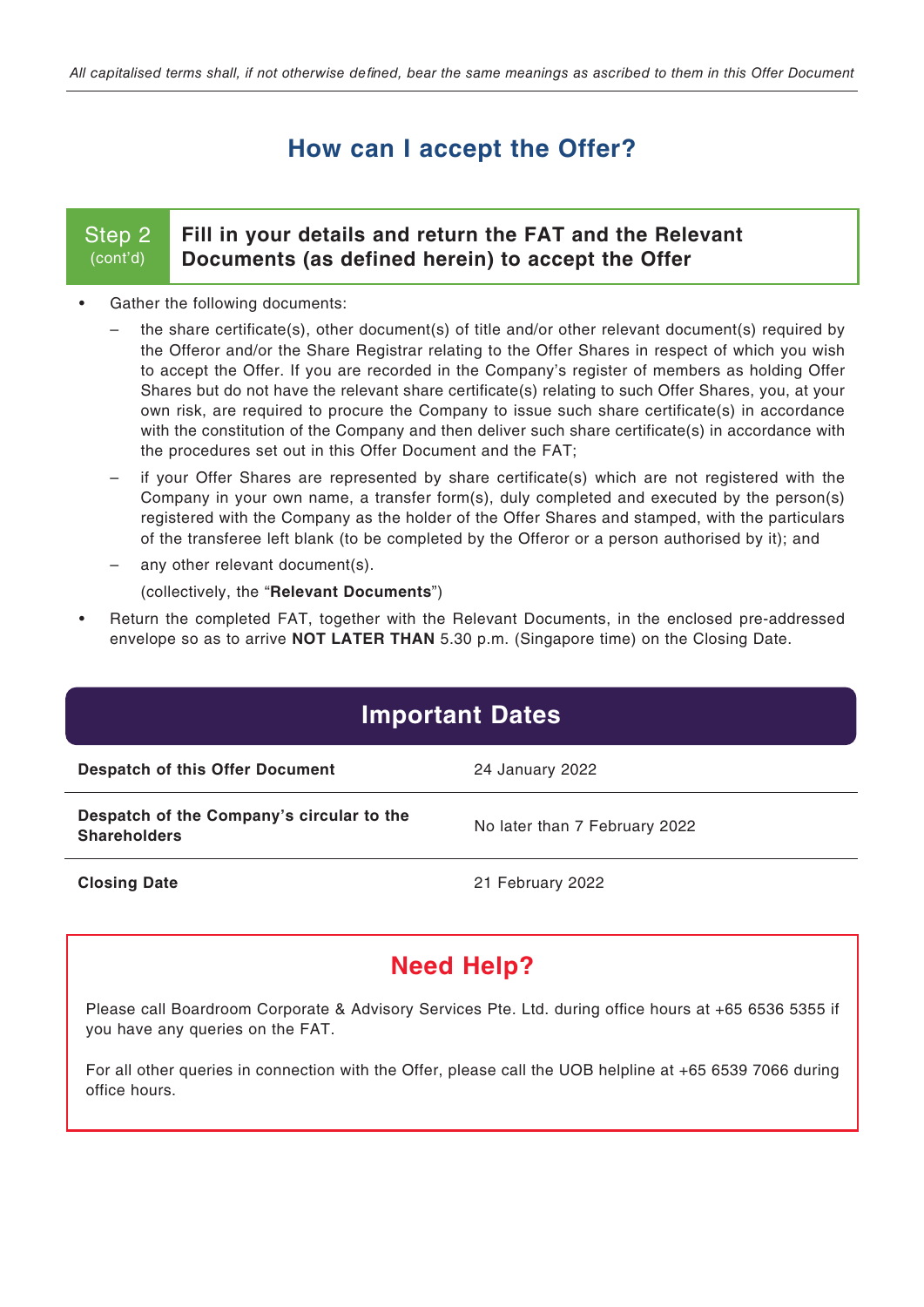# **How can I accept the Offer?**

### Step 2 (cont'd)

### **Fill in your details and return the FAT and the Relevant Documents (as defined herein) to accept the Offer**

- Gather the following documents:
	- the share certificate(s), other document(s) of title and/or other relevant document(s) required by the Offeror and/or the Share Registrar relating to the Offer Shares in respect of which you wish to accept the Offer. If you are recorded in the Company's register of members as holding Offer Shares but do not have the relevant share certificate(s) relating to such Offer Shares, you, at your own risk, are required to procure the Company to issue such share certificate(s) in accordance with the constitution of the Company and then deliver such share certificate(s) in accordance with the procedures set out in this Offer Document and the FAT;
	- if your Offer Shares are represented by share certificate(s) which are not registered with the Company in your own name, a transfer form(s), duly completed and executed by the person(s) registered with the Company as the holder of the Offer Shares and stamped, with the particulars of the transferee left blank (to be completed by the Offeror or a person authorised by it); and
	- any other relevant document(s).

(collectively, the "**Relevant Documents**")

• Return the completed FAT, together with the Relevant Documents, in the enclosed pre-addressed envelope so as to arrive **NOT LATER THAN** 5.30 p.m. (Singapore time) on the Closing Date.

| <b>Important Dates</b>                                           |                               |  |  |  |
|------------------------------------------------------------------|-------------------------------|--|--|--|
| <b>Despatch of this Offer Document</b>                           | 24 January 2022               |  |  |  |
| Despatch of the Company's circular to the<br><b>Shareholders</b> | No later than 7 February 2022 |  |  |  |
| <b>Closing Date</b>                                              | 21 February 2022              |  |  |  |

# **Need Help?**

Please call Boardroom Corporate & Advisory Services Pte. Ltd. during office hours at +65 6536 5355 if you have any queries on the FAT.

For all other queries in connection with the Offer, please call the UOB helpline at +65 6539 7066 during office hours.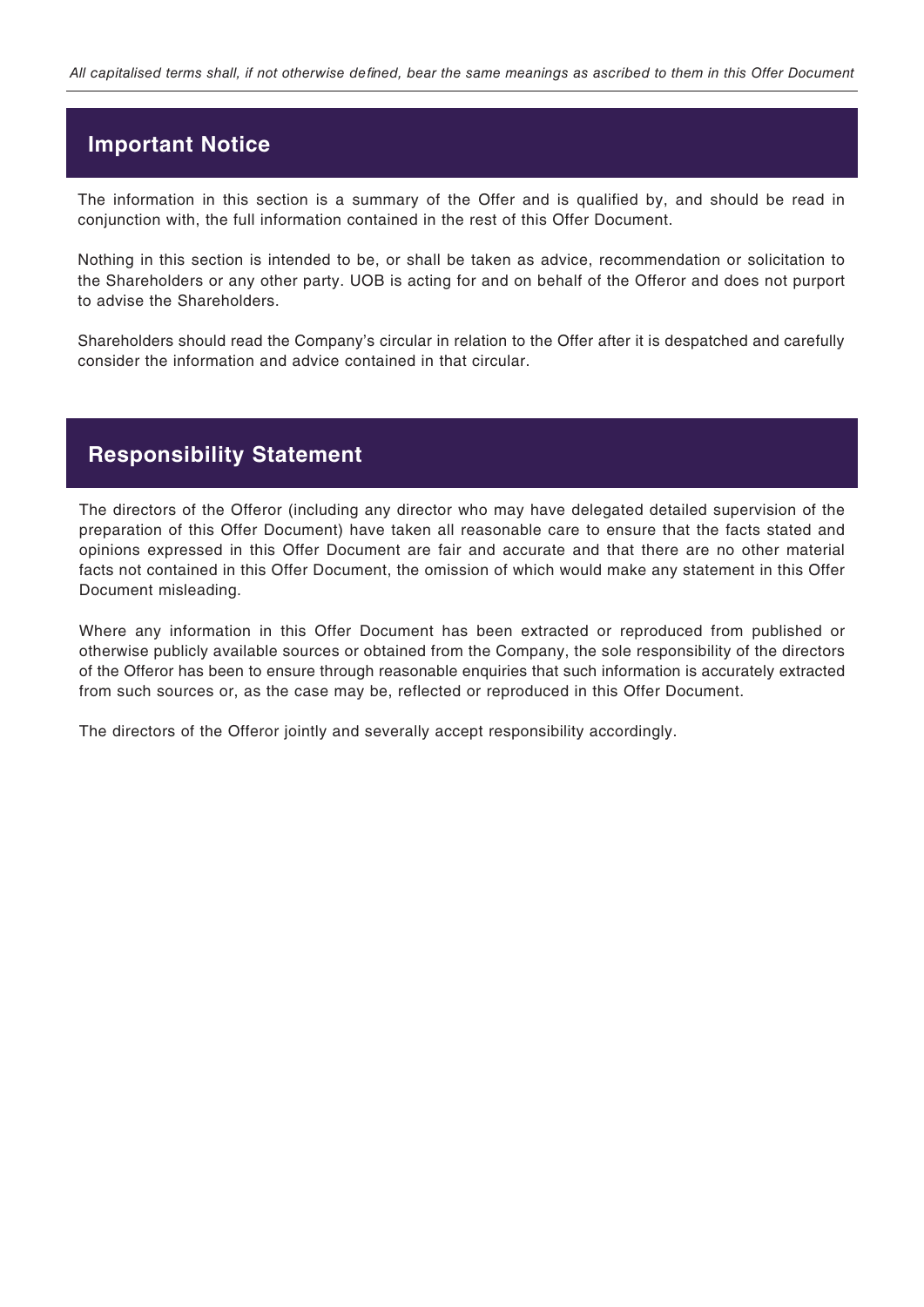## **Important Notice**

The information in this section is a summary of the Offer and is qualified by, and should be read in conjunction with, the full information contained in the rest of this Offer Document.

Nothing in this section is intended to be, or shall be taken as advice, recommendation or solicitation to the Shareholders or any other party. UOB is acting for and on behalf of the Offeror and does not purport to advise the Shareholders.

Shareholders should read the Company's circular in relation to the Offer after it is despatched and carefully consider the information and advice contained in that circular.

## **Responsibility Statement**

The directors of the Offeror (including any director who may have delegated detailed supervision of the preparation of this Offer Document) have taken all reasonable care to ensure that the facts stated and opinions expressed in this Offer Document are fair and accurate and that there are no other material facts not contained in this Offer Document, the omission of which would make any statement in this Offer Document misleading.

Where any information in this Offer Document has been extracted or reproduced from published or otherwise publicly available sources or obtained from the Company, the sole responsibility of the directors of the Offeror has been to ensure through reasonable enquiries that such information is accurately extracted from such sources or, as the case may be, reflected or reproduced in this Offer Document.

The directors of the Offeror jointly and severally accept responsibility accordingly.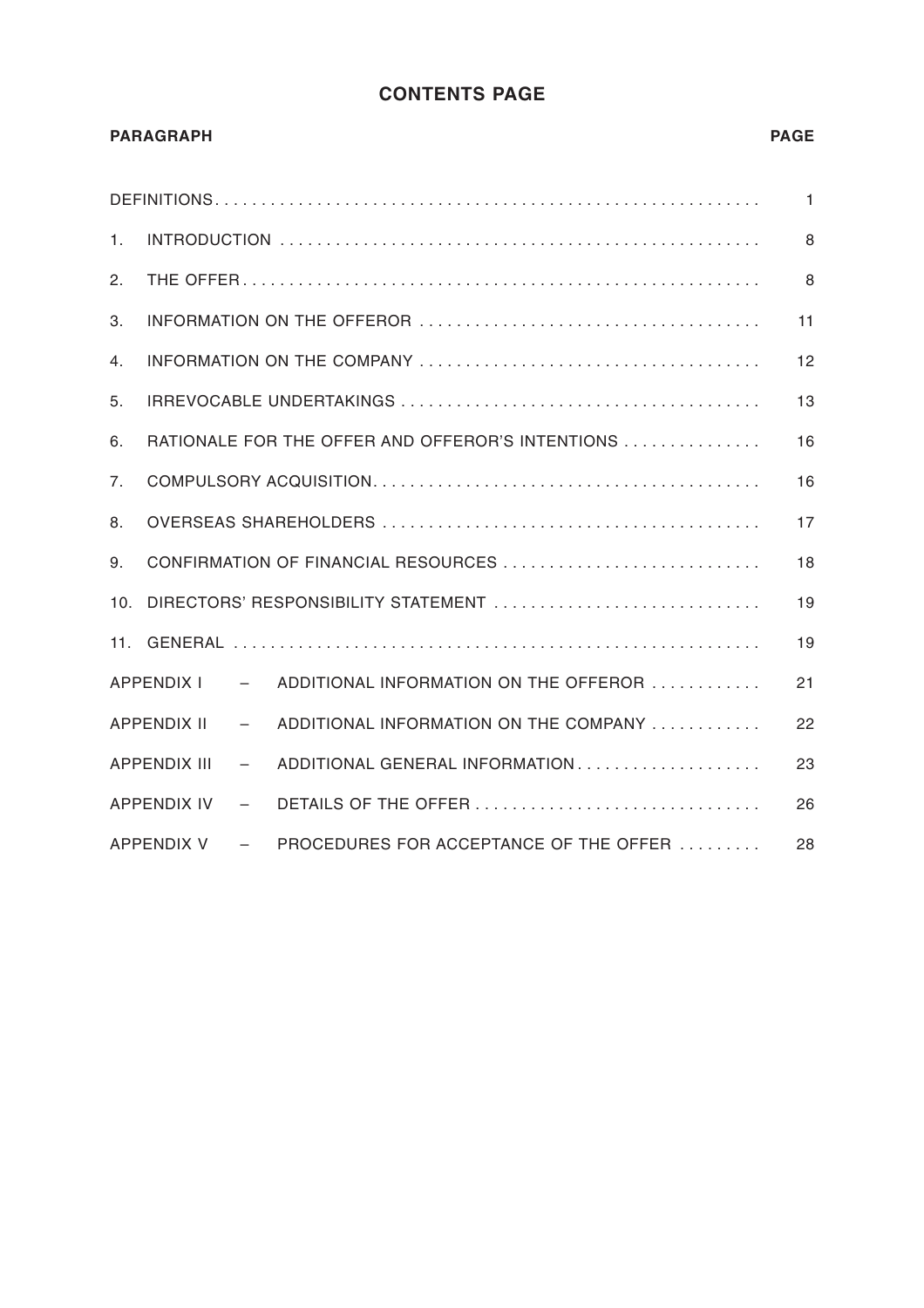## **CONTENTS PAGE**

|     | <b>PARAGRAPH</b>                                 |                                                                       | <b>PAGE</b>  |
|-----|--------------------------------------------------|-----------------------------------------------------------------------|--------------|
|     |                                                  |                                                                       | $\mathbf{1}$ |
| 1.  |                                                  |                                                                       | 8            |
| 2.  |                                                  |                                                                       | 8            |
| 3.  |                                                  |                                                                       | 11           |
| 4.  |                                                  |                                                                       | 12           |
| 5.  |                                                  |                                                                       | 13           |
| 6.  |                                                  | RATIONALE FOR THE OFFER AND OFFEROR'S INTENTIONS                      | 16           |
| 7.  |                                                  |                                                                       | 16           |
| 8.  |                                                  |                                                                       | 17           |
| 9.  |                                                  | CONFIRMATION OF FINANCIAL RESOURCES                                   | 18           |
| 10. |                                                  | DIRECTORS' RESPONSIBILITY STATEMENT                                   | 19           |
|     |                                                  |                                                                       | 19           |
|     |                                                  | APPENDIX I - ADDITIONAL INFORMATION ON THE OFFEROR                    | 21           |
|     | APPENDIX II<br><b>Contract Contract Contract</b> | ADDITIONAL INFORMATION ON THE COMPANY                                 | 22           |
|     | <b>APPENDIX III</b>                              | ADDITIONAL GENERAL INFORMATION<br>$  \sim$                            | 23           |
|     |                                                  |                                                                       | 26           |
|     |                                                  | APPENDIX $V =$ PROCEDURES FOR ACCEPTANCE OF THE OFFER $\ldots \ldots$ | 28           |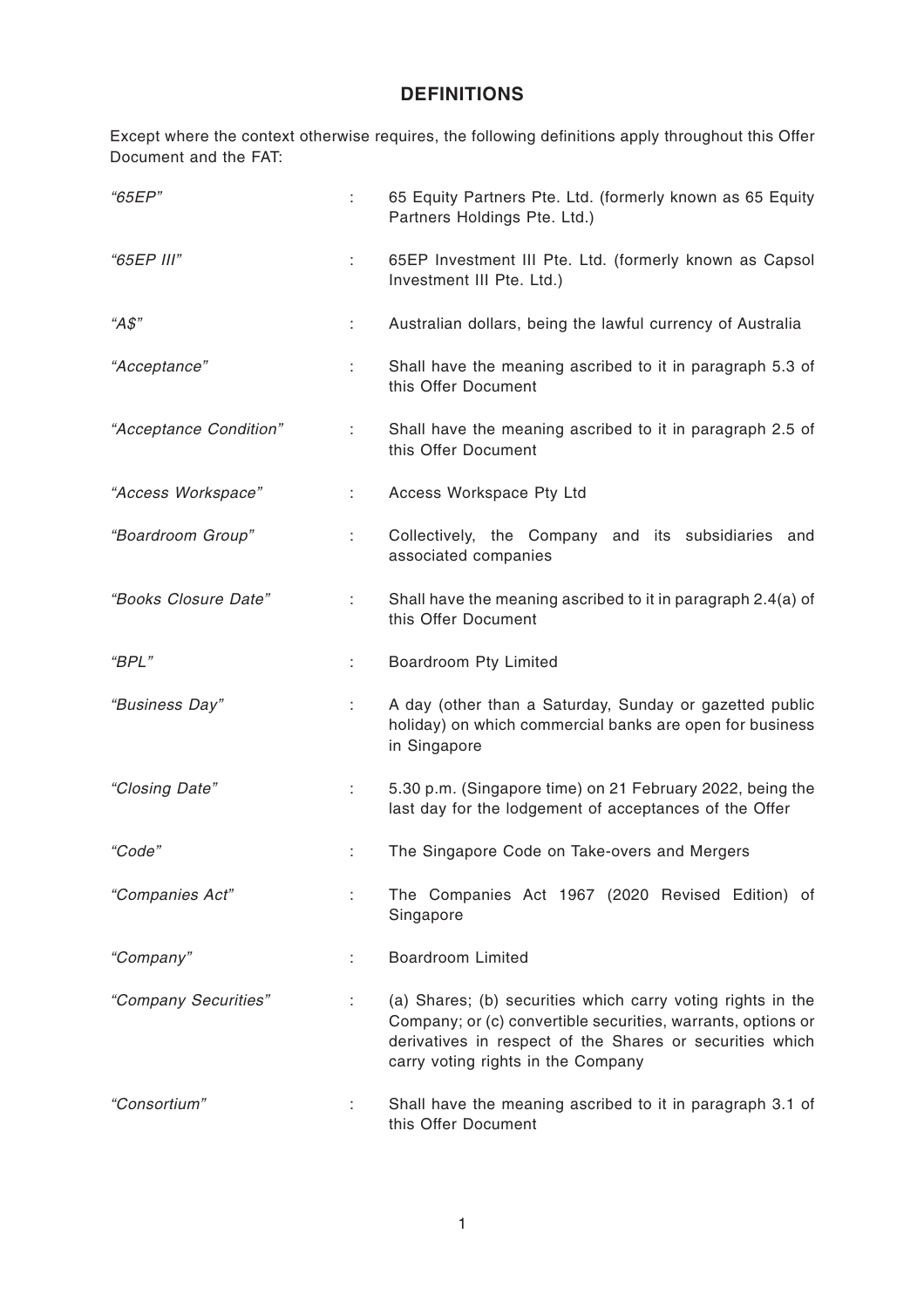# **DEFINITIONS**

Except where the context otherwise requires, the following definitions apply throughout this Offer Document and the FAT:

| "65EP"                 | ÷  | 65 Equity Partners Pte. Ltd. (formerly known as 65 Equity<br>Partners Holdings Pte. Ltd.)                                                                                                                                     |
|------------------------|----|-------------------------------------------------------------------------------------------------------------------------------------------------------------------------------------------------------------------------------|
| "65EP III"             | ÷  | 65EP Investment III Pte. Ltd. (formerly known as Capsol<br>Investment III Pte. Ltd.)                                                                                                                                          |
| " $A\$$ "              | ÷  | Australian dollars, being the lawful currency of Australia                                                                                                                                                                    |
| "Acceptance"           | ÷  | Shall have the meaning ascribed to it in paragraph 5.3 of<br>this Offer Document                                                                                                                                              |
| "Acceptance Condition" | t. | Shall have the meaning ascribed to it in paragraph 2.5 of<br>this Offer Document                                                                                                                                              |
| "Access Workspace"     | ÷. | Access Workspace Pty Ltd                                                                                                                                                                                                      |
| "Boardroom Group"      | ÷. | Collectively, the Company and its subsidiaries and<br>associated companies                                                                                                                                                    |
| "Books Closure Date"   | ÷. | Shall have the meaning ascribed to it in paragraph 2.4(a) of<br>this Offer Document                                                                                                                                           |
| "BPL"                  | ÷. | Boardroom Pty Limited                                                                                                                                                                                                         |
| "Business Day"         | ÷. | A day (other than a Saturday, Sunday or gazetted public<br>holiday) on which commercial banks are open for business<br>in Singapore                                                                                           |
| "Closing Date"         | ÷. | 5.30 p.m. (Singapore time) on 21 February 2022, being the<br>last day for the lodgement of acceptances of the Offer                                                                                                           |
| "Code"                 | ÷  | The Singapore Code on Take-overs and Mergers                                                                                                                                                                                  |
| "Companies Act"        |    | The Companies Act 1967 (2020 Revised Edition) of<br>Singapore                                                                                                                                                                 |
| "Company"              | ÷  | <b>Boardroom Limited</b>                                                                                                                                                                                                      |
| "Company Securities"   | ÷  | (a) Shares; (b) securities which carry voting rights in the<br>Company; or (c) convertible securities, warrants, options or<br>derivatives in respect of the Shares or securities which<br>carry voting rights in the Company |
| "Consortium"           | ÷  | Shall have the meaning ascribed to it in paragraph 3.1 of<br>this Offer Document                                                                                                                                              |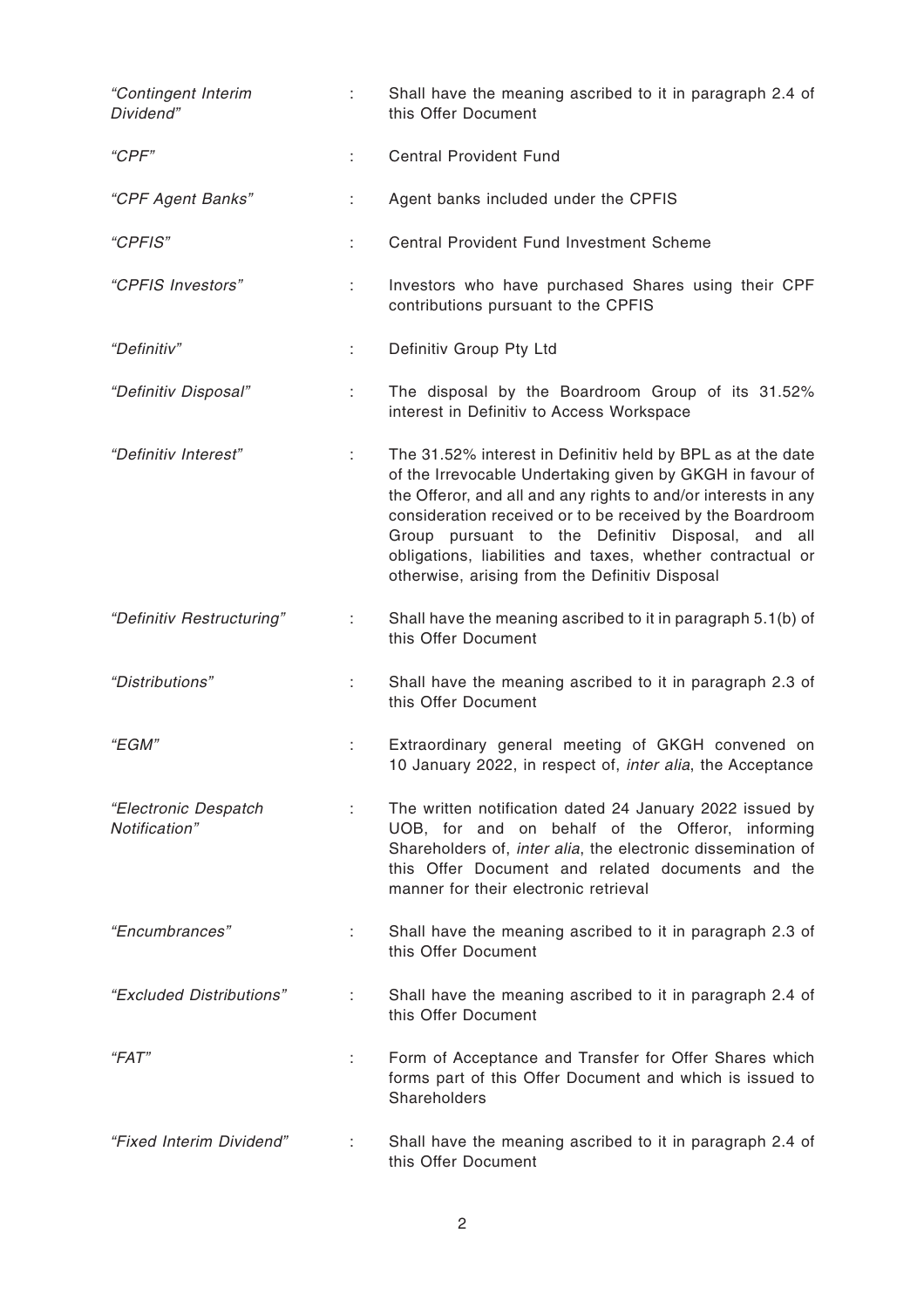| "Contingent Interim<br>Dividend"      | ÷. | Shall have the meaning ascribed to it in paragraph 2.4 of<br>this Offer Document                                                                                                                                                                                                                                                                                                                                             |
|---------------------------------------|----|------------------------------------------------------------------------------------------------------------------------------------------------------------------------------------------------------------------------------------------------------------------------------------------------------------------------------------------------------------------------------------------------------------------------------|
| "CPF"                                 | ÷. | <b>Central Provident Fund</b>                                                                                                                                                                                                                                                                                                                                                                                                |
| "CPF Agent Banks"                     | ÷  | Agent banks included under the CPFIS                                                                                                                                                                                                                                                                                                                                                                                         |
| "CPFIS"                               |    | Central Provident Fund Investment Scheme                                                                                                                                                                                                                                                                                                                                                                                     |
| "CPFIS Investors"                     |    | Investors who have purchased Shares using their CPF<br>contributions pursuant to the CPFIS                                                                                                                                                                                                                                                                                                                                   |
| "Definitiv"                           | ÷  | Definitiv Group Pty Ltd                                                                                                                                                                                                                                                                                                                                                                                                      |
| "Definitiv Disposal"                  | ÷  | The disposal by the Boardroom Group of its 31.52%<br>interest in Definitiv to Access Workspace                                                                                                                                                                                                                                                                                                                               |
| "Definitiv Interest"                  | ÷. | The 31.52% interest in Definitiv held by BPL as at the date<br>of the Irrevocable Undertaking given by GKGH in favour of<br>the Offeror, and all and any rights to and/or interests in any<br>consideration received or to be received by the Boardroom<br>Group pursuant to the Definitiv Disposal, and all<br>obligations, liabilities and taxes, whether contractual or<br>otherwise, arising from the Definitiv Disposal |
| "Definitiv Restructuring"             | ÷  | Shall have the meaning ascribed to it in paragraph 5.1(b) of<br>this Offer Document                                                                                                                                                                                                                                                                                                                                          |
| "Distributions"                       | t. | Shall have the meaning ascribed to it in paragraph 2.3 of<br>this Offer Document                                                                                                                                                                                                                                                                                                                                             |
| "EGM"                                 |    | Extraordinary general meeting of GKGH convened on<br>10 January 2022, in respect of, inter alia, the Acceptance                                                                                                                                                                                                                                                                                                              |
| "Electronic Despatch<br>Notification" |    | The written notification dated 24 January 2022 issued by<br>UOB, for and on behalf of the Offeror, informing<br>Shareholders of, inter alia, the electronic dissemination of<br>this Offer Document and related documents and the<br>manner for their electronic retrieval                                                                                                                                                   |
| "Encumbrances"                        | ÷  | Shall have the meaning ascribed to it in paragraph 2.3 of<br>this Offer Document                                                                                                                                                                                                                                                                                                                                             |
| "Excluded Distributions"              | ÷  | Shall have the meaning ascribed to it in paragraph 2.4 of<br>this Offer Document                                                                                                                                                                                                                                                                                                                                             |
| "FAT"                                 | ÷  | Form of Acceptance and Transfer for Offer Shares which<br>forms part of this Offer Document and which is issued to<br>Shareholders                                                                                                                                                                                                                                                                                           |
| "Fixed Interim Dividend"              |    | Shall have the meaning ascribed to it in paragraph 2.4 of<br>this Offer Document                                                                                                                                                                                                                                                                                                                                             |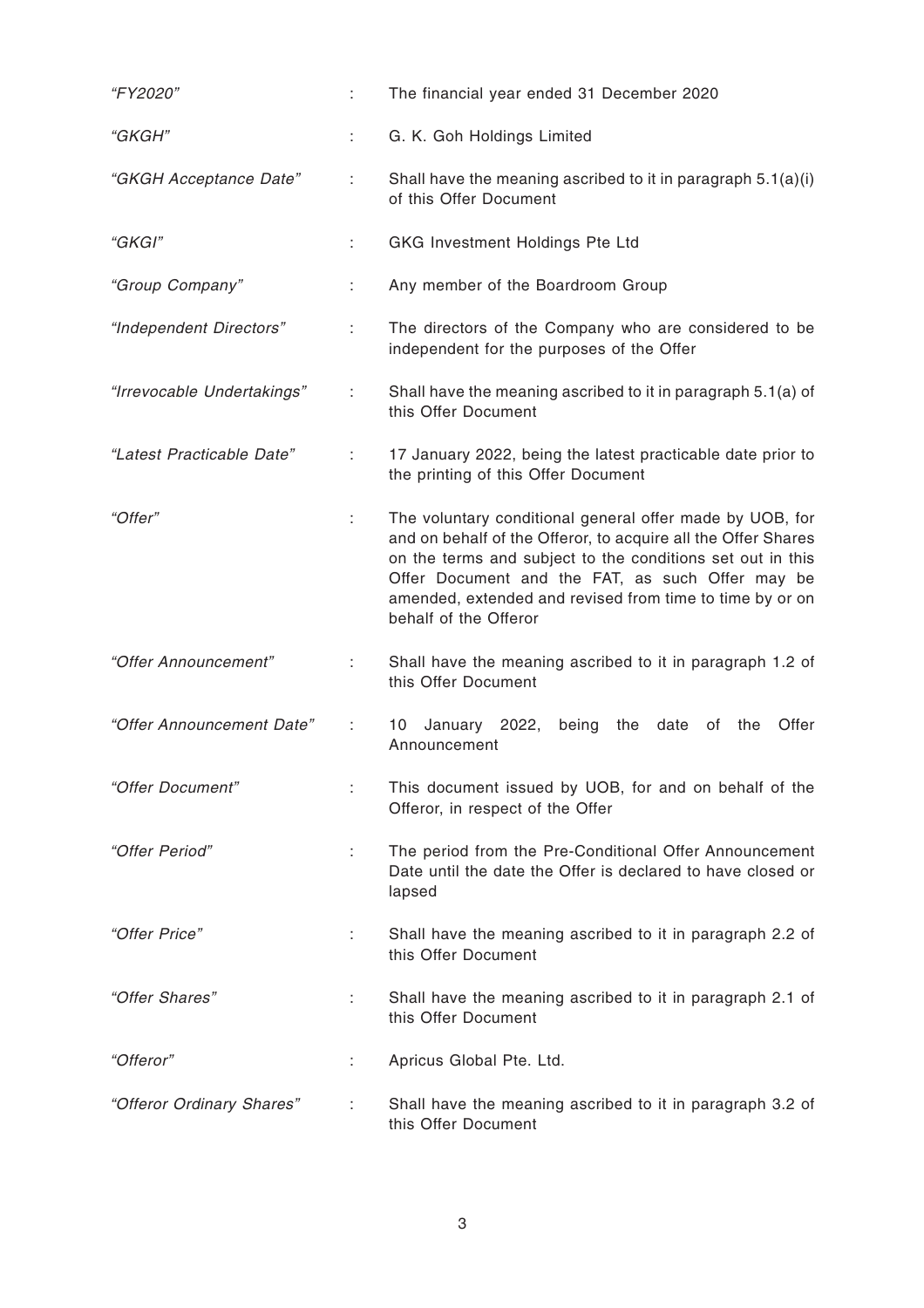| "FY2020"                   | ÷  | The financial year ended 31 December 2020                                                                                                                                                                                                                                                                                        |  |
|----------------------------|----|----------------------------------------------------------------------------------------------------------------------------------------------------------------------------------------------------------------------------------------------------------------------------------------------------------------------------------|--|
| "GKGH"                     | t. | G. K. Goh Holdings Limited                                                                                                                                                                                                                                                                                                       |  |
| "GKGH Acceptance Date"     | ÷  | Shall have the meaning ascribed to it in paragraph 5.1(a)(i)<br>of this Offer Document                                                                                                                                                                                                                                           |  |
| "GKGI"                     | ÷  | <b>GKG Investment Holdings Pte Ltd</b>                                                                                                                                                                                                                                                                                           |  |
| "Group Company"            | ÷  | Any member of the Boardroom Group                                                                                                                                                                                                                                                                                                |  |
| "Independent Directors"    | ÷  | The directors of the Company who are considered to be<br>independent for the purposes of the Offer                                                                                                                                                                                                                               |  |
| "Irrevocable Undertakings" | ÷  | Shall have the meaning ascribed to it in paragraph 5.1(a) of<br>this Offer Document                                                                                                                                                                                                                                              |  |
| "Latest Practicable Date"  | ÷  | 17 January 2022, being the latest practicable date prior to<br>the printing of this Offer Document                                                                                                                                                                                                                               |  |
| "Offer"                    |    | The voluntary conditional general offer made by UOB, for<br>and on behalf of the Offeror, to acquire all the Offer Shares<br>on the terms and subject to the conditions set out in this<br>Offer Document and the FAT, as such Offer may be<br>amended, extended and revised from time to time by or on<br>behalf of the Offeror |  |
| "Offer Announcement"       | ÷  | Shall have the meaning ascribed to it in paragraph 1.2 of<br>this Offer Document                                                                                                                                                                                                                                                 |  |
| "Offer Announcement Date"  |    | January 2022,<br>being<br>date<br>Offer<br>10<br>the<br>of<br>the<br>Announcement                                                                                                                                                                                                                                                |  |
| "Offer Document"           |    | This document issued by UOB, for and on behalf of the<br>Offeror, in respect of the Offer                                                                                                                                                                                                                                        |  |
| "Offer Period"             | t. | The period from the Pre-Conditional Offer Announcement<br>Date until the date the Offer is declared to have closed or<br>lapsed                                                                                                                                                                                                  |  |
| "Offer Price"              | t. | Shall have the meaning ascribed to it in paragraph 2.2 of<br>this Offer Document                                                                                                                                                                                                                                                 |  |
| "Offer Shares"             | ÷  | Shall have the meaning ascribed to it in paragraph 2.1 of<br>this Offer Document                                                                                                                                                                                                                                                 |  |
| "Offeror"                  | ÷  | Apricus Global Pte. Ltd.                                                                                                                                                                                                                                                                                                         |  |
| "Offeror Ordinary Shares"  |    | Shall have the meaning ascribed to it in paragraph 3.2 of<br>this Offer Document                                                                                                                                                                                                                                                 |  |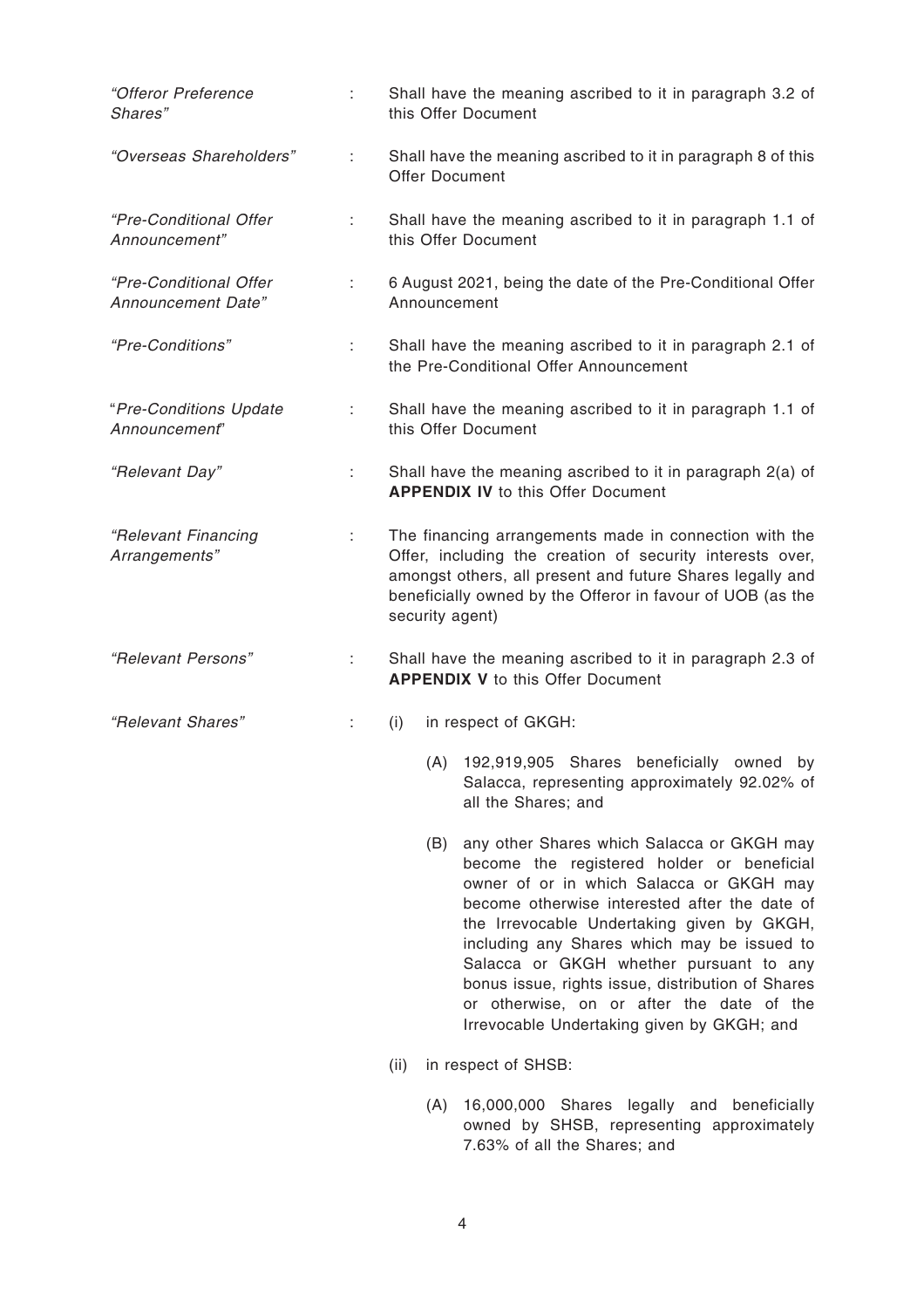| "Offeror Preference<br>Shares"               |    | Shall have the meaning ascribed to it in paragraph 3.2 of<br>this Offer Document                                                                                                                                                                                                                                                                                                                                                                                                     |  |
|----------------------------------------------|----|--------------------------------------------------------------------------------------------------------------------------------------------------------------------------------------------------------------------------------------------------------------------------------------------------------------------------------------------------------------------------------------------------------------------------------------------------------------------------------------|--|
| "Overseas Shareholders"                      | ÷  | Shall have the meaning ascribed to it in paragraph 8 of this<br><b>Offer Document</b>                                                                                                                                                                                                                                                                                                                                                                                                |  |
| "Pre-Conditional Offer<br>Announcement"      | ÷. | Shall have the meaning ascribed to it in paragraph 1.1 of<br>this Offer Document                                                                                                                                                                                                                                                                                                                                                                                                     |  |
| "Pre-Conditional Offer<br>Announcement Date" | ÷  | 6 August 2021, being the date of the Pre-Conditional Offer<br>Announcement                                                                                                                                                                                                                                                                                                                                                                                                           |  |
| "Pre-Conditions"                             | ÷  | Shall have the meaning ascribed to it in paragraph 2.1 of<br>the Pre-Conditional Offer Announcement                                                                                                                                                                                                                                                                                                                                                                                  |  |
| "Pre-Conditions Update<br>Announcement"      |    | Shall have the meaning ascribed to it in paragraph 1.1 of<br>this Offer Document                                                                                                                                                                                                                                                                                                                                                                                                     |  |
| "Relevant Day"                               | ÷  | Shall have the meaning ascribed to it in paragraph 2(a) of<br><b>APPENDIX IV to this Offer Document</b>                                                                                                                                                                                                                                                                                                                                                                              |  |
| "Relevant Financing<br>Arrangements"         | ÷. | The financing arrangements made in connection with the<br>Offer, including the creation of security interests over,<br>amongst others, all present and future Shares legally and<br>beneficially owned by the Offeror in favour of UOB (as the<br>security agent)                                                                                                                                                                                                                    |  |
| "Relevant Persons"                           |    | Shall have the meaning ascribed to it in paragraph 2.3 of<br><b>APPENDIX V to this Offer Document</b>                                                                                                                                                                                                                                                                                                                                                                                |  |
| "Relevant Shares"                            | ÷  | (i)<br>in respect of GKGH:                                                                                                                                                                                                                                                                                                                                                                                                                                                           |  |
|                                              |    | (A) 192,919,905 Shares beneficially owned by<br>Salacca, representing approximately 92.02% of<br>all the Shares; and                                                                                                                                                                                                                                                                                                                                                                 |  |
|                                              |    | any other Shares which Salacca or GKGH may<br>(B)<br>become the registered holder or beneficial<br>owner of or in which Salacca or GKGH may<br>become otherwise interested after the date of<br>the Irrevocable Undertaking given by GKGH,<br>including any Shares which may be issued to<br>Salacca or GKGH whether pursuant to any<br>bonus issue, rights issue, distribution of Shares<br>or otherwise, on or after the date of the<br>Irrevocable Undertaking given by GKGH; and |  |

- (ii) in respect of SHSB:
	- (A) 16,000,000 Shares legally and beneficially owned by SHSB, representing approximately 7.63% of all the Shares; and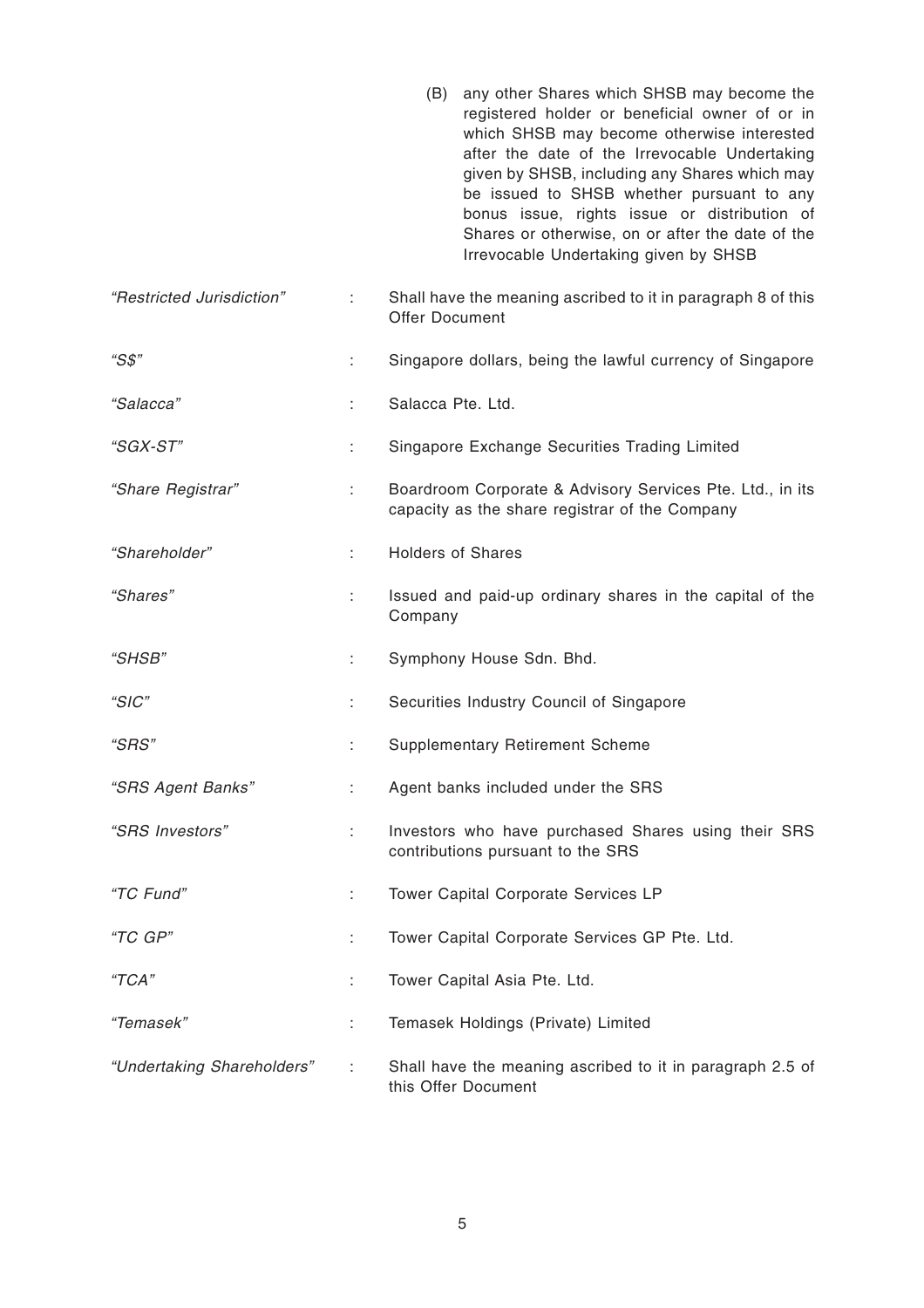|                            |    |                          | (B) any other Shares which SHSB may become the<br>registered holder or beneficial owner of or in<br>which SHSB may become otherwise interested<br>after the date of the Irrevocable Undertaking<br>given by SHSB, including any Shares which may<br>be issued to SHSB whether pursuant to any<br>bonus issue, rights issue or distribution of<br>Shares or otherwise, on or after the date of the<br>Irrevocable Undertaking given by SHSB |
|----------------------------|----|--------------------------|--------------------------------------------------------------------------------------------------------------------------------------------------------------------------------------------------------------------------------------------------------------------------------------------------------------------------------------------------------------------------------------------------------------------------------------------|
| "Restricted Jurisdiction"  | ÷  | <b>Offer Document</b>    | Shall have the meaning ascribed to it in paragraph 8 of this                                                                                                                                                                                                                                                                                                                                                                               |
| "S\$"                      | t, |                          | Singapore dollars, being the lawful currency of Singapore                                                                                                                                                                                                                                                                                                                                                                                  |
| "Salacca"                  | ÷  | Salacca Pte. Ltd.        |                                                                                                                                                                                                                                                                                                                                                                                                                                            |
| "SGX-ST"                   | t. |                          | Singapore Exchange Securities Trading Limited                                                                                                                                                                                                                                                                                                                                                                                              |
| "Share Registrar"          | ÷  |                          | Boardroom Corporate & Advisory Services Pte. Ltd., in its<br>capacity as the share registrar of the Company                                                                                                                                                                                                                                                                                                                                |
| "Shareholder"              | ÷  | <b>Holders of Shares</b> |                                                                                                                                                                                                                                                                                                                                                                                                                                            |
| "Shares"                   | t. | Company                  | Issued and paid-up ordinary shares in the capital of the                                                                                                                                                                                                                                                                                                                                                                                   |
| "SHSB"                     | ÷  |                          | Symphony House Sdn. Bhd.                                                                                                                                                                                                                                                                                                                                                                                                                   |
| "SIC"                      | t. |                          | Securities Industry Council of Singapore                                                                                                                                                                                                                                                                                                                                                                                                   |
| "SRS"                      |    |                          | <b>Supplementary Retirement Scheme</b>                                                                                                                                                                                                                                                                                                                                                                                                     |
| "SRS Agent Banks"          | ÷  |                          | Agent banks included under the SRS                                                                                                                                                                                                                                                                                                                                                                                                         |
| "SRS Investors"            | ÷. |                          | Investors who have purchased Shares using their SRS<br>contributions pursuant to the SRS                                                                                                                                                                                                                                                                                                                                                   |
| "TC Fund"                  | ÷  |                          | Tower Capital Corporate Services LP                                                                                                                                                                                                                                                                                                                                                                                                        |
| "TC GP"                    | t. |                          | Tower Capital Corporate Services GP Pte. Ltd.                                                                                                                                                                                                                                                                                                                                                                                              |
| "TCA"                      | t. |                          | Tower Capital Asia Pte. Ltd.                                                                                                                                                                                                                                                                                                                                                                                                               |
| "Temasek"                  | ÷  |                          | Temasek Holdings (Private) Limited                                                                                                                                                                                                                                                                                                                                                                                                         |
| "Undertaking Shareholders" |    | this Offer Document      | Shall have the meaning ascribed to it in paragraph 2.5 of                                                                                                                                                                                                                                                                                                                                                                                  |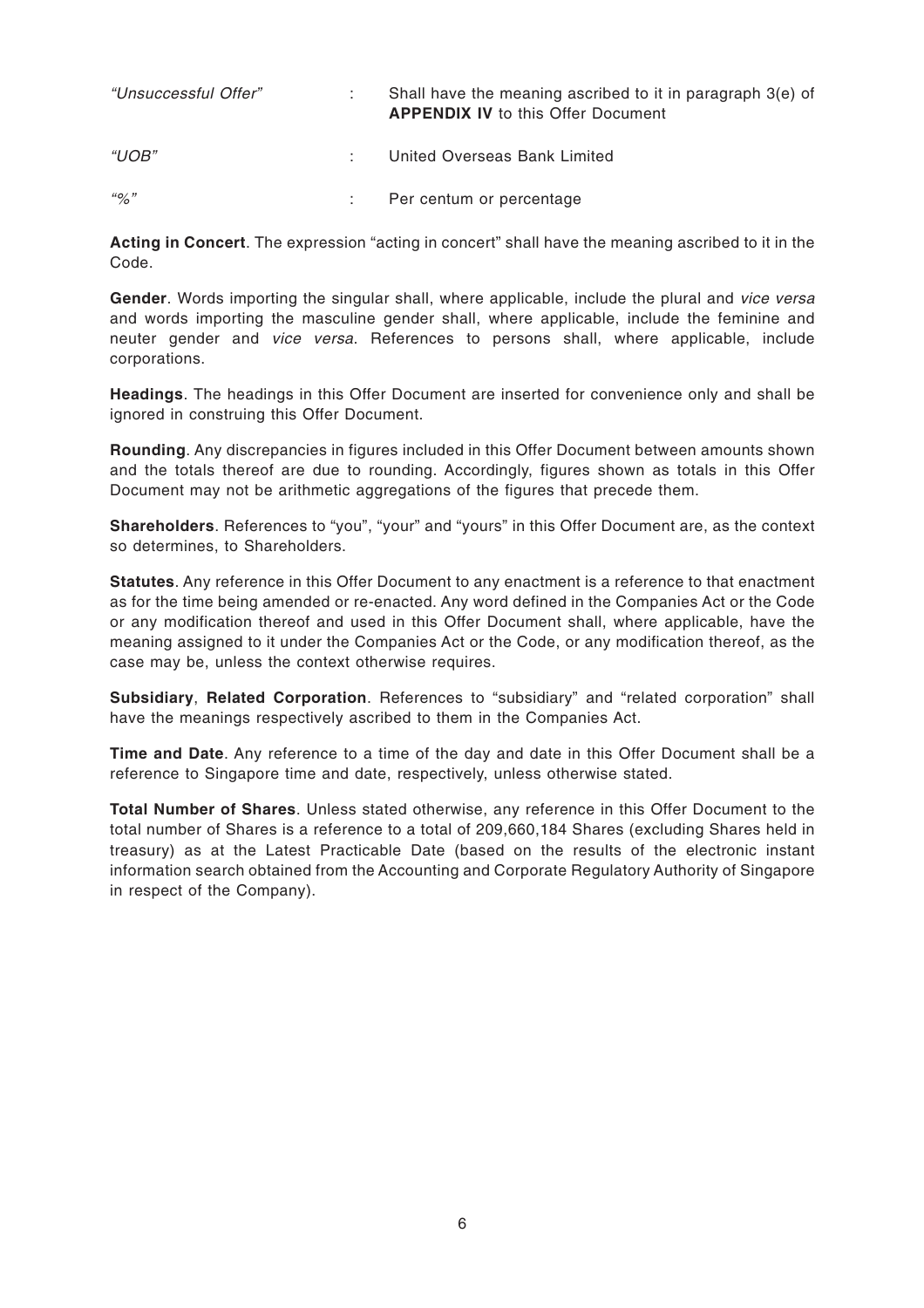| "Unsuccessful Offer"   | Shall have the meaning ascribed to it in paragraph 3(e) of<br><b>APPENDIX IV to this Offer Document</b> |
|------------------------|---------------------------------------------------------------------------------------------------------|
| $^{\prime\prime}$ UOB" | United Overseas Bank Limited                                                                            |
| $\frac{110}{2}$        | Per centum or percentage                                                                                |

**Acting in Concert**. The expression "acting in concert" shall have the meaning ascribed to it in the Code.

Gender. Words importing the singular shall, where applicable, include the plural and vice versa and words importing the masculine gender shall, where applicable, include the feminine and neuter gender and vice versa. References to persons shall, where applicable, include corporations.

**Headings**. The headings in this Offer Document are inserted for convenience only and shall be ignored in construing this Offer Document.

**Rounding**. Any discrepancies in figures included in this Offer Document between amounts shown and the totals thereof are due to rounding. Accordingly, figures shown as totals in this Offer Document may not be arithmetic aggregations of the figures that precede them.

**Shareholders**. References to "you", "your" and "yours" in this Offer Document are, as the context so determines, to Shareholders.

**Statutes**. Any reference in this Offer Document to any enactment is a reference to that enactment as for the time being amended or re-enacted. Any word defined in the Companies Act or the Code or any modification thereof and used in this Offer Document shall, where applicable, have the meaning assigned to it under the Companies Act or the Code, or any modification thereof, as the case may be, unless the context otherwise requires.

**Subsidiary**, **Related Corporation**. References to "subsidiary" and "related corporation" shall have the meanings respectively ascribed to them in the Companies Act.

**Time and Date**. Any reference to a time of the day and date in this Offer Document shall be a reference to Singapore time and date, respectively, unless otherwise stated.

**Total Number of Shares**. Unless stated otherwise, any reference in this Offer Document to the total number of Shares is a reference to a total of 209,660,184 Shares (excluding Shares held in treasury) as at the Latest Practicable Date (based on the results of the electronic instant information search obtained from the Accounting and Corporate Regulatory Authority of Singapore in respect of the Company).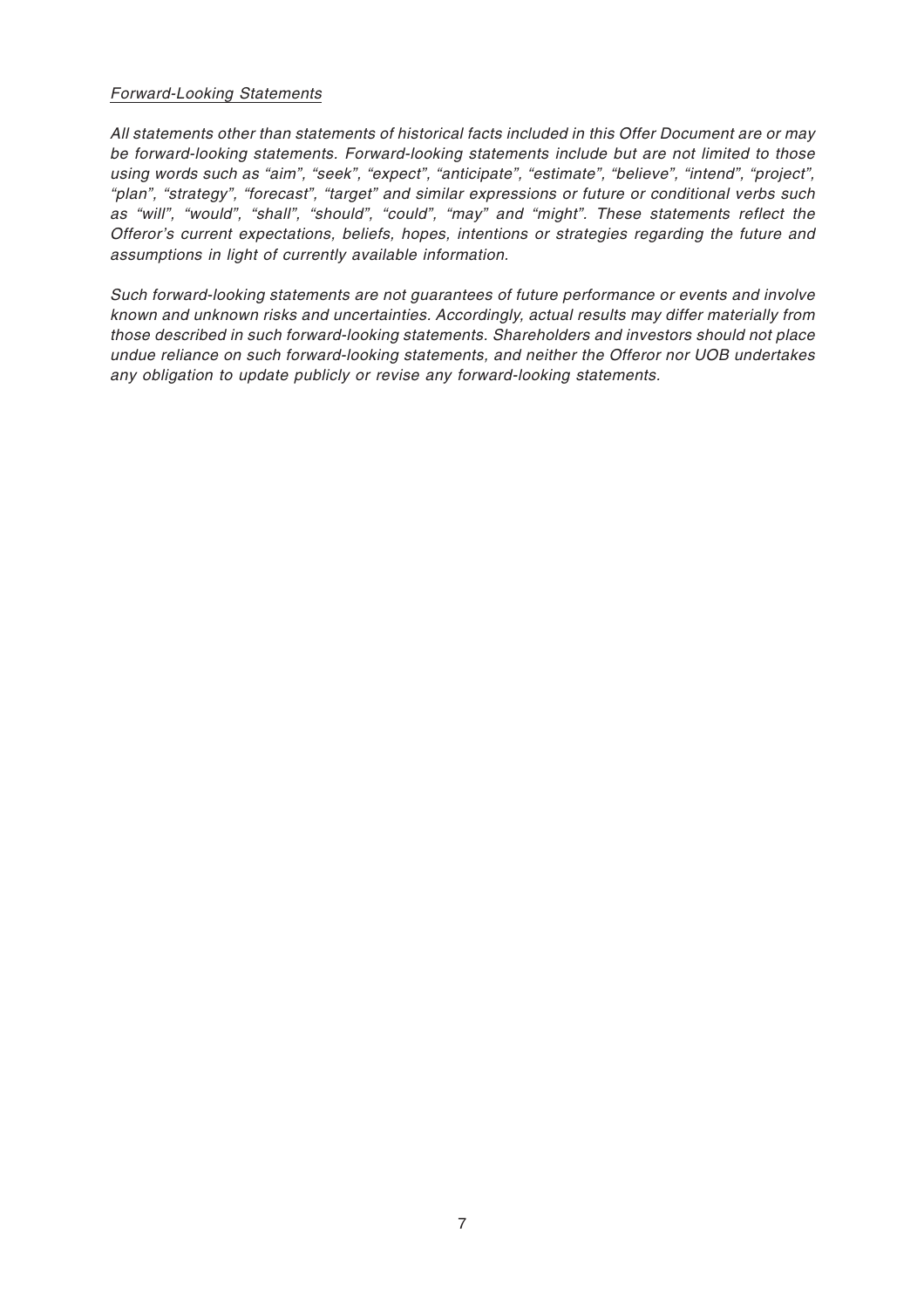#### Forward-Looking Statements

All statements other than statements of historical facts included in this Offer Document are or may be forward-looking statements. Forward-looking statements include but are not limited to those using words such as "aim", "seek", "expect", "anticipate", "estimate", "believe", "intend", "project", "plan", "strategy", "forecast", "target" and similar expressions or future or conditional verbs such as "will", "would", "shall", "should", "could", "may" and "might". These statements reflect the Offeror's current expectations, beliefs, hopes, intentions or strategies regarding the future and assumptions in light of currently available information.

Such forward-looking statements are not guarantees of future performance or events and involve known and unknown risks and uncertainties. Accordingly, actual results may differ materially from those described in such forward-looking statements. Shareholders and investors should not place undue reliance on such forward-looking statements, and neither the Offeror nor UOB undertakes any obligation to update publicly or revise any forward-looking statements.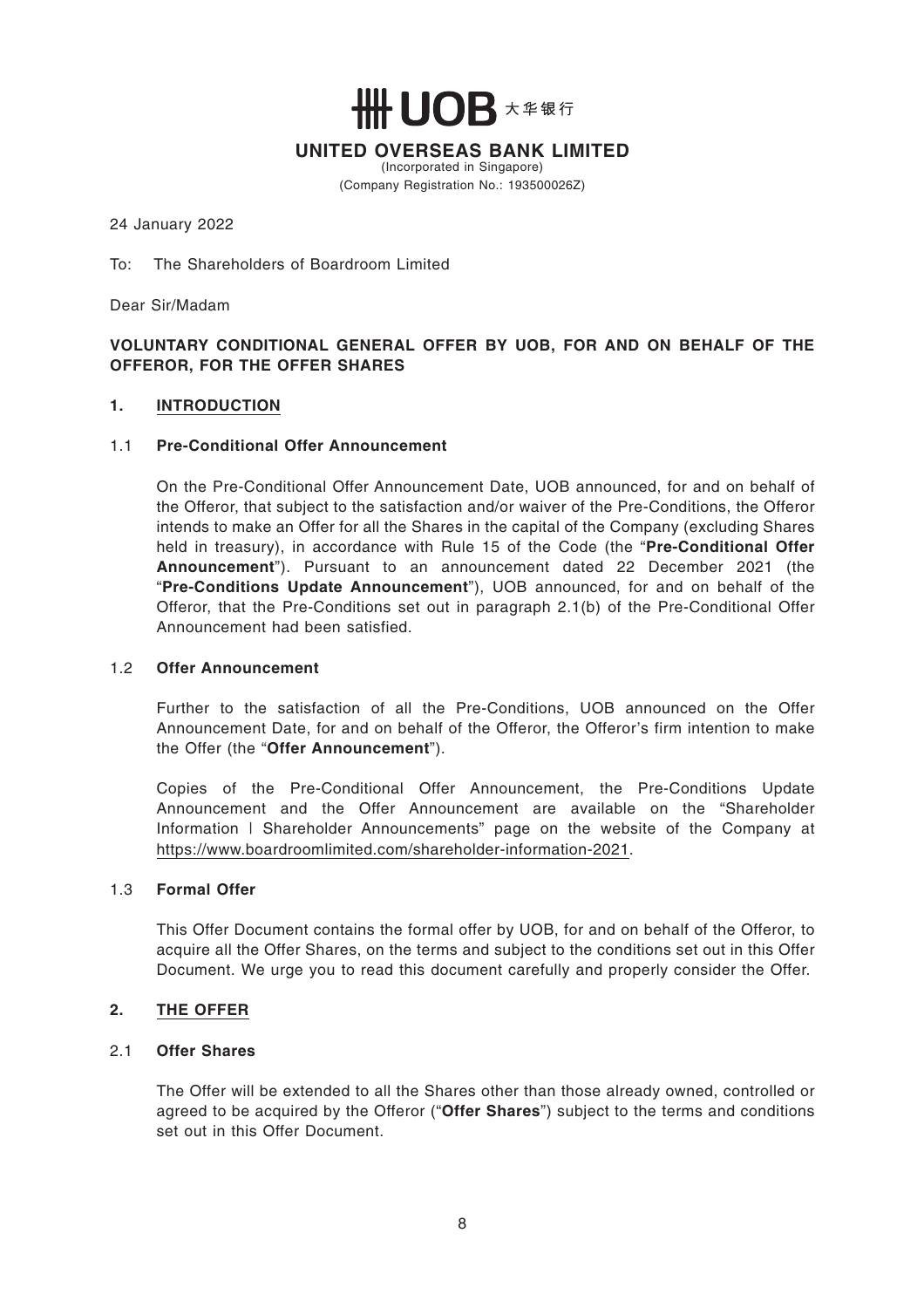**╫╫ ┃ ┃ ∩ R** ㅊ≇報行

**UNITED OVERSEAS BANK LIMITED**

(Incorporated in Singapore) (Company Registration No.: 193500026Z)

24 January 2022

To: The Shareholders of Boardroom Limited

Dear Sir/Madam

#### **VOLUNTARY CONDITIONAL GENERAL OFFER BY UOB, FOR AND ON BEHALF OF THE OFFEROR, FOR THE OFFER SHARES**

#### **1. INTRODUCTION**

#### 1.1 **Pre-Conditional Offer Announcement**

On the Pre-Conditional Offer Announcement Date, UOB announced, for and on behalf of the Offeror, that subject to the satisfaction and/or waiver of the Pre-Conditions, the Offeror intends to make an Offer for all the Shares in the capital of the Company (excluding Shares held in treasury), in accordance with Rule 15 of the Code (the "**Pre-Conditional Offer Announcement**"). Pursuant to an announcement dated 22 December 2021 (the "**Pre-Conditions Update Announcement**"), UOB announced, for and on behalf of the Offeror, that the Pre-Conditions set out in paragraph 2.1(b) of the Pre-Conditional Offer Announcement had been satisfied.

#### 1.2 **Offer Announcement**

Further to the satisfaction of all the Pre-Conditions, UOB announced on the Offer Announcement Date, for and on behalf of the Offeror, the Offeror's firm intention to make the Offer (the "**Offer Announcement**").

Copies of the Pre-Conditional Offer Announcement, the Pre-Conditions Update Announcement and the Offer Announcement are available on the "Shareholder Information | Shareholder Announcements" page on the website of the Company at https://www.boardroomlimited.com/shareholder-information-2021.

#### 1.3 **Formal Offer**

This Offer Document contains the formal offer by UOB, for and on behalf of the Offeror, to acquire all the Offer Shares, on the terms and subject to the conditions set out in this Offer Document. We urge you to read this document carefully and properly consider the Offer.

#### **2. THE OFFER**

#### 2.1 **Offer Shares**

The Offer will be extended to all the Shares other than those already owned, controlled or agreed to be acquired by the Offeror ("**Offer Shares**") subject to the terms and conditions set out in this Offer Document.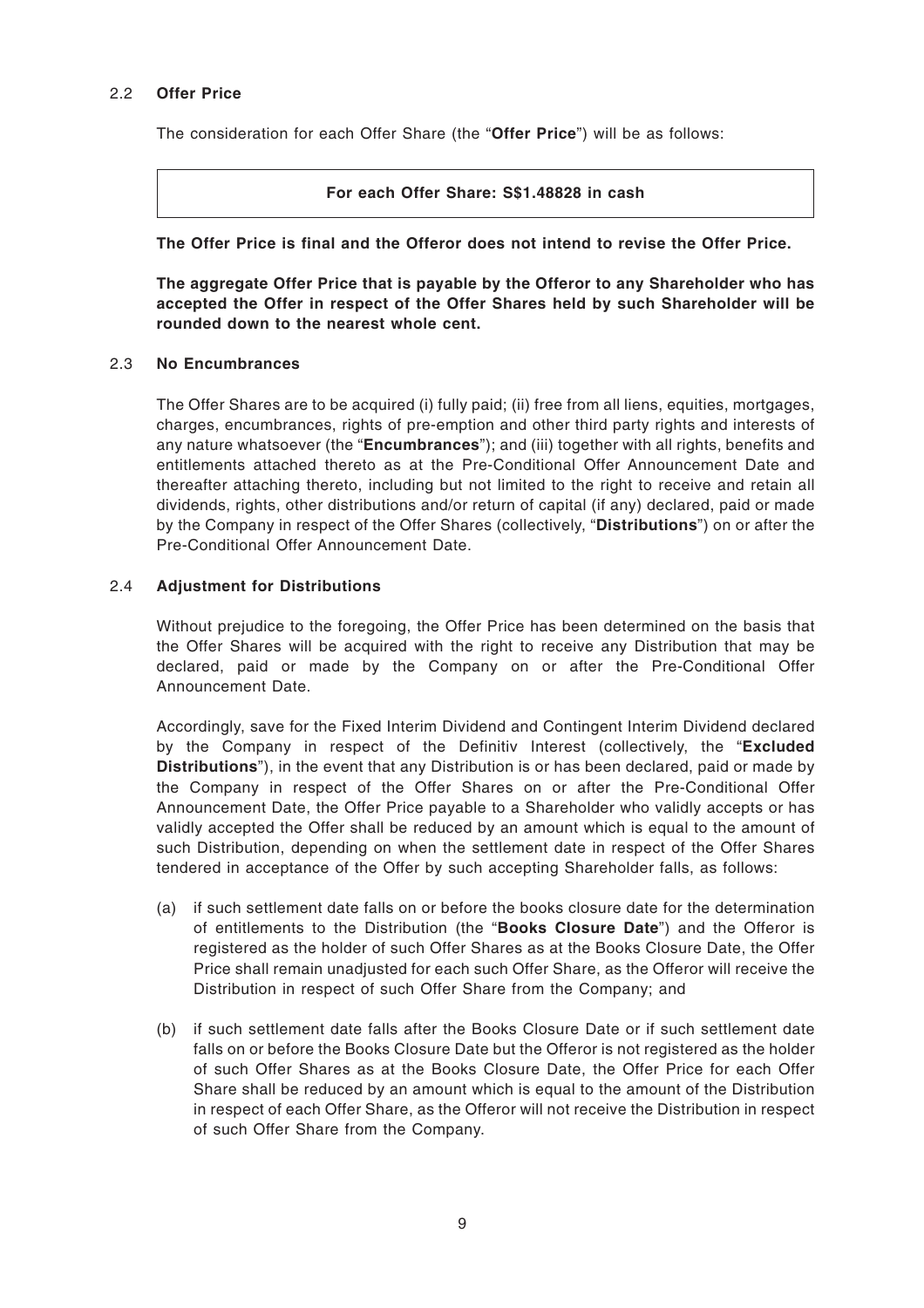#### 2.2 **Offer Price**

The consideration for each Offer Share (the "**Offer Price**") will be as follows:

#### **For each Offer Share: S\$1.48828 in cash**

**The Offer Price is final and the Offeror does not intend to revise the Offer Price.**

**The aggregate Offer Price that is payable by the Offeror to any Shareholder who has accepted the Offer in respect of the Offer Shares held by such Shareholder will be rounded down to the nearest whole cent.**

#### 2.3 **No Encumbrances**

The Offer Shares are to be acquired (i) fully paid; (ii) free from all liens, equities, mortgages, charges, encumbrances, rights of pre-emption and other third party rights and interests of any nature whatsoever (the "**Encumbrances**"); and (iii) together with all rights, benefits and entitlements attached thereto as at the Pre-Conditional Offer Announcement Date and thereafter attaching thereto, including but not limited to the right to receive and retain all dividends, rights, other distributions and/or return of capital (if any) declared, paid or made by the Company in respect of the Offer Shares (collectively, "**Distributions**") on or after the Pre-Conditional Offer Announcement Date.

#### 2.4 **Adjustment for Distributions**

Without prejudice to the foregoing, the Offer Price has been determined on the basis that the Offer Shares will be acquired with the right to receive any Distribution that may be declared, paid or made by the Company on or after the Pre-Conditional Offer Announcement Date.

Accordingly, save for the Fixed Interim Dividend and Contingent Interim Dividend declared by the Company in respect of the Definitiv Interest (collectively, the "**Excluded Distributions**"), in the event that any Distribution is or has been declared, paid or made by the Company in respect of the Offer Shares on or after the Pre-Conditional Offer Announcement Date, the Offer Price payable to a Shareholder who validly accepts or has validly accepted the Offer shall be reduced by an amount which is equal to the amount of such Distribution, depending on when the settlement date in respect of the Offer Shares tendered in acceptance of the Offer by such accepting Shareholder falls, as follows:

- (a) if such settlement date falls on or before the books closure date for the determination of entitlements to the Distribution (the "**Books Closure Date**") and the Offeror is registered as the holder of such Offer Shares as at the Books Closure Date, the Offer Price shall remain unadjusted for each such Offer Share, as the Offeror will receive the Distribution in respect of such Offer Share from the Company; and
- (b) if such settlement date falls after the Books Closure Date or if such settlement date falls on or before the Books Closure Date but the Offeror is not registered as the holder of such Offer Shares as at the Books Closure Date, the Offer Price for each Offer Share shall be reduced by an amount which is equal to the amount of the Distribution in respect of each Offer Share, as the Offeror will not receive the Distribution in respect of such Offer Share from the Company.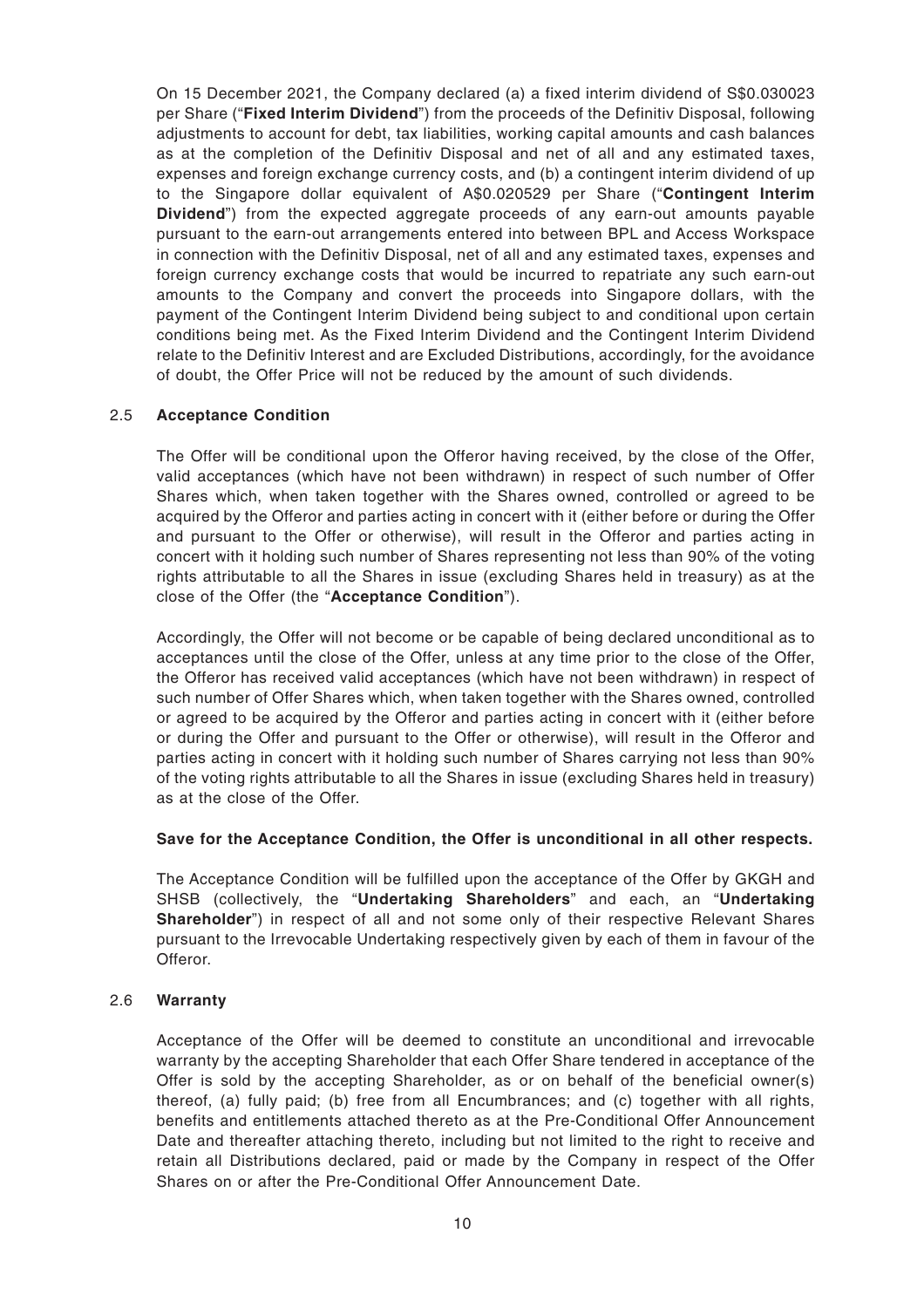On 15 December 2021, the Company declared (a) a fixed interim dividend of S\$0.030023 per Share ("**Fixed Interim Dividend**") from the proceeds of the Definitiv Disposal, following adjustments to account for debt, tax liabilities, working capital amounts and cash balances as at the completion of the Definitiv Disposal and net of all and any estimated taxes, expenses and foreign exchange currency costs, and (b) a contingent interim dividend of up to the Singapore dollar equivalent of A\$0.020529 per Share ("**Contingent Interim Dividend**") from the expected aggregate proceeds of any earn-out amounts payable pursuant to the earn-out arrangements entered into between BPL and Access Workspace in connection with the Definitiv Disposal, net of all and any estimated taxes, expenses and foreign currency exchange costs that would be incurred to repatriate any such earn-out amounts to the Company and convert the proceeds into Singapore dollars, with the payment of the Contingent Interim Dividend being subject to and conditional upon certain conditions being met. As the Fixed Interim Dividend and the Contingent Interim Dividend relate to the Definitiv Interest and are Excluded Distributions, accordingly, for the avoidance of doubt, the Offer Price will not be reduced by the amount of such dividends.

#### 2.5 **Acceptance Condition**

The Offer will be conditional upon the Offeror having received, by the close of the Offer, valid acceptances (which have not been withdrawn) in respect of such number of Offer Shares which, when taken together with the Shares owned, controlled or agreed to be acquired by the Offeror and parties acting in concert with it (either before or during the Offer and pursuant to the Offer or otherwise), will result in the Offeror and parties acting in concert with it holding such number of Shares representing not less than 90% of the voting rights attributable to all the Shares in issue (excluding Shares held in treasury) as at the close of the Offer (the "**Acceptance Condition**").

Accordingly, the Offer will not become or be capable of being declared unconditional as to acceptances until the close of the Offer, unless at any time prior to the close of the Offer, the Offeror has received valid acceptances (which have not been withdrawn) in respect of such number of Offer Shares which, when taken together with the Shares owned, controlled or agreed to be acquired by the Offeror and parties acting in concert with it (either before or during the Offer and pursuant to the Offer or otherwise), will result in the Offeror and parties acting in concert with it holding such number of Shares carrying not less than 90% of the voting rights attributable to all the Shares in issue (excluding Shares held in treasury) as at the close of the Offer.

#### **Save for the Acceptance Condition, the Offer is unconditional in all other respects.**

The Acceptance Condition will be fulfilled upon the acceptance of the Offer by GKGH and SHSB (collectively, the "**Undertaking Shareholders**" and each, an "**Undertaking Shareholder**") in respect of all and not some only of their respective Relevant Shares pursuant to the Irrevocable Undertaking respectively given by each of them in favour of the Offeror.

#### 2.6 **Warranty**

Acceptance of the Offer will be deemed to constitute an unconditional and irrevocable warranty by the accepting Shareholder that each Offer Share tendered in acceptance of the Offer is sold by the accepting Shareholder, as or on behalf of the beneficial owner(s) thereof, (a) fully paid; (b) free from all Encumbrances; and (c) together with all rights, benefits and entitlements attached thereto as at the Pre-Conditional Offer Announcement Date and thereafter attaching thereto, including but not limited to the right to receive and retain all Distributions declared, paid or made by the Company in respect of the Offer Shares on or after the Pre-Conditional Offer Announcement Date.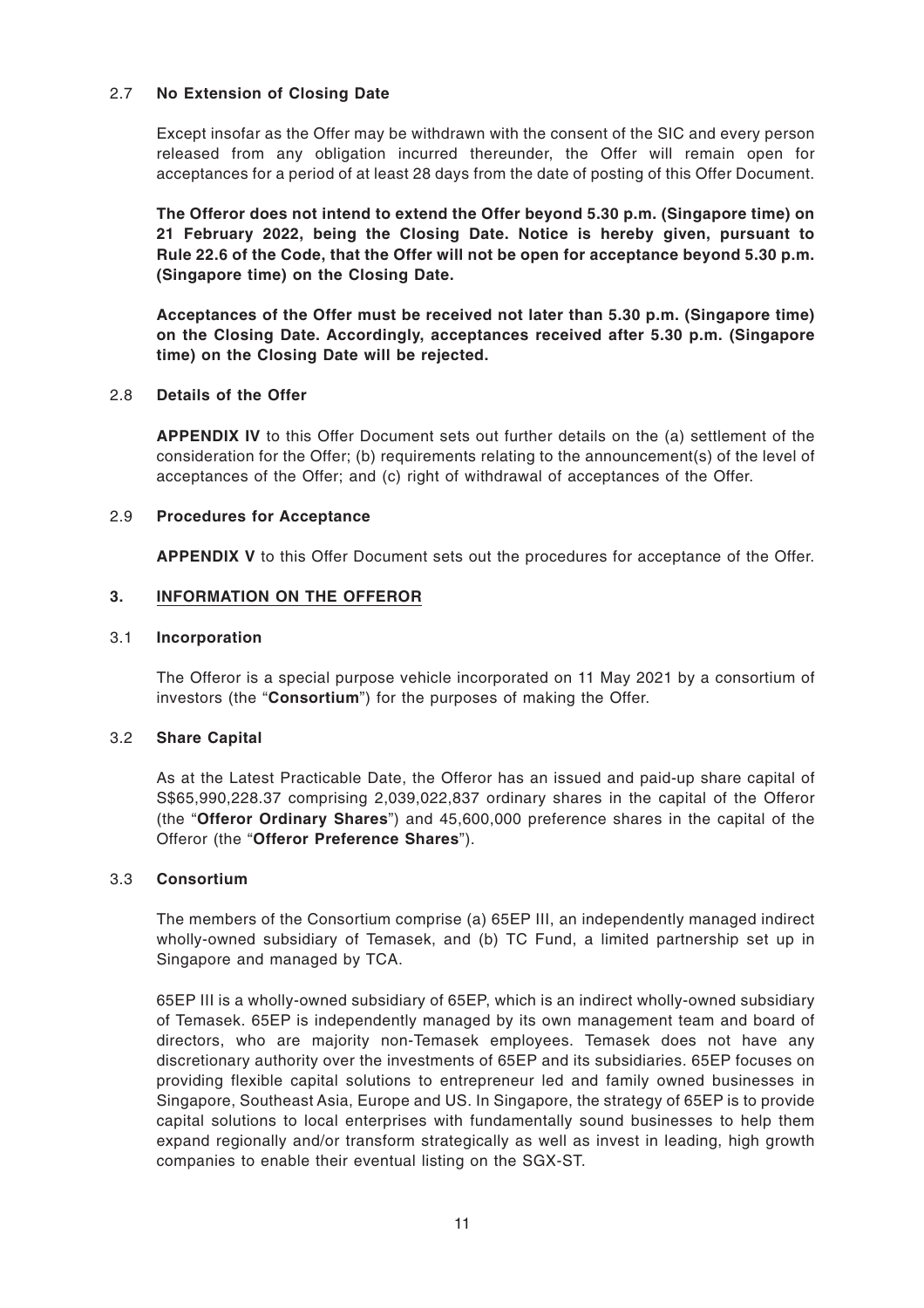#### 2.7 **No Extension of Closing Date**

Except insofar as the Offer may be withdrawn with the consent of the SIC and every person released from any obligation incurred thereunder, the Offer will remain open for acceptances for a period of at least 28 days from the date of posting of this Offer Document.

**The Offeror does not intend to extend the Offer beyond 5.30 p.m. (Singapore time) on 21 February 2022, being the Closing Date. Notice is hereby given, pursuant to Rule 22.6 of the Code, that the Offer will not be open for acceptance beyond 5.30 p.m. (Singapore time) on the Closing Date.**

**Acceptances of the Offer must be received not later than 5.30 p.m. (Singapore time) on the Closing Date. Accordingly, acceptances received after 5.30 p.m. (Singapore time) on the Closing Date will be rejected.**

#### 2.8 **Details of the Offer**

**APPENDIX IV** to this Offer Document sets out further details on the (a) settlement of the consideration for the Offer; (b) requirements relating to the announcement(s) of the level of acceptances of the Offer; and (c) right of withdrawal of acceptances of the Offer.

#### 2.9 **Procedures for Acceptance**

**APPENDIX V** to this Offer Document sets out the procedures for acceptance of the Offer.

#### **3. INFORMATION ON THE OFFEROR**

#### 3.1 **Incorporation**

The Offeror is a special purpose vehicle incorporated on 11 May 2021 by a consortium of investors (the "**Consortium**") for the purposes of making the Offer.

#### 3.2 **Share Capital**

As at the Latest Practicable Date, the Offeror has an issued and paid-up share capital of S\$65,990,228.37 comprising 2,039,022,837 ordinary shares in the capital of the Offeror (the "**Offeror Ordinary Shares**") and 45,600,000 preference shares in the capital of the Offeror (the "**Offeror Preference Shares**").

#### 3.3 **Consortium**

The members of the Consortium comprise (a) 65EP III, an independently managed indirect wholly-owned subsidiary of Temasek, and (b) TC Fund, a limited partnership set up in Singapore and managed by TCA.

65EP III is a wholly-owned subsidiary of 65EP, which is an indirect wholly-owned subsidiary of Temasek. 65EP is independently managed by its own management team and board of directors, who are majority non-Temasek employees. Temasek does not have any discretionary authority over the investments of 65EP and its subsidiaries. 65EP focuses on providing flexible capital solutions to entrepreneur led and family owned businesses in Singapore, Southeast Asia, Europe and US. In Singapore, the strategy of 65EP is to provide capital solutions to local enterprises with fundamentally sound businesses to help them expand regionally and/or transform strategically as well as invest in leading, high growth companies to enable their eventual listing on the SGX-ST.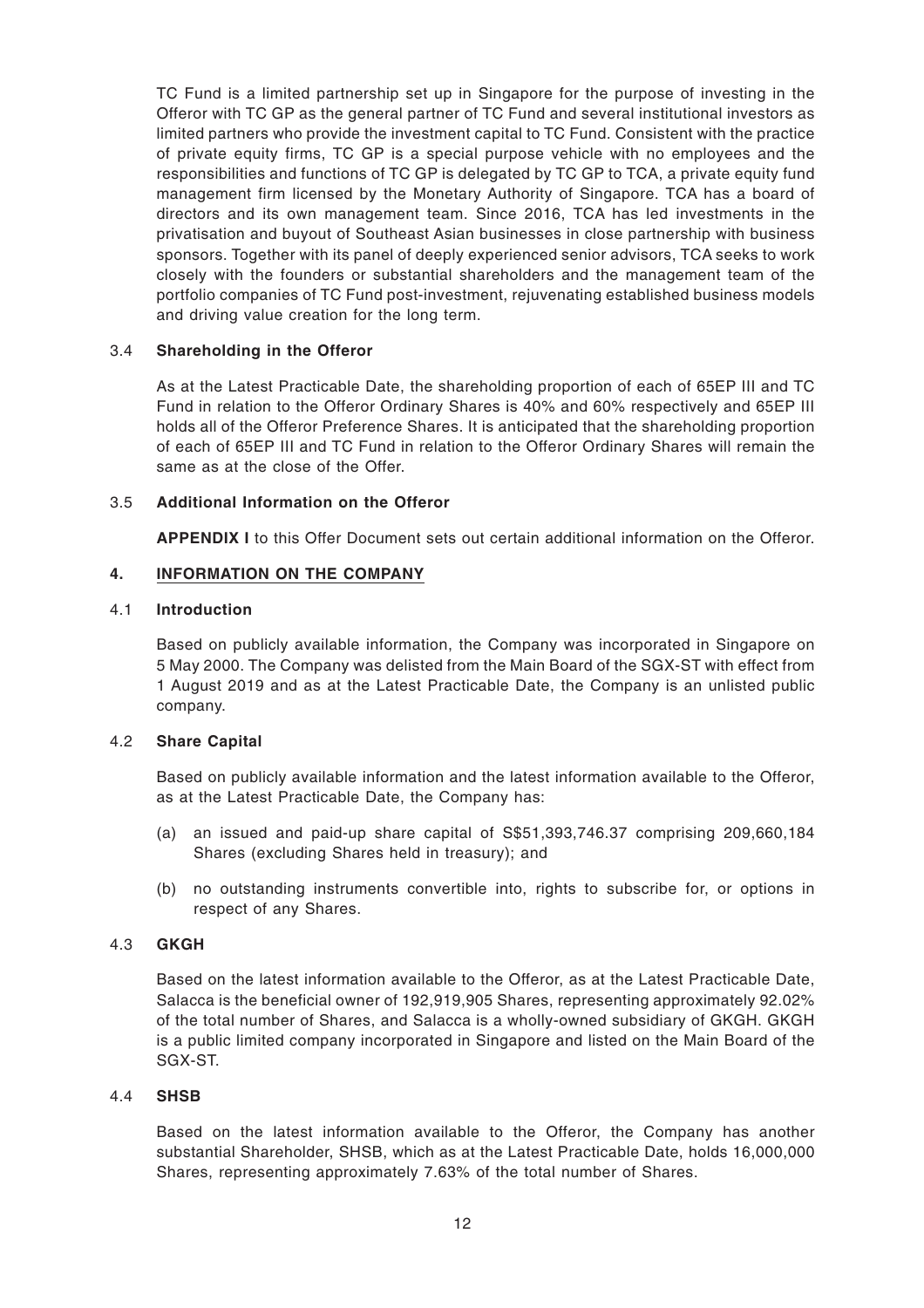TC Fund is a limited partnership set up in Singapore for the purpose of investing in the Offeror with TC GP as the general partner of TC Fund and several institutional investors as limited partners who provide the investment capital to TC Fund. Consistent with the practice of private equity firms, TC GP is a special purpose vehicle with no employees and the responsibilities and functions of TC GP is delegated by TC GP to TCA, a private equity fund management firm licensed by the Monetary Authority of Singapore. TCA has a board of directors and its own management team. Since 2016, TCA has led investments in the privatisation and buyout of Southeast Asian businesses in close partnership with business sponsors. Together with its panel of deeply experienced senior advisors, TCA seeks to work closely with the founders or substantial shareholders and the management team of the portfolio companies of TC Fund post-investment, rejuvenating established business models and driving value creation for the long term.

#### 3.4 **Shareholding in the Offeror**

As at the Latest Practicable Date, the shareholding proportion of each of 65EP III and TC Fund in relation to the Offeror Ordinary Shares is 40% and 60% respectively and 65EP III holds all of the Offeror Preference Shares. It is anticipated that the shareholding proportion of each of 65EP III and TC Fund in relation to the Offeror Ordinary Shares will remain the same as at the close of the Offer.

#### 3.5 **Additional Information on the Offeror**

**APPENDIX I** to this Offer Document sets out certain additional information on the Offeror.

#### **4. INFORMATION ON THE COMPANY**

#### 4.1 **Introduction**

Based on publicly available information, the Company was incorporated in Singapore on 5 May 2000. The Company was delisted from the Main Board of the SGX-ST with effect from 1 August 2019 and as at the Latest Practicable Date, the Company is an unlisted public company.

#### 4.2 **Share Capital**

Based on publicly available information and the latest information available to the Offeror, as at the Latest Practicable Date, the Company has:

- (a) an issued and paid-up share capital of S\$51,393,746.37 comprising 209,660,184 Shares (excluding Shares held in treasury); and
- (b) no outstanding instruments convertible into, rights to subscribe for, or options in respect of any Shares.

#### 4.3 **GKGH**

Based on the latest information available to the Offeror, as at the Latest Practicable Date, Salacca is the beneficial owner of 192,919,905 Shares, representing approximately 92.02% of the total number of Shares, and Salacca is a wholly-owned subsidiary of GKGH. GKGH is a public limited company incorporated in Singapore and listed on the Main Board of the SGX-ST.

#### 4.4 **SHSB**

Based on the latest information available to the Offeror, the Company has another substantial Shareholder, SHSB, which as at the Latest Practicable Date, holds 16,000,000 Shares, representing approximately 7.63% of the total number of Shares.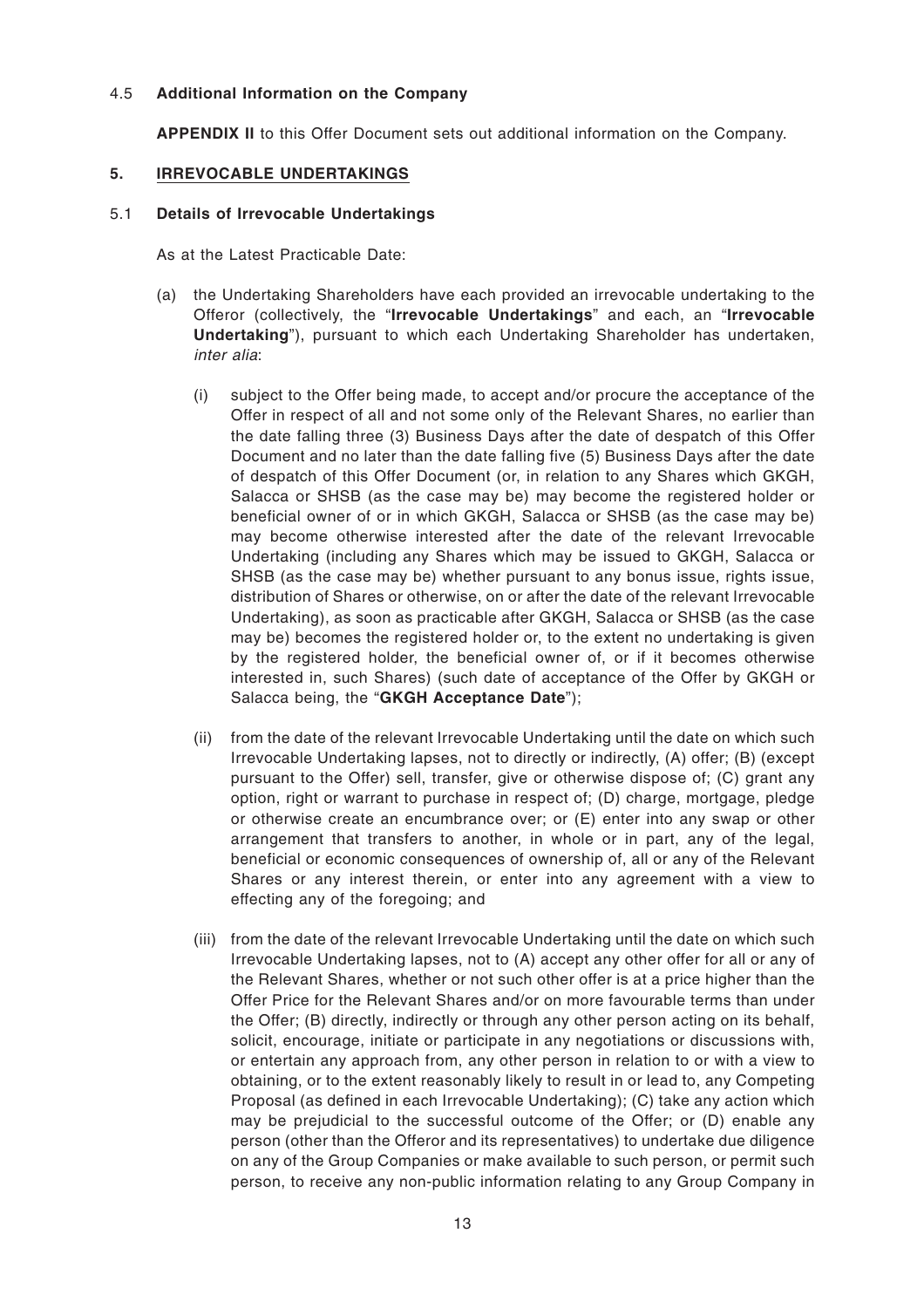#### 4.5 **Additional Information on the Company**

**APPENDIX II** to this Offer Document sets out additional information on the Company.

#### **5. IRREVOCABLE UNDERTAKINGS**

#### 5.1 **Details of Irrevocable Undertakings**

As at the Latest Practicable Date:

- (a) the Undertaking Shareholders have each provided an irrevocable undertaking to the Offeror (collectively, the "**Irrevocable Undertakings**" and each, an "**Irrevocable Undertaking**"), pursuant to which each Undertaking Shareholder has undertaken, inter alia:
	- (i) subject to the Offer being made, to accept and/or procure the acceptance of the Offer in respect of all and not some only of the Relevant Shares, no earlier than the date falling three (3) Business Days after the date of despatch of this Offer Document and no later than the date falling five (5) Business Days after the date of despatch of this Offer Document (or, in relation to any Shares which GKGH, Salacca or SHSB (as the case may be) may become the registered holder or beneficial owner of or in which GKGH, Salacca or SHSB (as the case may be) may become otherwise interested after the date of the relevant Irrevocable Undertaking (including any Shares which may be issued to GKGH, Salacca or SHSB (as the case may be) whether pursuant to any bonus issue, rights issue, distribution of Shares or otherwise, on or after the date of the relevant Irrevocable Undertaking), as soon as practicable after GKGH, Salacca or SHSB (as the case may be) becomes the registered holder or, to the extent no undertaking is given by the registered holder, the beneficial owner of, or if it becomes otherwise interested in, such Shares) (such date of acceptance of the Offer by GKGH or Salacca being, the "**GKGH Acceptance Date**");
	- (ii) from the date of the relevant Irrevocable Undertaking until the date on which such Irrevocable Undertaking lapses, not to directly or indirectly, (A) offer; (B) (except pursuant to the Offer) sell, transfer, give or otherwise dispose of; (C) grant any option, right or warrant to purchase in respect of; (D) charge, mortgage, pledge or otherwise create an encumbrance over; or (E) enter into any swap or other arrangement that transfers to another, in whole or in part, any of the legal, beneficial or economic consequences of ownership of, all or any of the Relevant Shares or any interest therein, or enter into any agreement with a view to effecting any of the foregoing; and
	- (iii) from the date of the relevant Irrevocable Undertaking until the date on which such Irrevocable Undertaking lapses, not to (A) accept any other offer for all or any of the Relevant Shares, whether or not such other offer is at a price higher than the Offer Price for the Relevant Shares and/or on more favourable terms than under the Offer; (B) directly, indirectly or through any other person acting on its behalf, solicit, encourage, initiate or participate in any negotiations or discussions with, or entertain any approach from, any other person in relation to or with a view to obtaining, or to the extent reasonably likely to result in or lead to, any Competing Proposal (as defined in each Irrevocable Undertaking); (C) take any action which may be prejudicial to the successful outcome of the Offer; or (D) enable any person (other than the Offeror and its representatives) to undertake due diligence on any of the Group Companies or make available to such person, or permit such person, to receive any non-public information relating to any Group Company in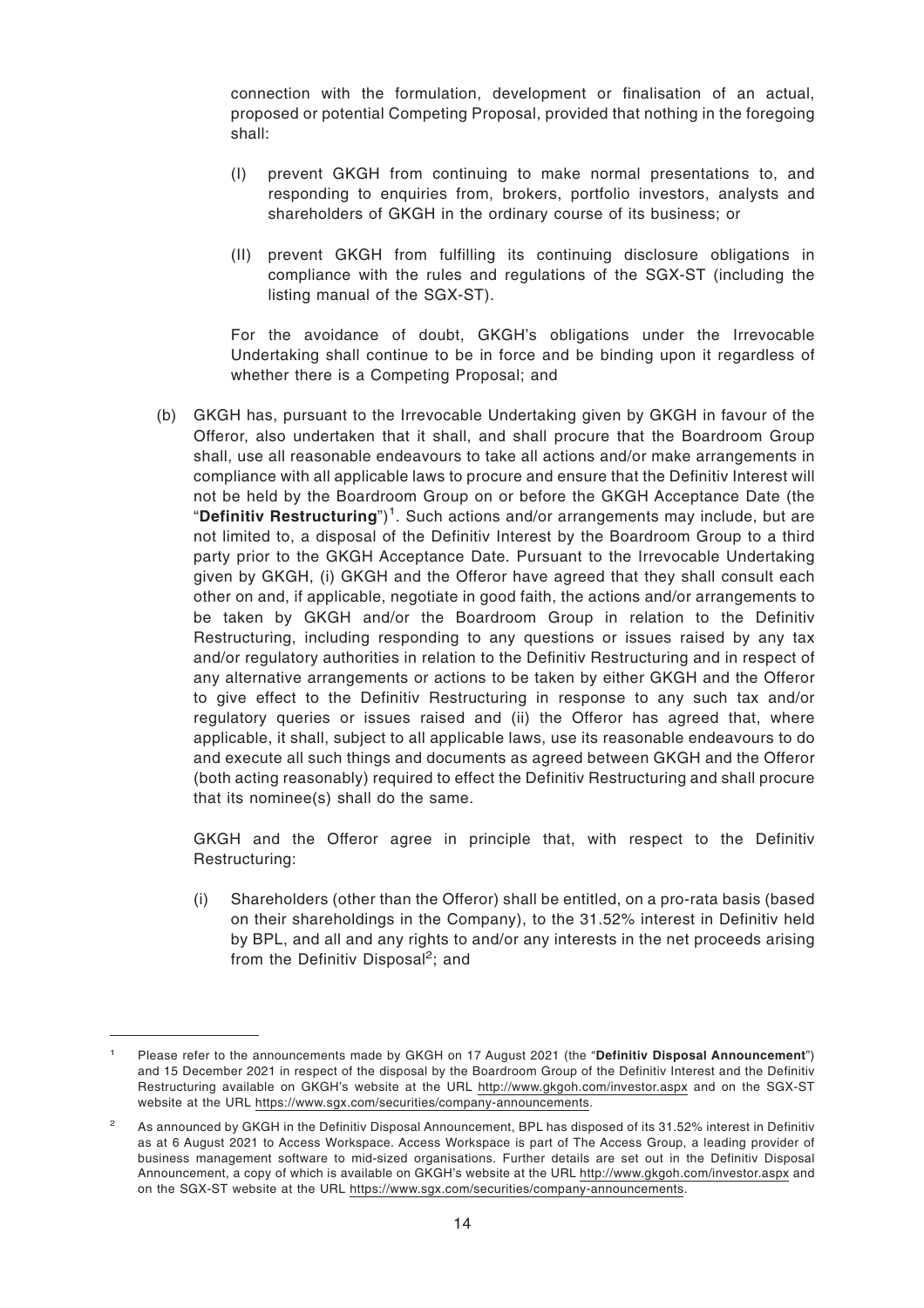connection with the formulation, development or finalisation of an actual, proposed or potential Competing Proposal, provided that nothing in the foregoing shall:

- (I) prevent GKGH from continuing to make normal presentations to, and responding to enquiries from, brokers, portfolio investors, analysts and shareholders of GKGH in the ordinary course of its business; or
- (II) prevent GKGH from fulfilling its continuing disclosure obligations in compliance with the rules and regulations of the SGX-ST (including the listing manual of the SGX-ST).

For the avoidance of doubt, GKGH's obligations under the Irrevocable Undertaking shall continue to be in force and be binding upon it regardless of whether there is a Competing Proposal; and

(b) GKGH has, pursuant to the Irrevocable Undertaking given by GKGH in favour of the Offeror, also undertaken that it shall, and shall procure that the Boardroom Group shall, use all reasonable endeavours to take all actions and/or make arrangements in compliance with all applicable laws to procure and ensure that the Definitiv Interest will not be held by the Boardroom Group on or before the GKGH Acceptance Date (the "Definitiv Restructuring")<sup>1</sup>. Such actions and/or arrangements may include, but are not limited to, a disposal of the Definitiv Interest by the Boardroom Group to a third party prior to the GKGH Acceptance Date. Pursuant to the Irrevocable Undertaking given by GKGH, (i) GKGH and the Offeror have agreed that they shall consult each other on and, if applicable, negotiate in good faith, the actions and/or arrangements to be taken by GKGH and/or the Boardroom Group in relation to the Definitiv Restructuring, including responding to any questions or issues raised by any tax and/or regulatory authorities in relation to the Definitiv Restructuring and in respect of any alternative arrangements or actions to be taken by either GKGH and the Offeror to give effect to the Definitiv Restructuring in response to any such tax and/or regulatory queries or issues raised and (ii) the Offeror has agreed that, where applicable, it shall, subject to all applicable laws, use its reasonable endeavours to do and execute all such things and documents as agreed between GKGH and the Offeror (both acting reasonably) required to effect the Definitiv Restructuring and shall procure that its nominee(s) shall do the same.

GKGH and the Offeror agree in principle that, with respect to the Definitiv Restructuring:

(i) Shareholders (other than the Offeror) shall be entitled, on a pro-rata basis (based on their shareholdings in the Company), to the 31.52% interest in Definitiv held by BPL, and all and any rights to and/or any interests in the net proceeds arising from the Definitiv Disposal<sup>2</sup>; and

<sup>1</sup> Please refer to the announcements made by GKGH on 17 August 2021 (the "**Definitiv Disposal Announcement**") and 15 December 2021 in respect of the disposal by the Boardroom Group of the Definitiv Interest and the Definitiv Restructuring available on GKGH's website at the URL http://www.gkgoh.com/investor.aspx and on the SGX-ST website at the URL https://www.sgx.com/securities/company-announcements.

<sup>2</sup> As announced by GKGH in the Definitiv Disposal Announcement, BPL has disposed of its 31.52% interest in Definitiv as at 6 August 2021 to Access Workspace. Access Workspace is part of The Access Group, a leading provider of business management software to mid-sized organisations. Further details are set out in the Definitiv Disposal Announcement, a copy of which is available on GKGH's website at the URL http://www.gkgoh.com/investor.aspx and on the SGX-ST website at the URL https://www.sgx.com/securities/company-announcements.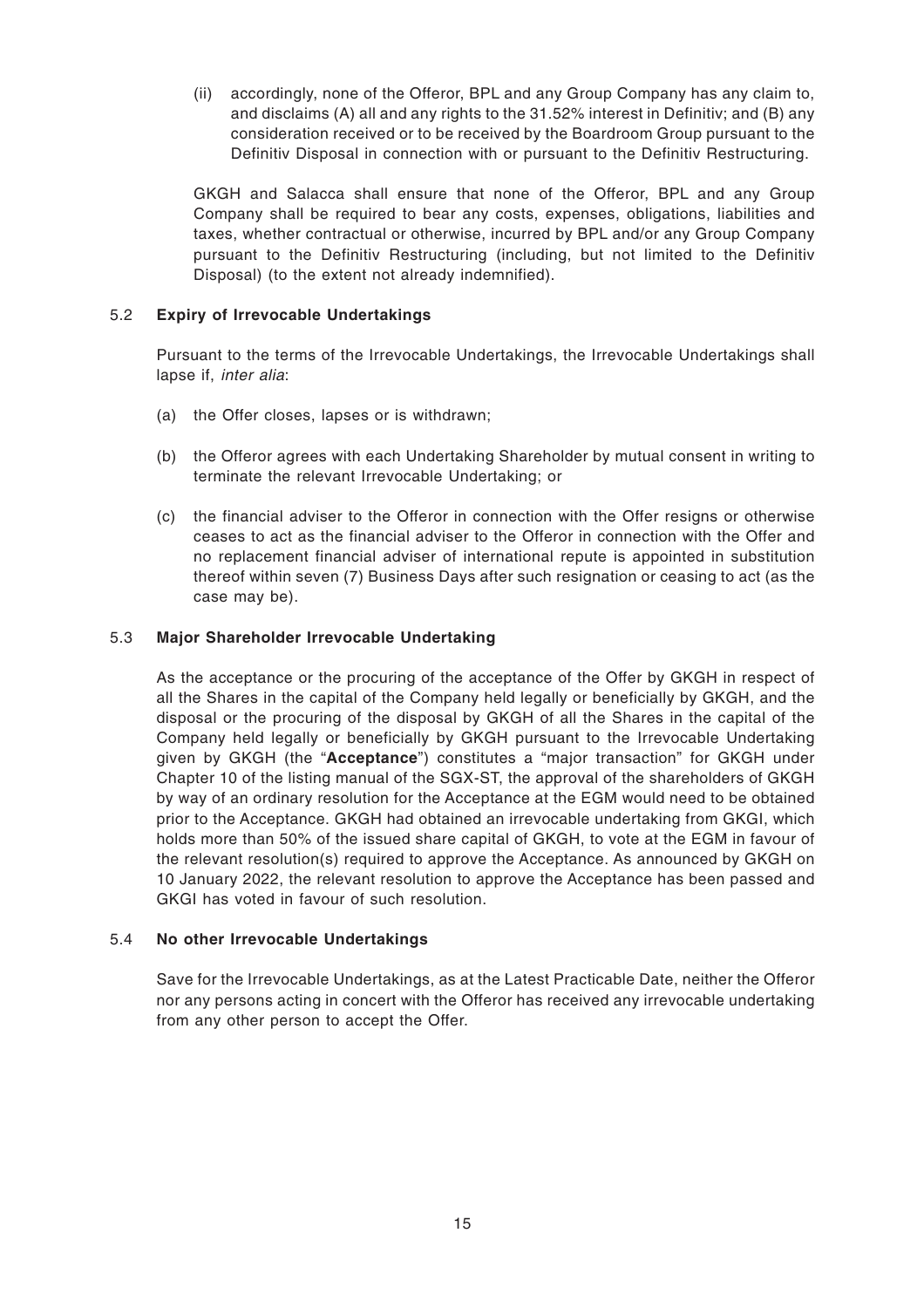(ii) accordingly, none of the Offeror, BPL and any Group Company has any claim to, and disclaims (A) all and any rights to the 31.52% interest in Definitiv; and (B) any consideration received or to be received by the Boardroom Group pursuant to the Definitiv Disposal in connection with or pursuant to the Definitiv Restructuring.

GKGH and Salacca shall ensure that none of the Offeror, BPL and any Group Company shall be required to bear any costs, expenses, obligations, liabilities and taxes, whether contractual or otherwise, incurred by BPL and/or any Group Company pursuant to the Definitiv Restructuring (including, but not limited to the Definitiv Disposal) (to the extent not already indemnified).

#### 5.2 **Expiry of Irrevocable Undertakings**

Pursuant to the terms of the Irrevocable Undertakings, the Irrevocable Undertakings shall lapse if, inter alia:

- (a) the Offer closes, lapses or is withdrawn;
- (b) the Offeror agrees with each Undertaking Shareholder by mutual consent in writing to terminate the relevant Irrevocable Undertaking; or
- (c) the financial adviser to the Offeror in connection with the Offer resigns or otherwise ceases to act as the financial adviser to the Offeror in connection with the Offer and no replacement financial adviser of international repute is appointed in substitution thereof within seven (7) Business Days after such resignation or ceasing to act (as the case may be).

#### 5.3 **Major Shareholder Irrevocable Undertaking**

As the acceptance or the procuring of the acceptance of the Offer by GKGH in respect of all the Shares in the capital of the Company held legally or beneficially by GKGH, and the disposal or the procuring of the disposal by GKGH of all the Shares in the capital of the Company held legally or beneficially by GKGH pursuant to the Irrevocable Undertaking given by GKGH (the "**Acceptance**") constitutes a "major transaction" for GKGH under Chapter 10 of the listing manual of the SGX-ST, the approval of the shareholders of GKGH by way of an ordinary resolution for the Acceptance at the EGM would need to be obtained prior to the Acceptance. GKGH had obtained an irrevocable undertaking from GKGI, which holds more than 50% of the issued share capital of GKGH, to vote at the EGM in favour of the relevant resolution(s) required to approve the Acceptance. As announced by GKGH on 10 January 2022, the relevant resolution to approve the Acceptance has been passed and GKGI has voted in favour of such resolution.

#### 5.4 **No other Irrevocable Undertakings**

Save for the Irrevocable Undertakings, as at the Latest Practicable Date, neither the Offeror nor any persons acting in concert with the Offeror has received any irrevocable undertaking from any other person to accept the Offer.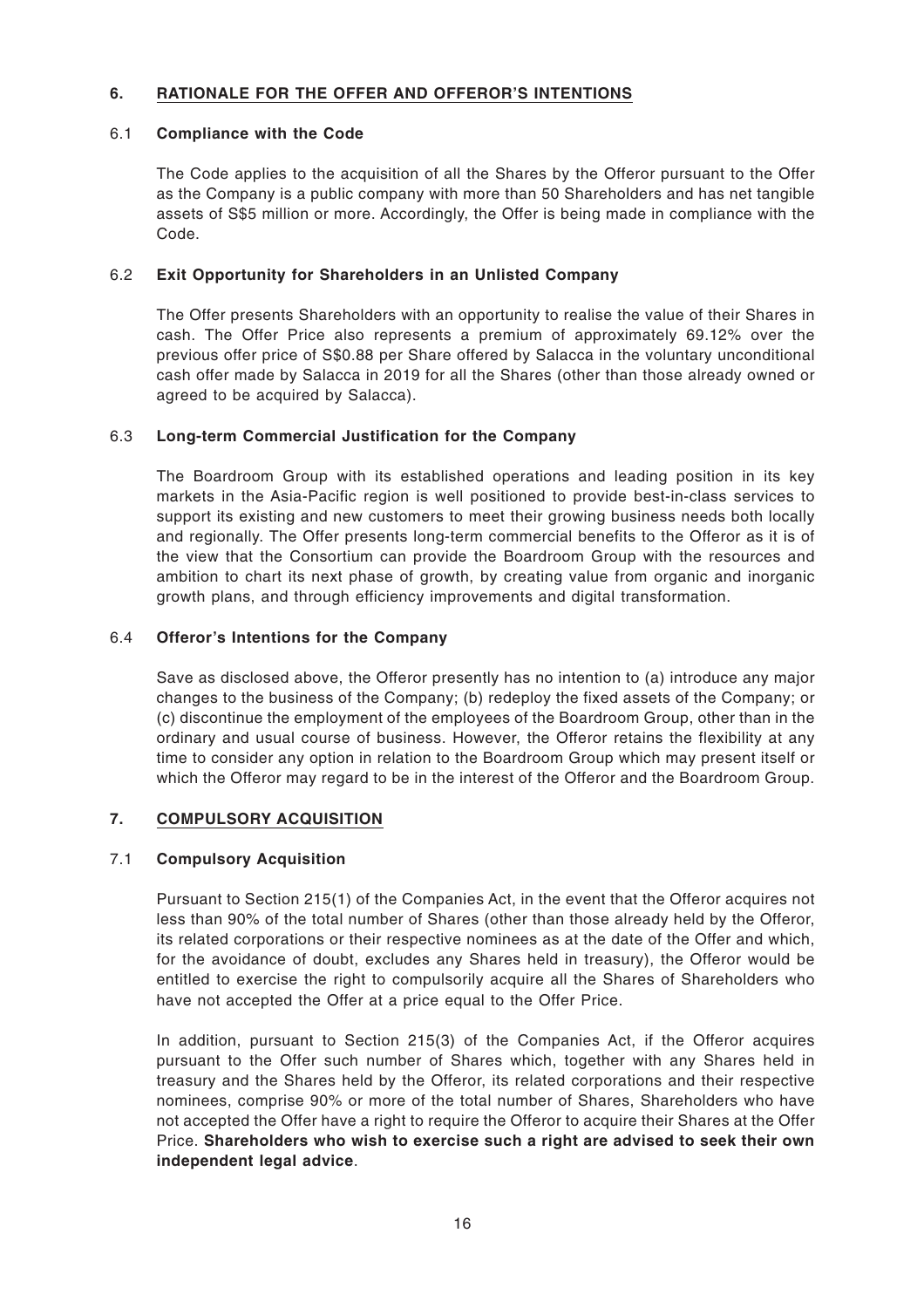#### **6. RATIONALE FOR THE OFFER AND OFFEROR'S INTENTIONS**

#### 6.1 **Compliance with the Code**

The Code applies to the acquisition of all the Shares by the Offeror pursuant to the Offer as the Company is a public company with more than 50 Shareholders and has net tangible assets of S\$5 million or more. Accordingly, the Offer is being made in compliance with the Code.

#### 6.2 **Exit Opportunity for Shareholders in an Unlisted Company**

The Offer presents Shareholders with an opportunity to realise the value of their Shares in cash. The Offer Price also represents a premium of approximately 69.12% over the previous offer price of S\$0.88 per Share offered by Salacca in the voluntary unconditional cash offer made by Salacca in 2019 for all the Shares (other than those already owned or agreed to be acquired by Salacca).

#### 6.3 **Long-term Commercial Justification for the Company**

The Boardroom Group with its established operations and leading position in its key markets in the Asia-Pacific region is well positioned to provide best-in-class services to support its existing and new customers to meet their growing business needs both locally and regionally. The Offer presents long-term commercial benefits to the Offeror as it is of the view that the Consortium can provide the Boardroom Group with the resources and ambition to chart its next phase of growth, by creating value from organic and inorganic growth plans, and through efficiency improvements and digital transformation.

#### 6.4 **Offeror's Intentions for the Company**

Save as disclosed above, the Offeror presently has no intention to (a) introduce any major changes to the business of the Company; (b) redeploy the fixed assets of the Company; or (c) discontinue the employment of the employees of the Boardroom Group, other than in the ordinary and usual course of business. However, the Offeror retains the flexibility at any time to consider any option in relation to the Boardroom Group which may present itself or which the Offeror may regard to be in the interest of the Offeror and the Boardroom Group.

#### **7. COMPULSORY ACQUISITION**

#### 7.1 **Compulsory Acquisition**

Pursuant to Section 215(1) of the Companies Act, in the event that the Offeror acquires not less than 90% of the total number of Shares (other than those already held by the Offeror, its related corporations or their respective nominees as at the date of the Offer and which, for the avoidance of doubt, excludes any Shares held in treasury), the Offeror would be entitled to exercise the right to compulsorily acquire all the Shares of Shareholders who have not accepted the Offer at a price equal to the Offer Price.

In addition, pursuant to Section 215(3) of the Companies Act, if the Offeror acquires pursuant to the Offer such number of Shares which, together with any Shares held in treasury and the Shares held by the Offeror, its related corporations and their respective nominees, comprise 90% or more of the total number of Shares, Shareholders who have not accepted the Offer have a right to require the Offeror to acquire their Shares at the Offer Price. **Shareholders who wish to exercise such a right are advised to seek their own independent legal advice**.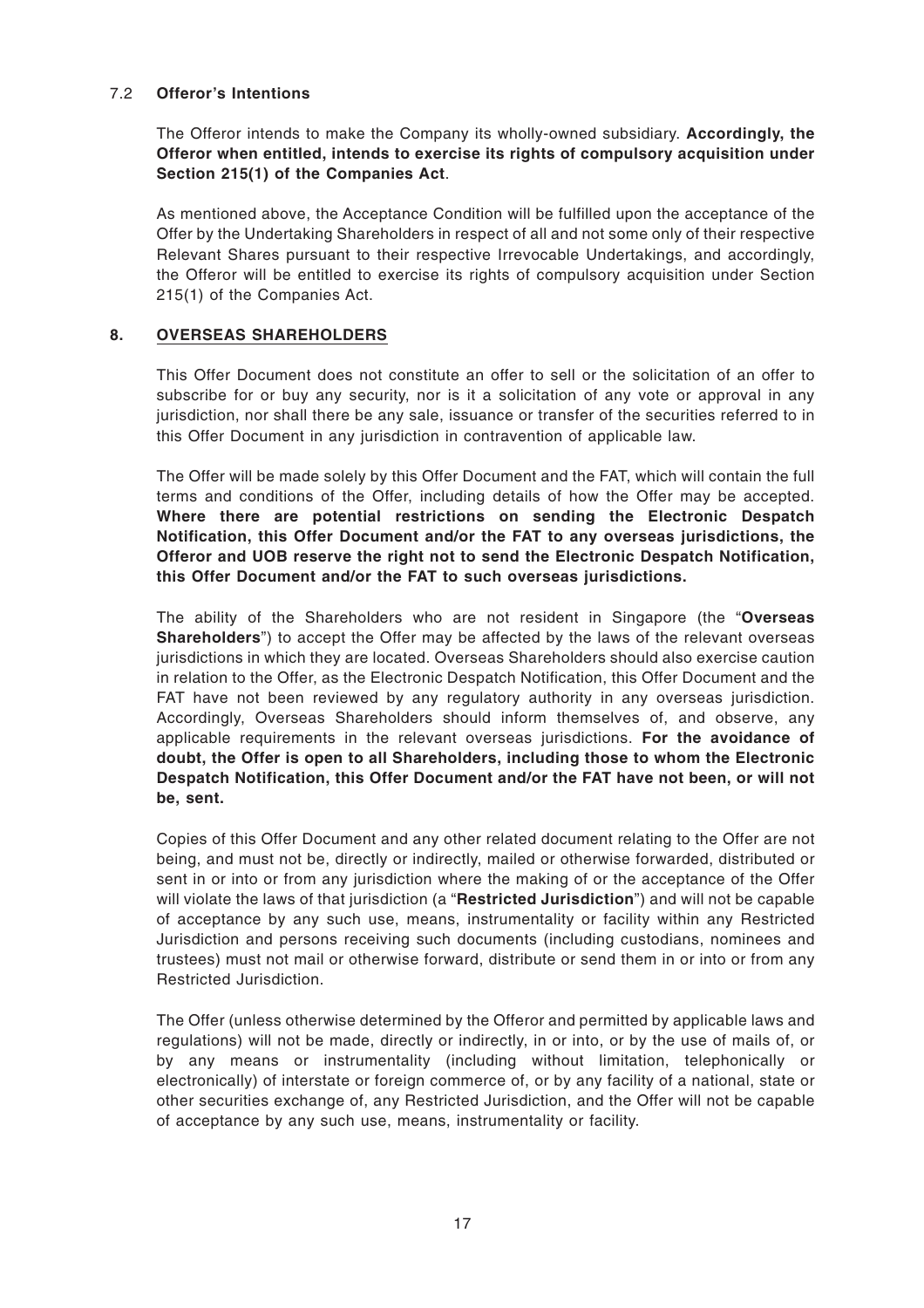#### 7.2 **Offeror's Intentions**

The Offeror intends to make the Company its wholly-owned subsidiary. **Accordingly, the Offeror when entitled, intends to exercise its rights of compulsory acquisition under Section 215(1) of the Companies Act**.

As mentioned above, the Acceptance Condition will be fulfilled upon the acceptance of the Offer by the Undertaking Shareholders in respect of all and not some only of their respective Relevant Shares pursuant to their respective Irrevocable Undertakings, and accordingly, the Offeror will be entitled to exercise its rights of compulsory acquisition under Section 215(1) of the Companies Act.

#### **8. OVERSEAS SHAREHOLDERS**

This Offer Document does not constitute an offer to sell or the solicitation of an offer to subscribe for or buy any security, nor is it a solicitation of any vote or approval in any jurisdiction, nor shall there be any sale, issuance or transfer of the securities referred to in this Offer Document in any jurisdiction in contravention of applicable law.

The Offer will be made solely by this Offer Document and the FAT, which will contain the full terms and conditions of the Offer, including details of how the Offer may be accepted. **Where there are potential restrictions on sending the Electronic Despatch Notification, this Offer Document and/or the FAT to any overseas jurisdictions, the Offeror and UOB reserve the right not to send the Electronic Despatch Notification, this Offer Document and/or the FAT to such overseas jurisdictions.**

The ability of the Shareholders who are not resident in Singapore (the "**Overseas Shareholders**") to accept the Offer may be affected by the laws of the relevant overseas jurisdictions in which they are located. Overseas Shareholders should also exercise caution in relation to the Offer, as the Electronic Despatch Notification, this Offer Document and the FAT have not been reviewed by any regulatory authority in any overseas jurisdiction. Accordingly, Overseas Shareholders should inform themselves of, and observe, any applicable requirements in the relevant overseas jurisdictions. **For the avoidance of doubt, the Offer is open to all Shareholders, including those to whom the Electronic Despatch Notification, this Offer Document and/or the FAT have not been, or will not be, sent.**

Copies of this Offer Document and any other related document relating to the Offer are not being, and must not be, directly or indirectly, mailed or otherwise forwarded, distributed or sent in or into or from any jurisdiction where the making of or the acceptance of the Offer will violate the laws of that jurisdiction (a "**Restricted Jurisdiction**") and will not be capable of acceptance by any such use, means, instrumentality or facility within any Restricted Jurisdiction and persons receiving such documents (including custodians, nominees and trustees) must not mail or otherwise forward, distribute or send them in or into or from any Restricted Jurisdiction.

The Offer (unless otherwise determined by the Offeror and permitted by applicable laws and regulations) will not be made, directly or indirectly, in or into, or by the use of mails of, or by any means or instrumentality (including without limitation, telephonically or electronically) of interstate or foreign commerce of, or by any facility of a national, state or other securities exchange of, any Restricted Jurisdiction, and the Offer will not be capable of acceptance by any such use, means, instrumentality or facility.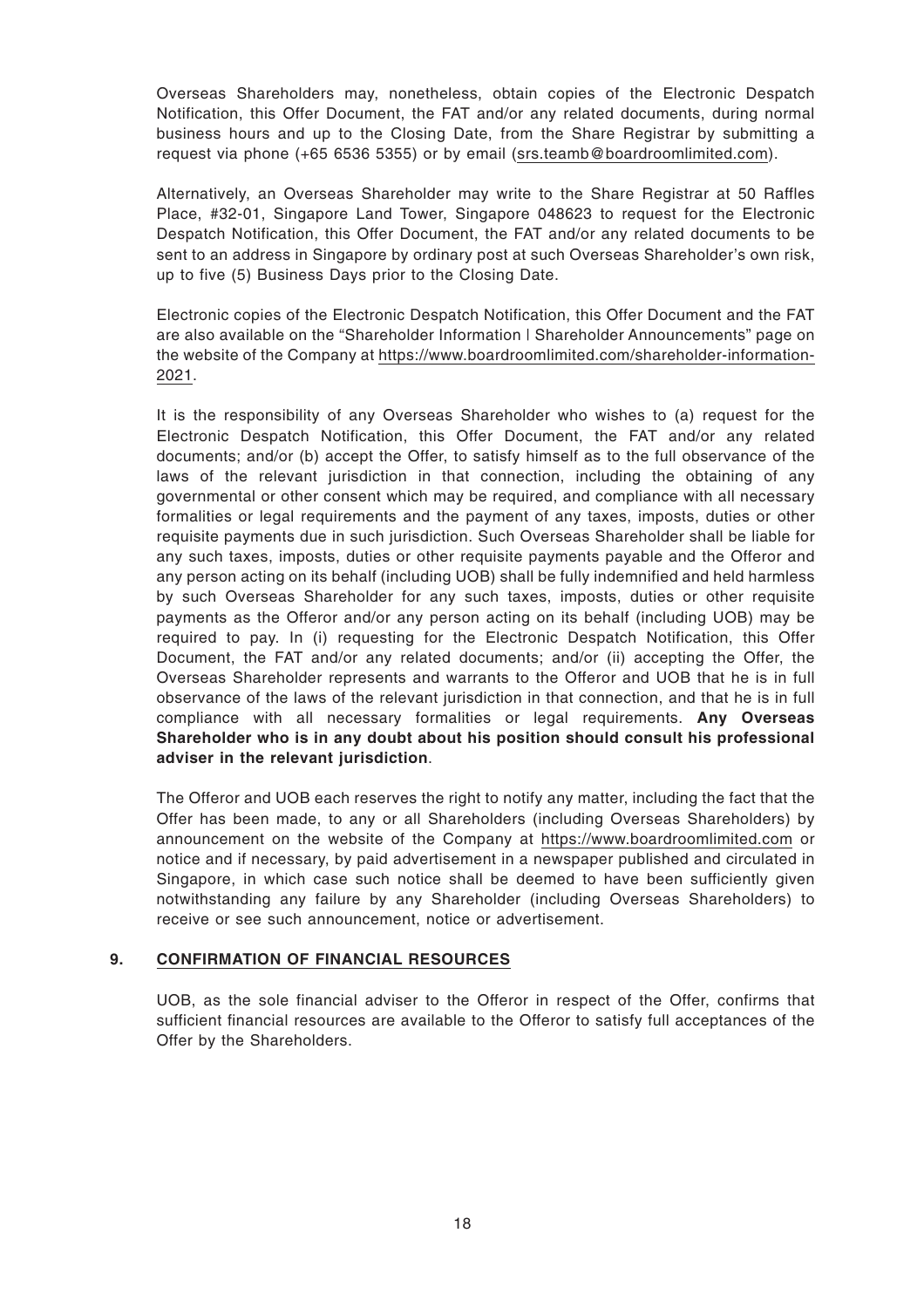Overseas Shareholders may, nonetheless, obtain copies of the Electronic Despatch Notification, this Offer Document, the FAT and/or any related documents, during normal business hours and up to the Closing Date, from the Share Registrar by submitting a request via phone (+65 6536 5355) or by email (srs.teamb@boardroomlimited.com).

Alternatively, an Overseas Shareholder may write to the Share Registrar at 50 Raffles Place, #32-01, Singapore Land Tower, Singapore 048623 to request for the Electronic Despatch Notification, this Offer Document, the FAT and/or any related documents to be sent to an address in Singapore by ordinary post at such Overseas Shareholder's own risk, up to five (5) Business Days prior to the Closing Date.

Electronic copies of the Electronic Despatch Notification, this Offer Document and the FAT are also available on the "Shareholder Information | Shareholder Announcements" page on the website of the Company at https://www.boardroomlimited.com/shareholder-information-2021.

It is the responsibility of any Overseas Shareholder who wishes to (a) request for the Electronic Despatch Notification, this Offer Document, the FAT and/or any related documents; and/or (b) accept the Offer, to satisfy himself as to the full observance of the laws of the relevant jurisdiction in that connection, including the obtaining of any governmental or other consent which may be required, and compliance with all necessary formalities or legal requirements and the payment of any taxes, imposts, duties or other requisite payments due in such jurisdiction. Such Overseas Shareholder shall be liable for any such taxes, imposts, duties or other requisite payments payable and the Offeror and any person acting on its behalf (including UOB) shall be fully indemnified and held harmless by such Overseas Shareholder for any such taxes, imposts, duties or other requisite payments as the Offeror and/or any person acting on its behalf (including UOB) may be required to pay. In (i) requesting for the Electronic Despatch Notification, this Offer Document, the FAT and/or any related documents; and/or (ii) accepting the Offer, the Overseas Shareholder represents and warrants to the Offeror and UOB that he is in full observance of the laws of the relevant jurisdiction in that connection, and that he is in full compliance with all necessary formalities or legal requirements. **Any Overseas Shareholder who is in any doubt about his position should consult his professional adviser in the relevant jurisdiction**.

The Offeror and UOB each reserves the right to notify any matter, including the fact that the Offer has been made, to any or all Shareholders (including Overseas Shareholders) by announcement on the website of the Company at https://www.boardroomlimited.com or notice and if necessary, by paid advertisement in a newspaper published and circulated in Singapore, in which case such notice shall be deemed to have been sufficiently given notwithstanding any failure by any Shareholder (including Overseas Shareholders) to receive or see such announcement, notice or advertisement.

#### **9. CONFIRMATION OF FINANCIAL RESOURCES**

UOB, as the sole financial adviser to the Offeror in respect of the Offer, confirms that sufficient financial resources are available to the Offeror to satisfy full acceptances of the Offer by the Shareholders.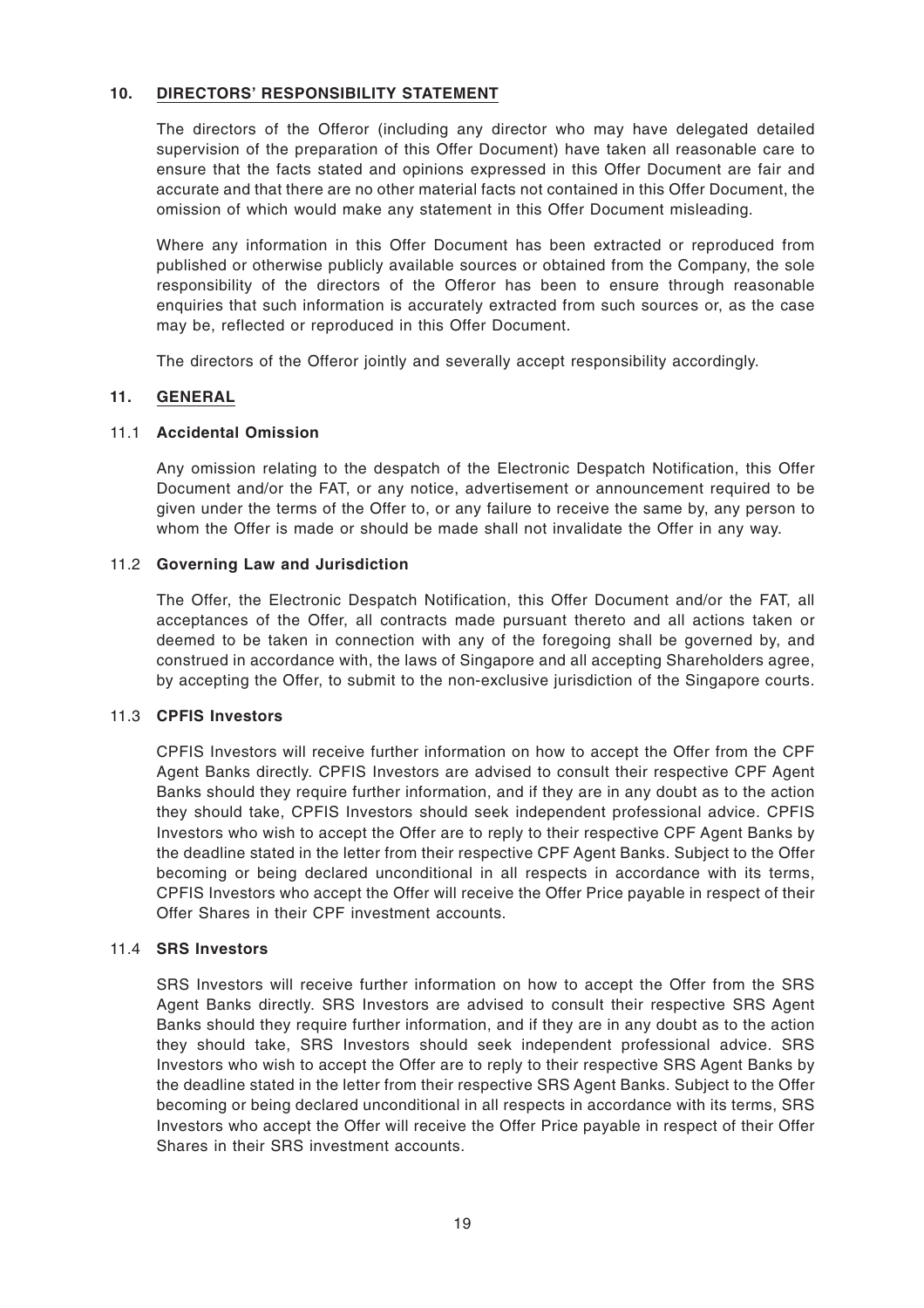#### **10. DIRECTORS' RESPONSIBILITY STATEMENT**

The directors of the Offeror (including any director who may have delegated detailed supervision of the preparation of this Offer Document) have taken all reasonable care to ensure that the facts stated and opinions expressed in this Offer Document are fair and accurate and that there are no other material facts not contained in this Offer Document, the omission of which would make any statement in this Offer Document misleading.

Where any information in this Offer Document has been extracted or reproduced from published or otherwise publicly available sources or obtained from the Company, the sole responsibility of the directors of the Offeror has been to ensure through reasonable enquiries that such information is accurately extracted from such sources or, as the case may be, reflected or reproduced in this Offer Document.

The directors of the Offeror jointly and severally accept responsibility accordingly.

#### **11. GENERAL**

#### 11.1 **Accidental Omission**

Any omission relating to the despatch of the Electronic Despatch Notification, this Offer Document and/or the FAT, or any notice, advertisement or announcement required to be given under the terms of the Offer to, or any failure to receive the same by, any person to whom the Offer is made or should be made shall not invalidate the Offer in any way.

#### 11.2 **Governing Law and Jurisdiction**

The Offer, the Electronic Despatch Notification, this Offer Document and/or the FAT, all acceptances of the Offer, all contracts made pursuant thereto and all actions taken or deemed to be taken in connection with any of the foregoing shall be governed by, and construed in accordance with, the laws of Singapore and all accepting Shareholders agree, by accepting the Offer, to submit to the non-exclusive jurisdiction of the Singapore courts.

#### 11.3 **CPFIS Investors**

CPFIS Investors will receive further information on how to accept the Offer from the CPF Agent Banks directly. CPFIS Investors are advised to consult their respective CPF Agent Banks should they require further information, and if they are in any doubt as to the action they should take, CPFIS Investors should seek independent professional advice. CPFIS Investors who wish to accept the Offer are to reply to their respective CPF Agent Banks by the deadline stated in the letter from their respective CPF Agent Banks. Subject to the Offer becoming or being declared unconditional in all respects in accordance with its terms, CPFIS Investors who accept the Offer will receive the Offer Price payable in respect of their Offer Shares in their CPF investment accounts.

#### 11.4 **SRS Investors**

SRS Investors will receive further information on how to accept the Offer from the SRS Agent Banks directly. SRS Investors are advised to consult their respective SRS Agent Banks should they require further information, and if they are in any doubt as to the action they should take, SRS Investors should seek independent professional advice. SRS Investors who wish to accept the Offer are to reply to their respective SRS Agent Banks by the deadline stated in the letter from their respective SRS Agent Banks. Subject to the Offer becoming or being declared unconditional in all respects in accordance with its terms, SRS Investors who accept the Offer will receive the Offer Price payable in respect of their Offer Shares in their SRS investment accounts.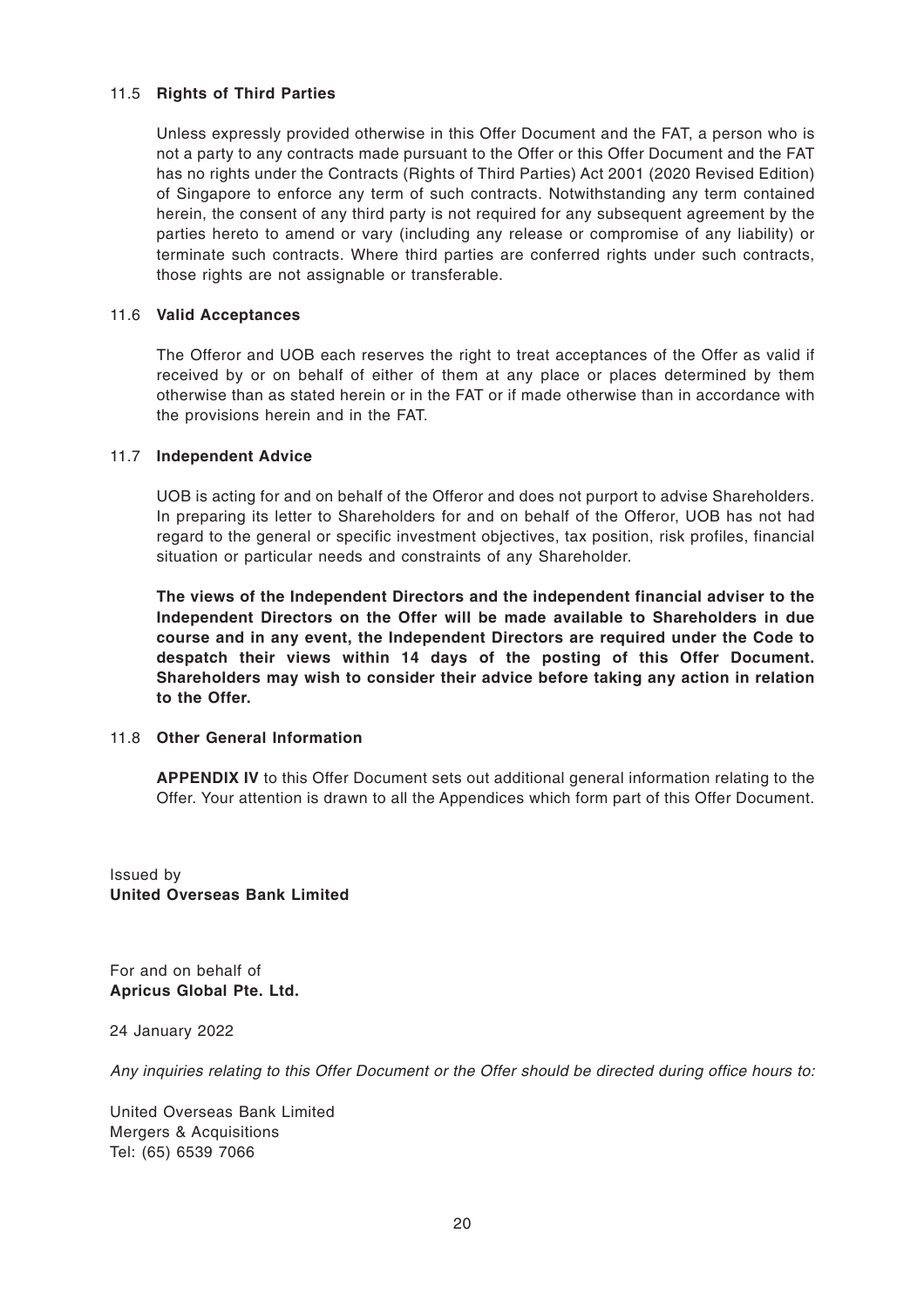#### 11.5 **Rights of Third Parties**

Unless expressly provided otherwise in this Offer Document and the FAT, a person who is not a party to any contracts made pursuant to the Offer or this Offer Document and the FAT has no rights under the Contracts (Rights of Third Parties) Act 2001 (2020 Revised Edition) of Singapore to enforce any term of such contracts. Notwithstanding any term contained herein, the consent of any third party is not required for any subsequent agreement by the parties hereto to amend or vary (including any release or compromise of any liability) or terminate such contracts. Where third parties are conferred rights under such contracts, those rights are not assignable or transferable.

#### 11.6 **Valid Acceptances**

The Offeror and UOB each reserves the right to treat acceptances of the Offer as valid if received by or on behalf of either of them at any place or places determined by them otherwise than as stated herein or in the FAT or if made otherwise than in accordance with the provisions herein and in the FAT.

#### 11.7 **Independent Advice**

UOB is acting for and on behalf of the Offeror and does not purport to advise Shareholders. In preparing its letter to Shareholders for and on behalf of the Offeror, UOB has not had regard to the general or specific investment objectives, tax position, risk profiles, financial situation or particular needs and constraints of any Shareholder.

**The views of the Independent Directors and the independent financial adviser to the Independent Directors on the Offer will be made available to Shareholders in due course and in any event, the Independent Directors are required under the Code to despatch their views within 14 days of the posting of this Offer Document. Shareholders may wish to consider their advice before taking any action in relation to the Offer.**

#### 11.8 **Other General Information**

**APPENDIX IV** to this Offer Document sets out additional general information relating to the Offer. Your attention is drawn to all the Appendices which form part of this Offer Document.

Issued by **United Overseas Bank Limited**

For and on behalf of **Apricus Global Pte. Ltd.**

24 January 2022

Any inquiries relating to this Offer Document or the Offer should be directed during office hours to:

United Overseas Bank Limited Mergers & Acquisitions Tel: (65) 6539 7066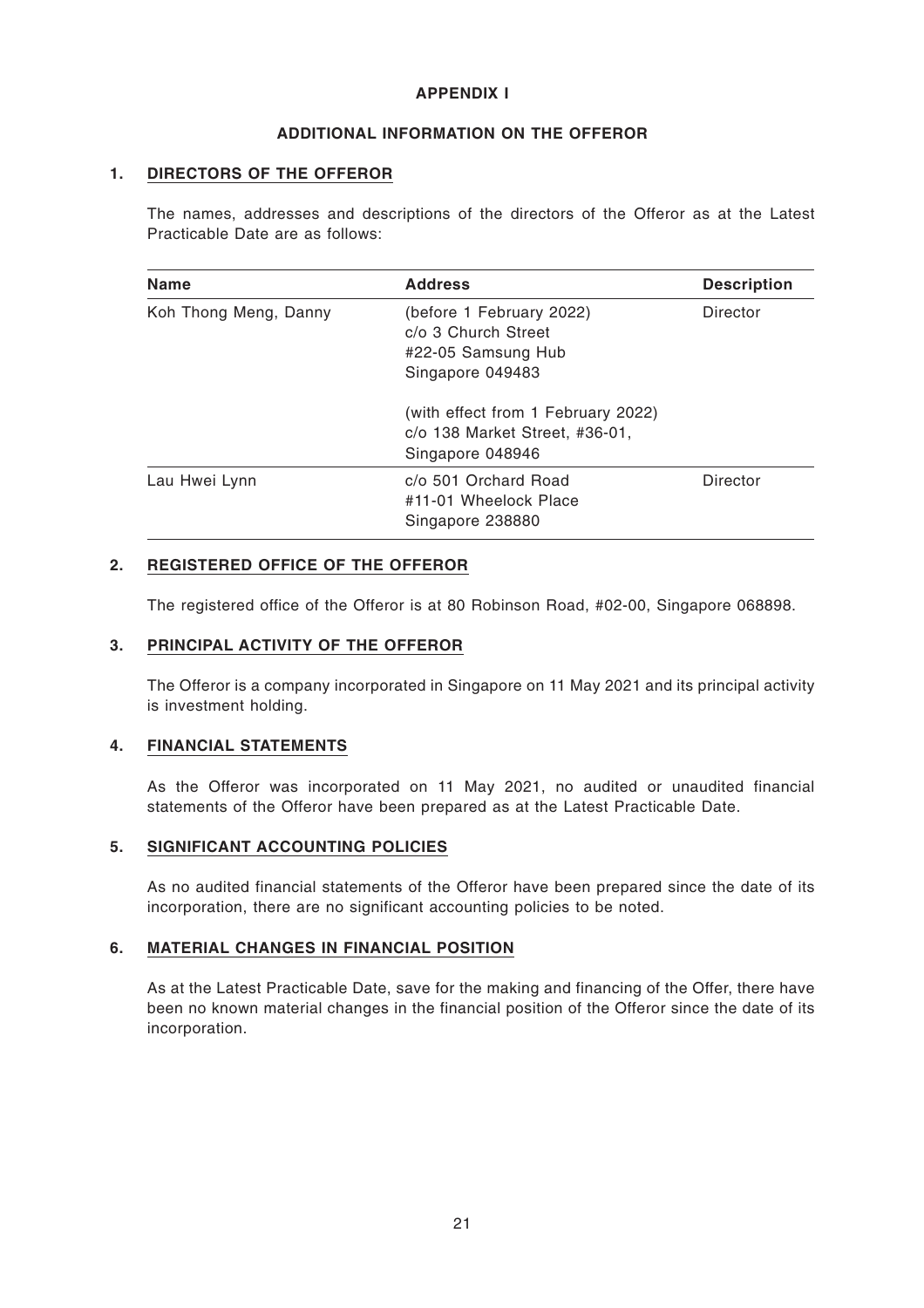#### **APPENDIX I**

#### **ADDITIONAL INFORMATION ON THE OFFEROR**

#### **1. DIRECTORS OF THE OFFEROR**

The names, addresses and descriptions of the directors of the Offeror as at the Latest Practicable Date are as follows:

| <b>Name</b>           | <b>Address</b>                                                                                        | <b>Description</b> |
|-----------------------|-------------------------------------------------------------------------------------------------------|--------------------|
| Koh Thong Meng, Danny | (before 1 February 2022)<br>Director<br>c/o 3 Church Street<br>#22-05 Samsung Hub<br>Singapore 049483 |                    |
|                       | (with effect from 1 February 2022)<br>c/o 138 Market Street, #36-01,<br>Singapore 048946              |                    |
| Lau Hwei Lynn         | c/o 501 Orchard Road<br>#11-01 Wheelock Place<br>Singapore 238880                                     | Director           |

#### **2. REGISTERED OFFICE OF THE OFFEROR**

The registered office of the Offeror is at 80 Robinson Road, #02-00, Singapore 068898.

#### **3. PRINCIPAL ACTIVITY OF THE OFFEROR**

The Offeror is a company incorporated in Singapore on 11 May 2021 and its principal activity is investment holding.

#### **4. FINANCIAL STATEMENTS**

As the Offeror was incorporated on 11 May 2021, no audited or unaudited financial statements of the Offeror have been prepared as at the Latest Practicable Date.

#### **5. SIGNIFICANT ACCOUNTING POLICIES**

As no audited financial statements of the Offeror have been prepared since the date of its incorporation, there are no significant accounting policies to be noted.

#### **6. MATERIAL CHANGES IN FINANCIAL POSITION**

As at the Latest Practicable Date, save for the making and financing of the Offer, there have been no known material changes in the financial position of the Offeror since the date of its incorporation.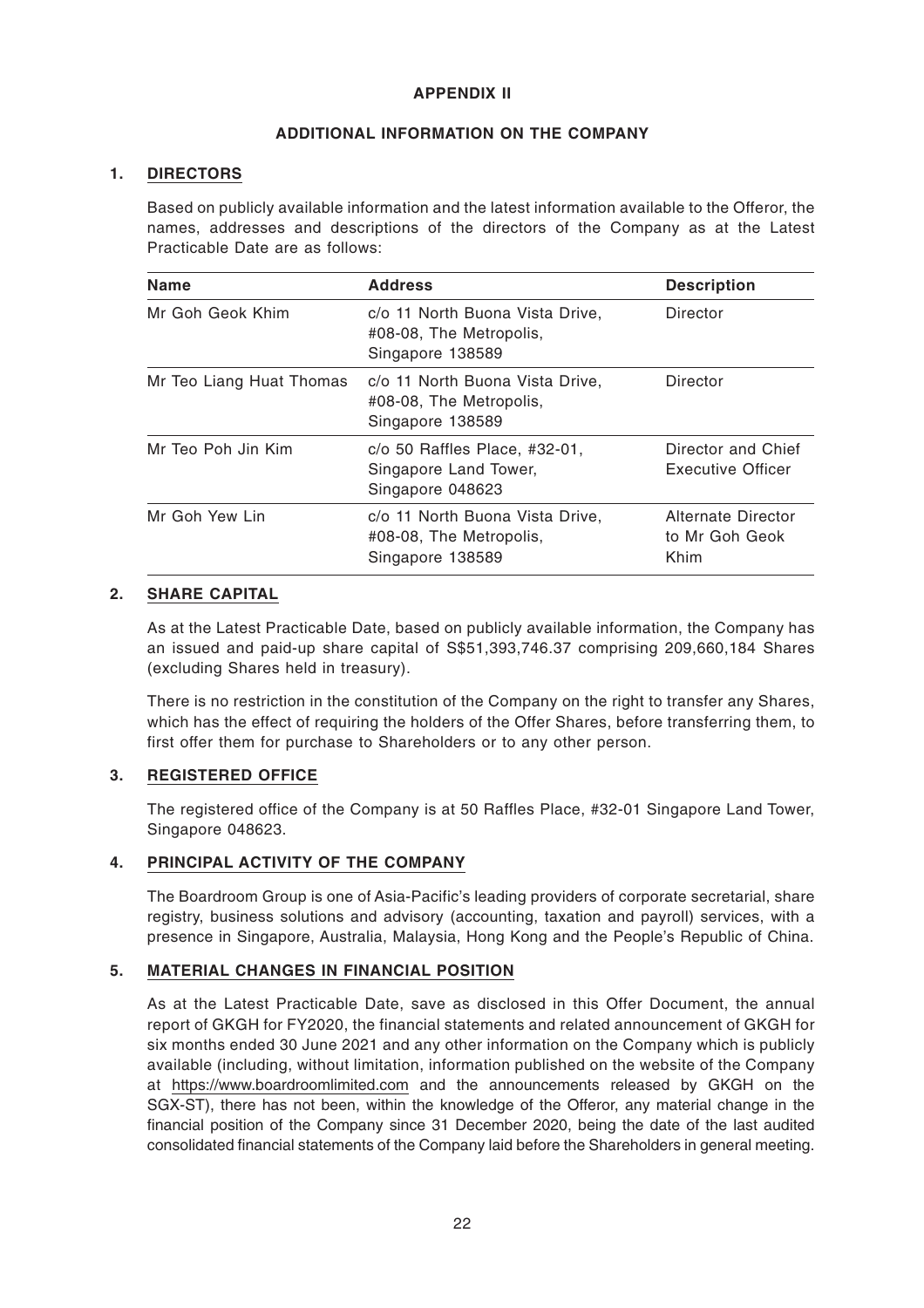#### **APPENDIX II**

#### **ADDITIONAL INFORMATION ON THE COMPANY**

#### **1. DIRECTORS**

Based on publicly available information and the latest information available to the Offeror, the names, addresses and descriptions of the directors of the Company as at the Latest Practicable Date are as follows:

| <b>Name</b>              | <b>Address</b>                                                                 | <b>Description</b>                           |
|--------------------------|--------------------------------------------------------------------------------|----------------------------------------------|
| Mr Goh Geok Khim         | c/o 11 North Buona Vista Drive,<br>#08-08, The Metropolis,<br>Singapore 138589 | Director                                     |
| Mr Teo Liang Huat Thomas | c/o 11 North Buona Vista Drive,<br>#08-08, The Metropolis,<br>Singapore 138589 | Director                                     |
| Mr Teo Poh Jin Kim       | $c$ /o 50 Raffles Place, #32-01,<br>Singapore Land Tower,<br>Singapore 048623  | Director and Chief<br>Executive Officer      |
| Mr Goh Yew Lin           | c/o 11 North Buona Vista Drive,<br>#08-08, The Metropolis,<br>Singapore 138589 | Alternate Director<br>to Mr Goh Geok<br>Khim |

#### **2. SHARE CAPITAL**

As at the Latest Practicable Date, based on publicly available information, the Company has an issued and paid-up share capital of S\$51,393,746.37 comprising 209,660,184 Shares (excluding Shares held in treasury).

There is no restriction in the constitution of the Company on the right to transfer any Shares, which has the effect of requiring the holders of the Offer Shares, before transferring them, to first offer them for purchase to Shareholders or to any other person.

#### **3. REGISTERED OFFICE**

The registered office of the Company is at 50 Raffles Place, #32-01 Singapore Land Tower, Singapore 048623.

#### **4. PRINCIPAL ACTIVITY OF THE COMPANY**

The Boardroom Group is one of Asia-Pacific's leading providers of corporate secretarial, share registry, business solutions and advisory (accounting, taxation and payroll) services, with a presence in Singapore, Australia, Malaysia, Hong Kong and the People's Republic of China.

#### **5. MATERIAL CHANGES IN FINANCIAL POSITION**

As at the Latest Practicable Date, save as disclosed in this Offer Document, the annual report of GKGH for FY2020, the financial statements and related announcement of GKGH for six months ended 30 June 2021 and any other information on the Company which is publicly available (including, without limitation, information published on the website of the Company at https://www.boardroomlimited.com and the announcements released by GKGH on the SGX-ST), there has not been, within the knowledge of the Offeror, any material change in the financial position of the Company since 31 December 2020, being the date of the last audited consolidated financial statements of the Company laid before the Shareholders in general meeting.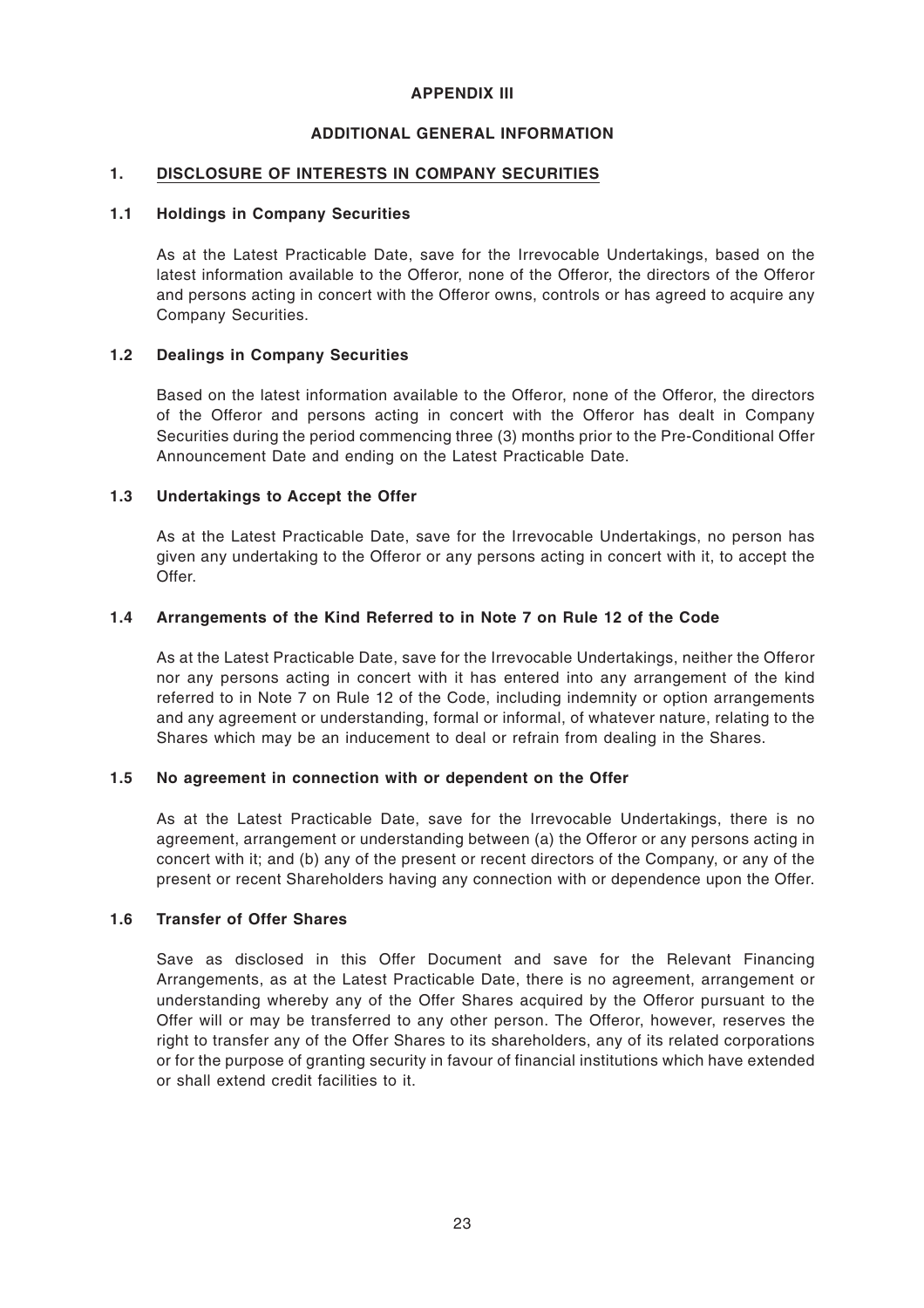#### **APPENDIX III**

#### **ADDITIONAL GENERAL INFORMATION**

#### **1. DISCLOSURE OF INTERESTS IN COMPANY SECURITIES**

#### **1.1 Holdings in Company Securities**

As at the Latest Practicable Date, save for the Irrevocable Undertakings, based on the latest information available to the Offeror, none of the Offeror, the directors of the Offeror and persons acting in concert with the Offeror owns, controls or has agreed to acquire any Company Securities.

#### **1.2 Dealings in Company Securities**

Based on the latest information available to the Offeror, none of the Offeror, the directors of the Offeror and persons acting in concert with the Offeror has dealt in Company Securities during the period commencing three (3) months prior to the Pre-Conditional Offer Announcement Date and ending on the Latest Practicable Date.

#### **1.3 Undertakings to Accept the Offer**

As at the Latest Practicable Date, save for the Irrevocable Undertakings, no person has given any undertaking to the Offeror or any persons acting in concert with it, to accept the Offer.

#### **1.4 Arrangements of the Kind Referred to in Note 7 on Rule 12 of the Code**

As at the Latest Practicable Date, save for the Irrevocable Undertakings, neither the Offeror nor any persons acting in concert with it has entered into any arrangement of the kind referred to in Note 7 on Rule 12 of the Code, including indemnity or option arrangements and any agreement or understanding, formal or informal, of whatever nature, relating to the Shares which may be an inducement to deal or refrain from dealing in the Shares.

#### **1.5 No agreement in connection with or dependent on the Offer**

As at the Latest Practicable Date, save for the Irrevocable Undertakings, there is no agreement, arrangement or understanding between (a) the Offeror or any persons acting in concert with it; and (b) any of the present or recent directors of the Company, or any of the present or recent Shareholders having any connection with or dependence upon the Offer.

#### **1.6 Transfer of Offer Shares**

Save as disclosed in this Offer Document and save for the Relevant Financing Arrangements, as at the Latest Practicable Date, there is no agreement, arrangement or understanding whereby any of the Offer Shares acquired by the Offeror pursuant to the Offer will or may be transferred to any other person. The Offeror, however, reserves the right to transfer any of the Offer Shares to its shareholders, any of its related corporations or for the purpose of granting security in favour of financial institutions which have extended or shall extend credit facilities to it.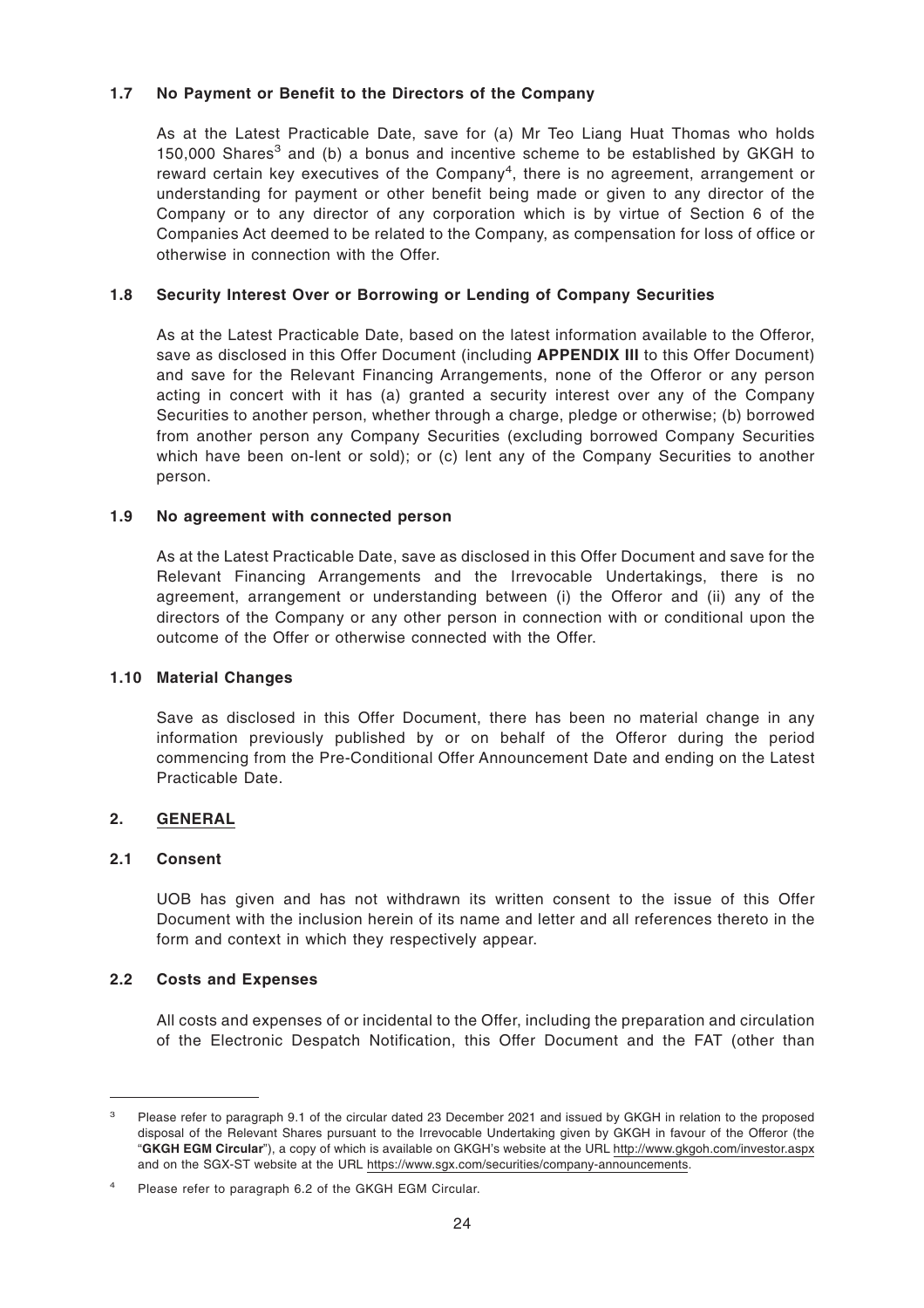#### **1.7 No Payment or Benefit to the Directors of the Company**

As at the Latest Practicable Date, save for (a) Mr Teo Liang Huat Thomas who holds 150,000 Shares<sup>3</sup> and (b) a bonus and incentive scheme to be established by GKGH to reward certain key executives of the Company<sup>4</sup>, there is no agreement, arrangement or understanding for payment or other benefit being made or given to any director of the Company or to any director of any corporation which is by virtue of Section 6 of the Companies Act deemed to be related to the Company, as compensation for loss of office or otherwise in connection with the Offer.

#### **1.8 Security Interest Over or Borrowing or Lending of Company Securities**

As at the Latest Practicable Date, based on the latest information available to the Offeror, save as disclosed in this Offer Document (including **APPENDIX III** to this Offer Document) and save for the Relevant Financing Arrangements, none of the Offeror or any person acting in concert with it has (a) granted a security interest over any of the Company Securities to another person, whether through a charge, pledge or otherwise; (b) borrowed from another person any Company Securities (excluding borrowed Company Securities which have been on-lent or sold); or (c) lent any of the Company Securities to another person.

#### **1.9 No agreement with connected person**

As at the Latest Practicable Date, save as disclosed in this Offer Document and save for the Relevant Financing Arrangements and the Irrevocable Undertakings, there is no agreement, arrangement or understanding between (i) the Offeror and (ii) any of the directors of the Company or any other person in connection with or conditional upon the outcome of the Offer or otherwise connected with the Offer.

#### **1.10 Material Changes**

Save as disclosed in this Offer Document, there has been no material change in any information previously published by or on behalf of the Offeror during the period commencing from the Pre-Conditional Offer Announcement Date and ending on the Latest Practicable Date.

#### **2. GENERAL**

#### **2.1 Consent**

UOB has given and has not withdrawn its written consent to the issue of this Offer Document with the inclusion herein of its name and letter and all references thereto in the form and context in which they respectively appear.

#### **2.2 Costs and Expenses**

All costs and expenses of or incidental to the Offer, including the preparation and circulation of the Electronic Despatch Notification, this Offer Document and the FAT (other than

<sup>3</sup> Please refer to paragraph 9.1 of the circular dated 23 December 2021 and issued by GKGH in relation to the proposed disposal of the Relevant Shares pursuant to the Irrevocable Undertaking given by GKGH in favour of the Offeror (the "**GKGH EGM Circular**"), a copy of which is available on GKGH's website at the URL http://www.gkgoh.com/investor.aspx and on the SGX-ST website at the URL https://www.sgx.com/securities/company-announcements.

Please refer to paragraph 6.2 of the GKGH EGM Circular.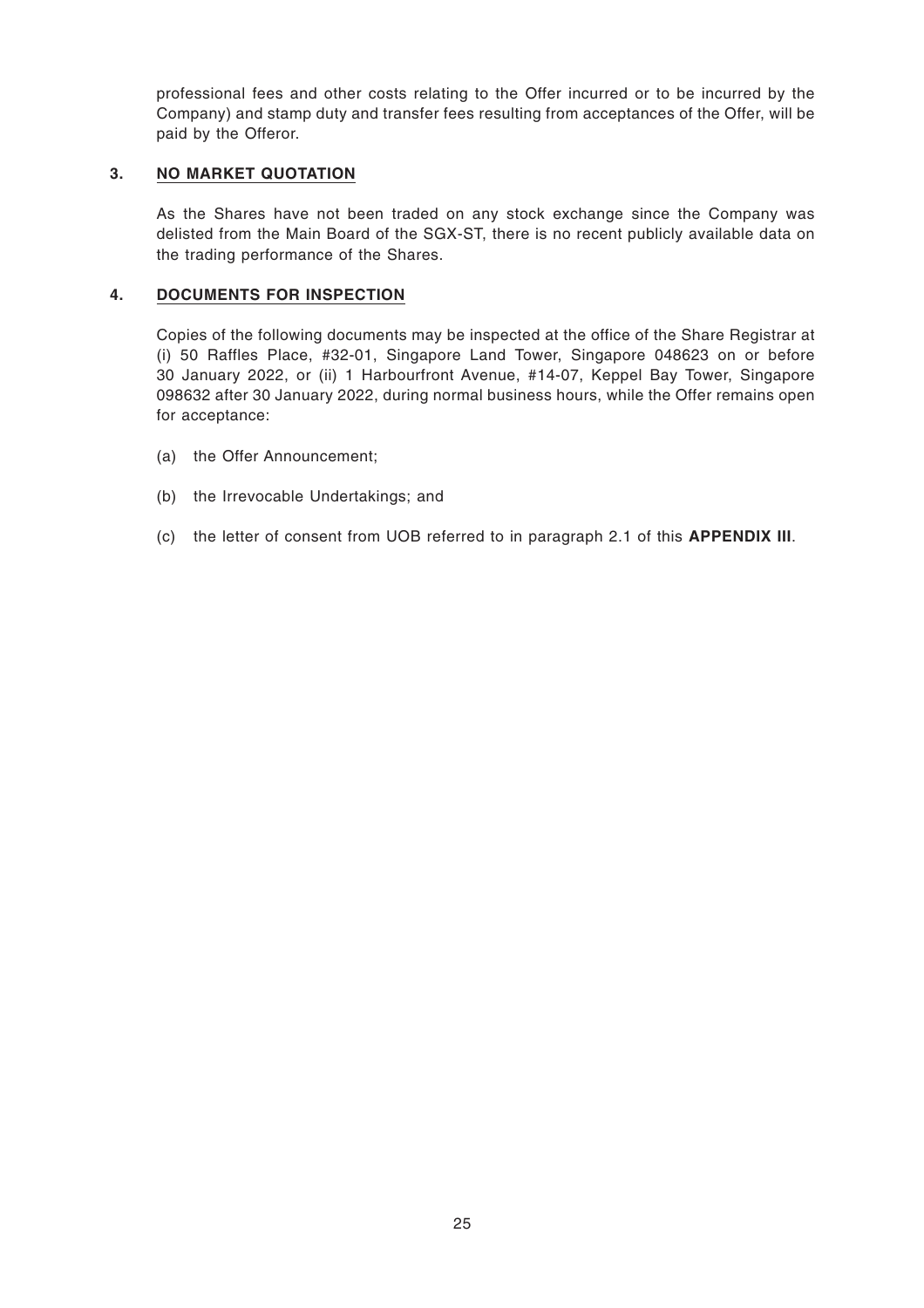professional fees and other costs relating to the Offer incurred or to be incurred by the Company) and stamp duty and transfer fees resulting from acceptances of the Offer, will be paid by the Offeror.

#### **3. NO MARKET QUOTATION**

As the Shares have not been traded on any stock exchange since the Company was delisted from the Main Board of the SGX-ST, there is no recent publicly available data on the trading performance of the Shares.

#### **4. DOCUMENTS FOR INSPECTION**

Copies of the following documents may be inspected at the office of the Share Registrar at (i) 50 Raffles Place, #32-01, Singapore Land Tower, Singapore 048623 on or before 30 January 2022, or (ii) 1 Harbourfront Avenue, #14-07, Keppel Bay Tower, Singapore 098632 after 30 January 2022, during normal business hours, while the Offer remains open for acceptance:

- (a) the Offer Announcement;
- (b) the Irrevocable Undertakings; and
- (c) the letter of consent from UOB referred to in paragraph 2.1 of this **APPENDIX III**.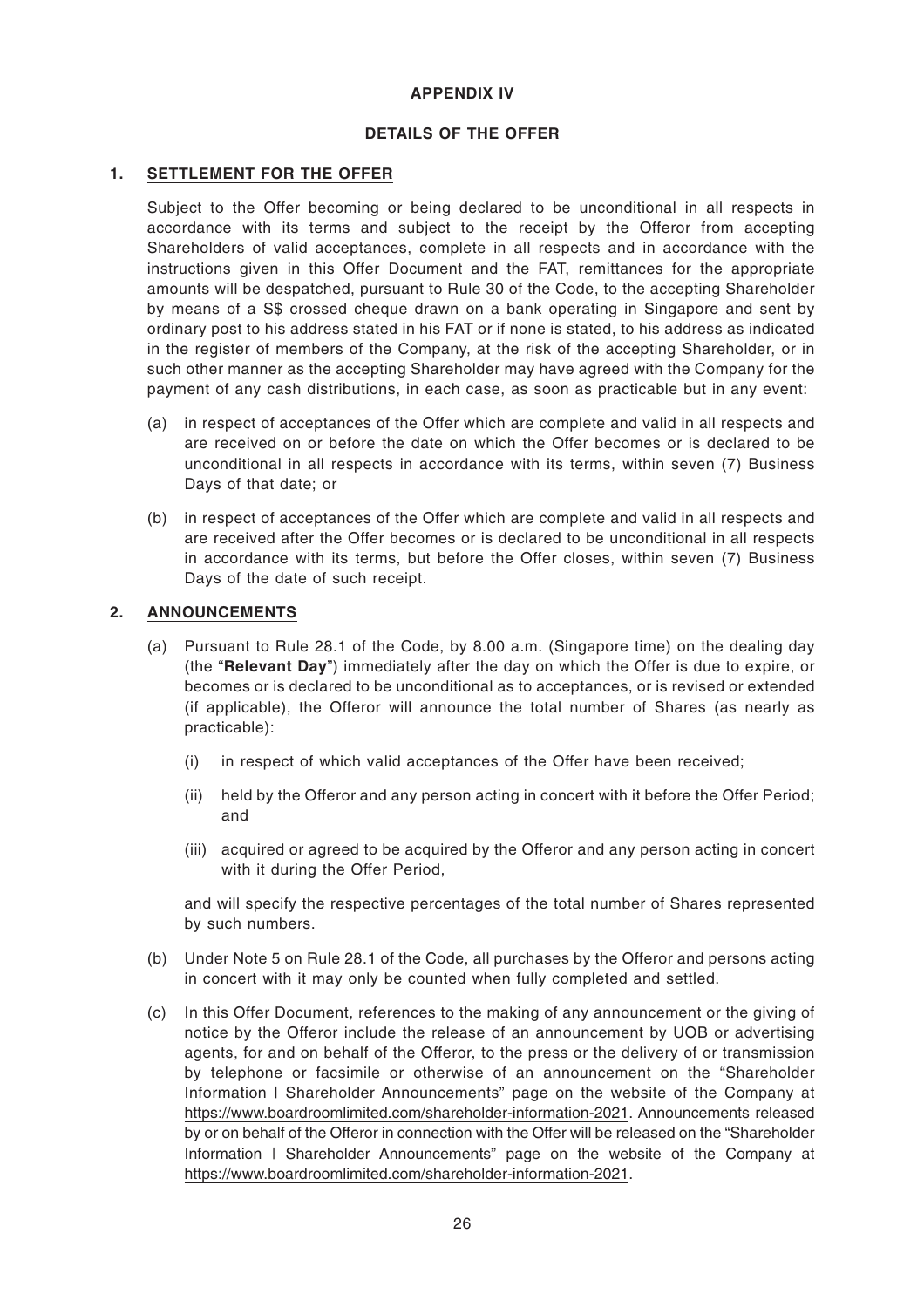#### **APPENDIX IV**

#### **DETAILS OF THE OFFER**

#### **1. SETTLEMENT FOR THE OFFER**

Subject to the Offer becoming or being declared to be unconditional in all respects in accordance with its terms and subject to the receipt by the Offeror from accepting Shareholders of valid acceptances, complete in all respects and in accordance with the instructions given in this Offer Document and the FAT, remittances for the appropriate amounts will be despatched, pursuant to Rule 30 of the Code, to the accepting Shareholder by means of a S\$ crossed cheque drawn on a bank operating in Singapore and sent by ordinary post to his address stated in his FAT or if none is stated, to his address as indicated in the register of members of the Company, at the risk of the accepting Shareholder, or in such other manner as the accepting Shareholder may have agreed with the Company for the payment of any cash distributions, in each case, as soon as practicable but in any event:

- (a) in respect of acceptances of the Offer which are complete and valid in all respects and are received on or before the date on which the Offer becomes or is declared to be unconditional in all respects in accordance with its terms, within seven (7) Business Days of that date; or
- (b) in respect of acceptances of the Offer which are complete and valid in all respects and are received after the Offer becomes or is declared to be unconditional in all respects in accordance with its terms, but before the Offer closes, within seven (7) Business Days of the date of such receipt.

#### **2. ANNOUNCEMENTS**

- (a) Pursuant to Rule 28.1 of the Code, by 8.00 a.m. (Singapore time) on the dealing day (the "**Relevant Day**") immediately after the day on which the Offer is due to expire, or becomes or is declared to be unconditional as to acceptances, or is revised or extended (if applicable), the Offeror will announce the total number of Shares (as nearly as practicable):
	- (i) in respect of which valid acceptances of the Offer have been received;
	- (ii) held by the Offeror and any person acting in concert with it before the Offer Period; and
	- (iii) acquired or agreed to be acquired by the Offeror and any person acting in concert with it during the Offer Period,

and will specify the respective percentages of the total number of Shares represented by such numbers.

- (b) Under Note 5 on Rule 28.1 of the Code, all purchases by the Offeror and persons acting in concert with it may only be counted when fully completed and settled.
- (c) In this Offer Document, references to the making of any announcement or the giving of notice by the Offeror include the release of an announcement by UOB or advertising agents, for and on behalf of the Offeror, to the press or the delivery of or transmission by telephone or facsimile or otherwise of an announcement on the "Shareholder Information | Shareholder Announcements" page on the website of the Company at https://www.boardroomlimited.com/shareholder-information-2021. Announcements released by or on behalf of the Offeror in connection with the Offer will be released on the "Shareholder Information | Shareholder Announcements" page on the website of the Company at https://www.boardroomlimited.com/shareholder-information-2021.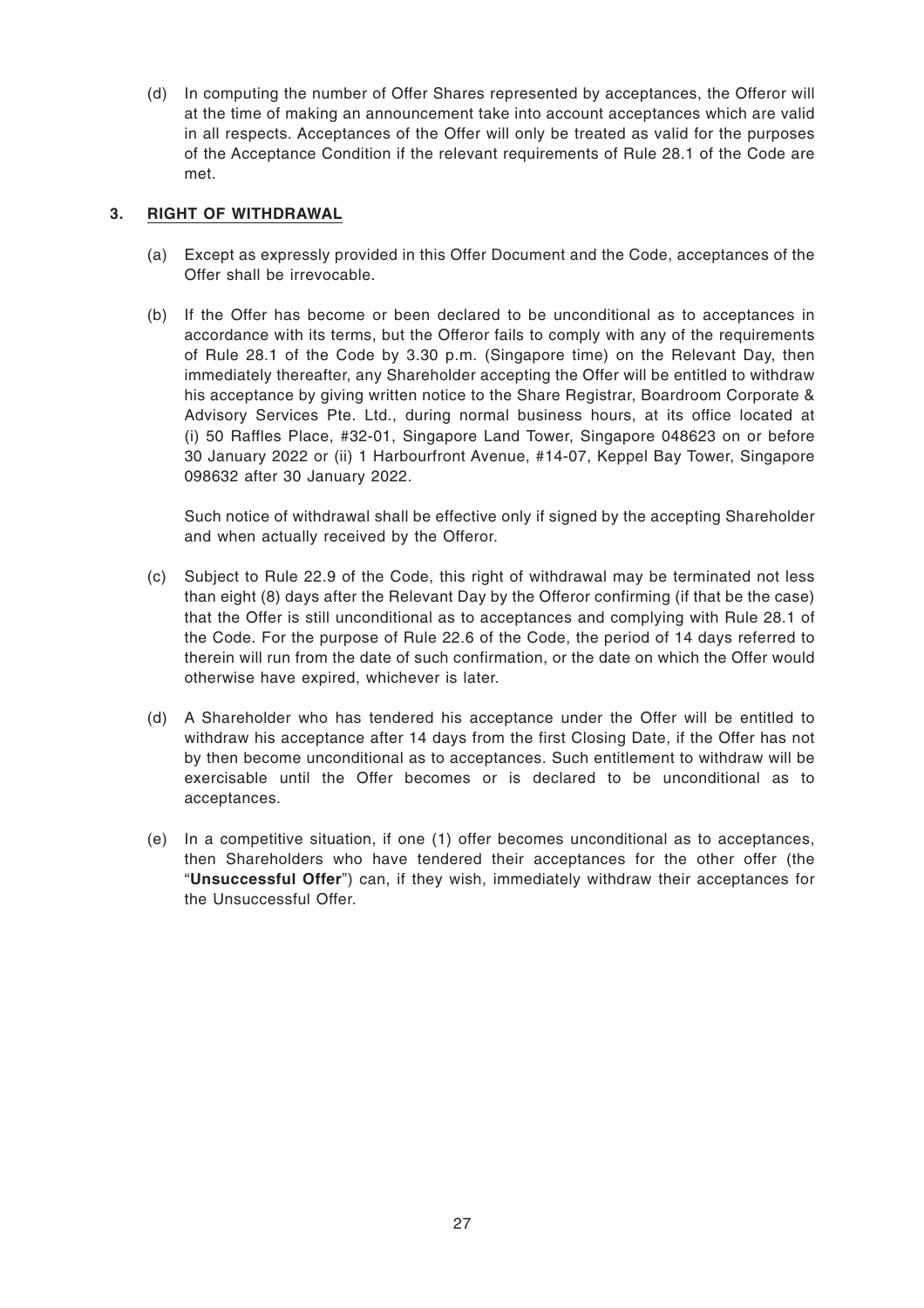(d) In computing the number of Offer Shares represented by acceptances, the Offeror will at the time of making an announcement take into account acceptances which are valid in all respects. Acceptances of the Offer will only be treated as valid for the purposes of the Acceptance Condition if the relevant requirements of Rule 28.1 of the Code are met.

#### **3. RIGHT OF WITHDRAWAL**

- (a) Except as expressly provided in this Offer Document and the Code, acceptances of the Offer shall be irrevocable.
- (b) If the Offer has become or been declared to be unconditional as to acceptances in accordance with its terms, but the Offeror fails to comply with any of the requirements of Rule 28.1 of the Code by 3.30 p.m. (Singapore time) on the Relevant Day, then immediately thereafter, any Shareholder accepting the Offer will be entitled to withdraw his acceptance by giving written notice to the Share Registrar, Boardroom Corporate & Advisory Services Pte. Ltd., during normal business hours, at its office located at (i) 50 Raffles Place, #32-01, Singapore Land Tower, Singapore 048623 on or before 30 January 2022 or (ii) 1 Harbourfront Avenue, #14-07, Keppel Bay Tower, Singapore 098632 after 30 January 2022.

Such notice of withdrawal shall be effective only if signed by the accepting Shareholder and when actually received by the Offeror.

- (c) Subject to Rule 22.9 of the Code, this right of withdrawal may be terminated not less than eight (8) days after the Relevant Day by the Offeror confirming (if that be the case) that the Offer is still unconditional as to acceptances and complying with Rule 28.1 of the Code. For the purpose of Rule 22.6 of the Code, the period of 14 days referred to therein will run from the date of such confirmation, or the date on which the Offer would otherwise have expired, whichever is later.
- (d) A Shareholder who has tendered his acceptance under the Offer will be entitled to withdraw his acceptance after 14 days from the first Closing Date, if the Offer has not by then become unconditional as to acceptances. Such entitlement to withdraw will be exercisable until the Offer becomes or is declared to be unconditional as to acceptances.
- (e) In a competitive situation, if one (1) offer becomes unconditional as to acceptances, then Shareholders who have tendered their acceptances for the other offer (the "**Unsuccessful Offer**") can, if they wish, immediately withdraw their acceptances for the Unsuccessful Offer.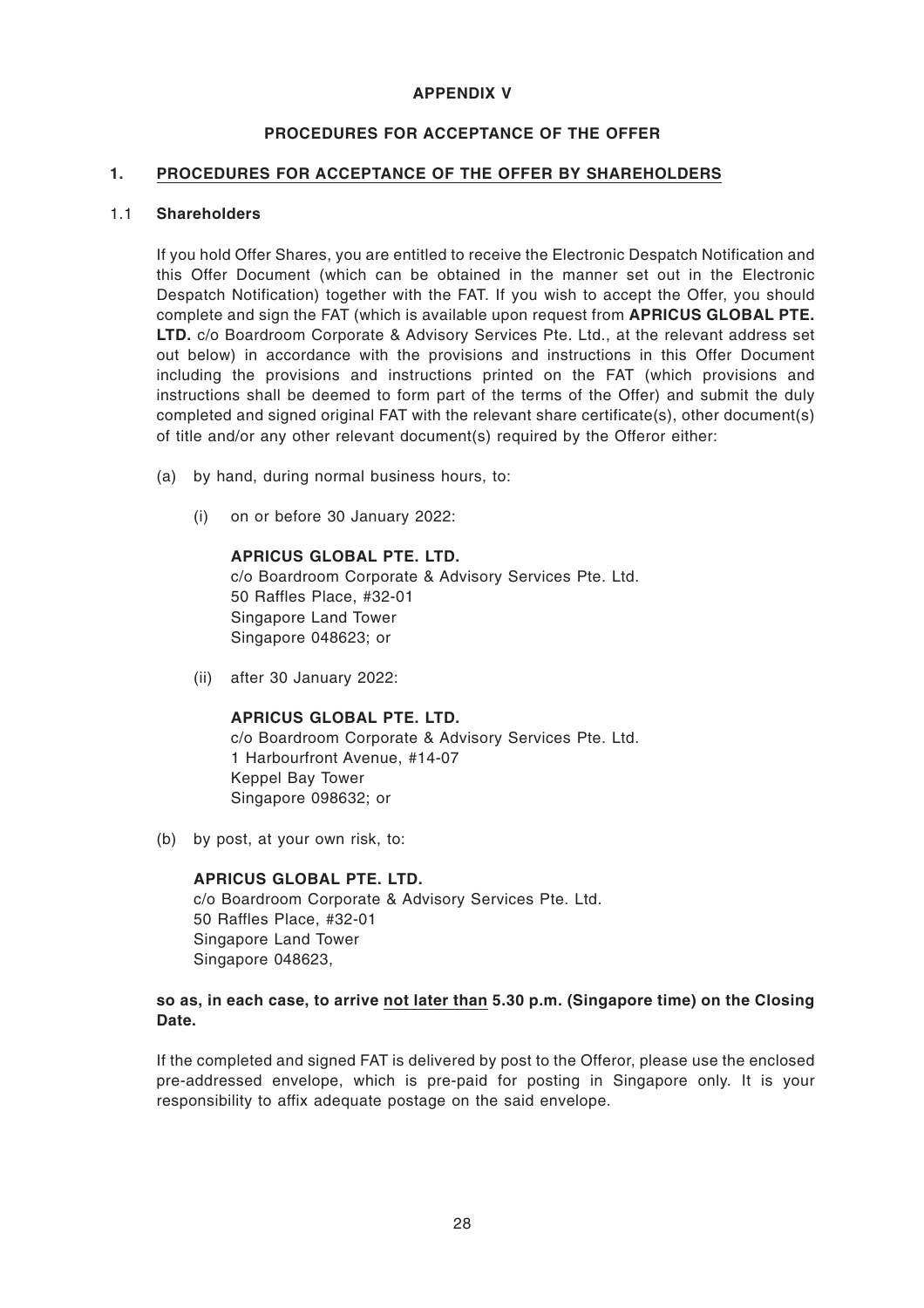#### **APPENDIX V**

#### **PROCEDURES FOR ACCEPTANCE OF THE OFFER**

#### **1. PROCEDURES FOR ACCEPTANCE OF THE OFFER BY SHAREHOLDERS**

#### 1.1 **Shareholders**

If you hold Offer Shares, you are entitled to receive the Electronic Despatch Notification and this Offer Document (which can be obtained in the manner set out in the Electronic Despatch Notification) together with the FAT. If you wish to accept the Offer, you should complete and sign the FAT (which is available upon request from **APRICUS GLOBAL PTE. LTD.** c/o Boardroom Corporate & Advisory Services Pte. Ltd., at the relevant address set out below) in accordance with the provisions and instructions in this Offer Document including the provisions and instructions printed on the FAT (which provisions and instructions shall be deemed to form part of the terms of the Offer) and submit the duly completed and signed original FAT with the relevant share certificate(s), other document(s) of title and/or any other relevant document(s) required by the Offeror either:

- (a) by hand, during normal business hours, to:
	- (i) on or before 30 January 2022:

#### **APRICUS GLOBAL PTE. LTD.**

c/o Boardroom Corporate & Advisory Services Pte. Ltd. 50 Raffles Place, #32-01 Singapore Land Tower Singapore 048623; or

(ii) after 30 January 2022:

#### **APRICUS GLOBAL PTE. LTD.**

c/o Boardroom Corporate & Advisory Services Pte. Ltd. 1 Harbourfront Avenue, #14-07 Keppel Bay Tower Singapore 098632; or

(b) by post, at your own risk, to:

#### **APRICUS GLOBAL PTE. LTD.**

c/o Boardroom Corporate & Advisory Services Pte. Ltd. 50 Raffles Place, #32-01 Singapore Land Tower Singapore 048623,

#### **so as, in each case, to arrive not later than 5.30 p.m. (Singapore time) on the Closing Date.**

If the completed and signed FAT is delivered by post to the Offeror, please use the enclosed pre-addressed envelope, which is pre-paid for posting in Singapore only. It is your responsibility to affix adequate postage on the said envelope.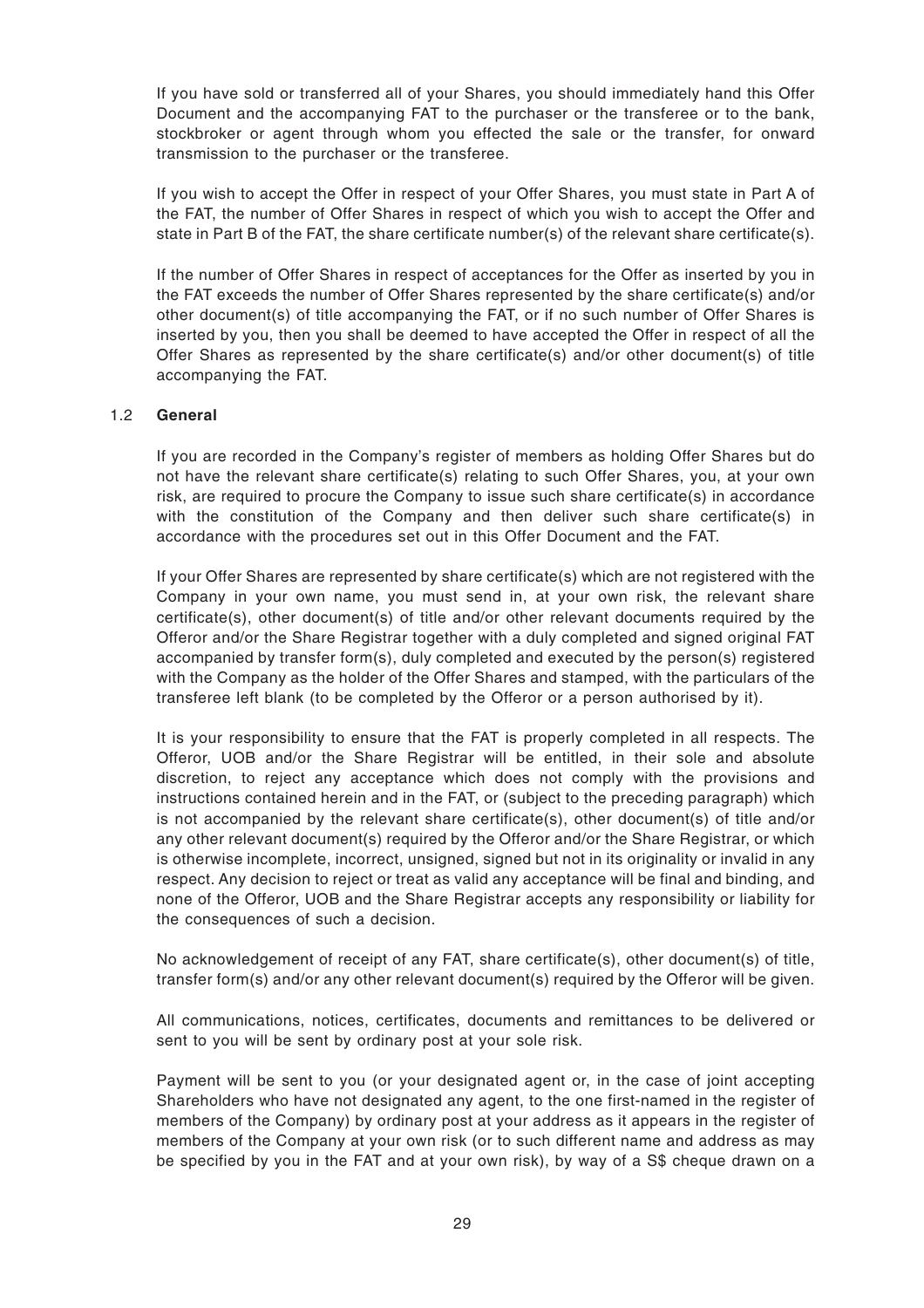If you have sold or transferred all of your Shares, you should immediately hand this Offer Document and the accompanying FAT to the purchaser or the transferee or to the bank, stockbroker or agent through whom you effected the sale or the transfer, for onward transmission to the purchaser or the transferee.

If you wish to accept the Offer in respect of your Offer Shares, you must state in Part A of the FAT, the number of Offer Shares in respect of which you wish to accept the Offer and state in Part B of the FAT, the share certificate number(s) of the relevant share certificate(s).

If the number of Offer Shares in respect of acceptances for the Offer as inserted by you in the FAT exceeds the number of Offer Shares represented by the share certificate(s) and/or other document(s) of title accompanying the FAT, or if no such number of Offer Shares is inserted by you, then you shall be deemed to have accepted the Offer in respect of all the Offer Shares as represented by the share certificate(s) and/or other document(s) of title accompanying the FAT.

#### 1.2 **General**

If you are recorded in the Company's register of members as holding Offer Shares but do not have the relevant share certificate(s) relating to such Offer Shares, you, at your own risk, are required to procure the Company to issue such share certificate(s) in accordance with the constitution of the Company and then deliver such share certificate(s) in accordance with the procedures set out in this Offer Document and the FAT.

If your Offer Shares are represented by share certificate(s) which are not registered with the Company in your own name, you must send in, at your own risk, the relevant share certificate(s), other document(s) of title and/or other relevant documents required by the Offeror and/or the Share Registrar together with a duly completed and signed original FAT accompanied by transfer form(s), duly completed and executed by the person(s) registered with the Company as the holder of the Offer Shares and stamped, with the particulars of the transferee left blank (to be completed by the Offeror or a person authorised by it).

It is your responsibility to ensure that the FAT is properly completed in all respects. The Offeror, UOB and/or the Share Registrar will be entitled, in their sole and absolute discretion, to reject any acceptance which does not comply with the provisions and instructions contained herein and in the FAT, or (subject to the preceding paragraph) which is not accompanied by the relevant share certificate(s), other document(s) of title and/or any other relevant document(s) required by the Offeror and/or the Share Registrar, or which is otherwise incomplete, incorrect, unsigned, signed but not in its originality or invalid in any respect. Any decision to reject or treat as valid any acceptance will be final and binding, and none of the Offeror, UOB and the Share Registrar accepts any responsibility or liability for the consequences of such a decision.

No acknowledgement of receipt of any FAT, share certificate(s), other document(s) of title, transfer form(s) and/or any other relevant document(s) required by the Offeror will be given.

All communications, notices, certificates, documents and remittances to be delivered or sent to you will be sent by ordinary post at your sole risk.

Payment will be sent to you (or your designated agent or, in the case of joint accepting Shareholders who have not designated any agent, to the one first-named in the register of members of the Company) by ordinary post at your address as it appears in the register of members of the Company at your own risk (or to such different name and address as may be specified by you in the FAT and at your own risk), by way of a S\$ cheque drawn on a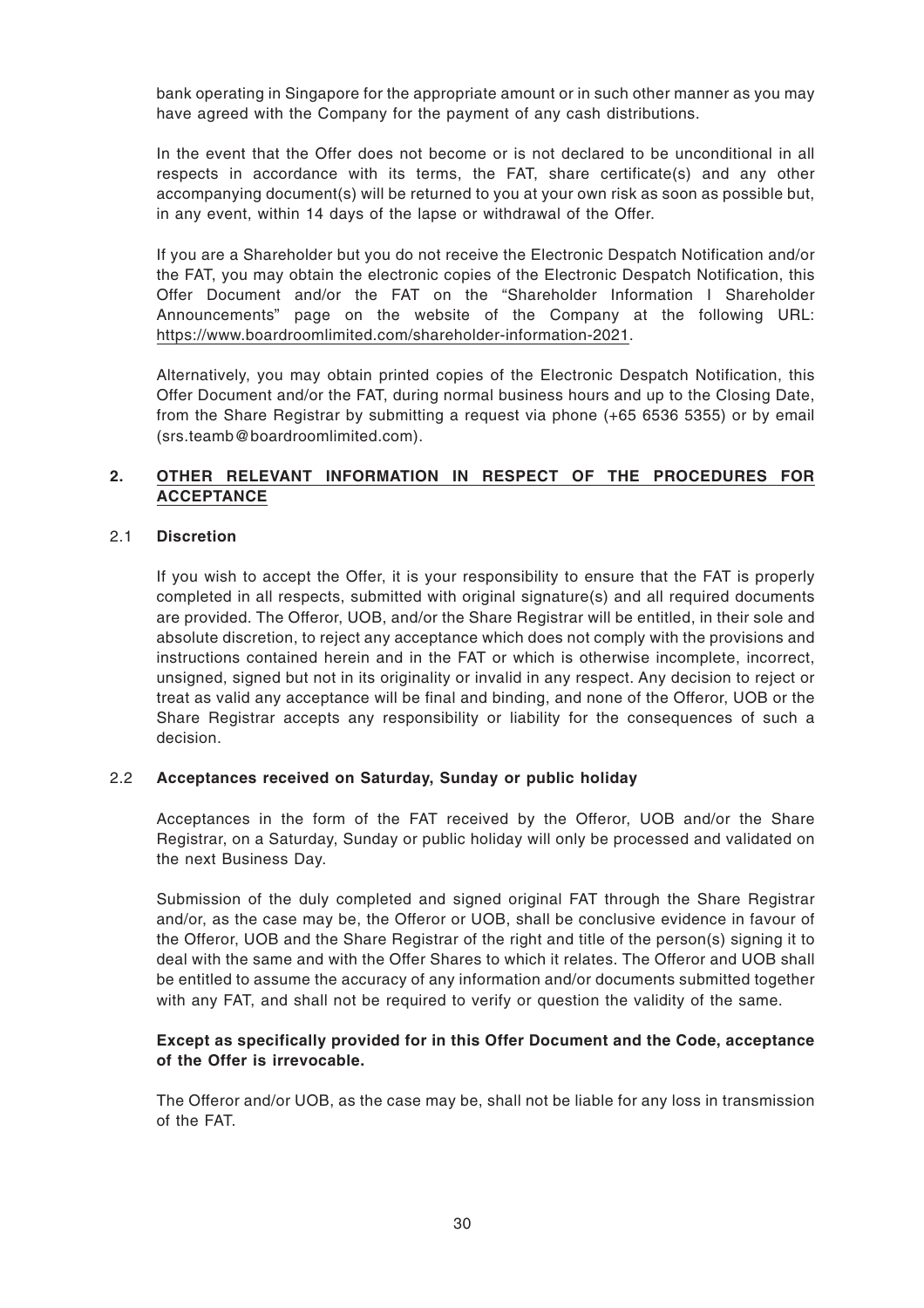bank operating in Singapore for the appropriate amount or in such other manner as you may have agreed with the Company for the payment of any cash distributions.

In the event that the Offer does not become or is not declared to be unconditional in all respects in accordance with its terms, the FAT, share certificate(s) and any other accompanying document(s) will be returned to you at your own risk as soon as possible but, in any event, within 14 days of the lapse or withdrawal of the Offer.

If you are a Shareholder but you do not receive the Electronic Despatch Notification and/or the FAT, you may obtain the electronic copies of the Electronic Despatch Notification, this Offer Document and/or the FAT on the "Shareholder Information I Shareholder Announcements" page on the website of the Company at the following URL: https://www.boardroomlimited.com/shareholder-information-2021.

Alternatively, you may obtain printed copies of the Electronic Despatch Notification, this Offer Document and/or the FAT, during normal business hours and up to the Closing Date, from the Share Registrar by submitting a request via phone (+65 6536 5355) or by email (srs.teamb@boardroomlimited.com).

### **2. OTHER RELEVANT INFORMATION IN RESPECT OF THE PROCEDURES FOR ACCEPTANCE**

#### 2.1 **Discretion**

If you wish to accept the Offer, it is your responsibility to ensure that the FAT is properly completed in all respects, submitted with original signature(s) and all required documents are provided. The Offeror, UOB, and/or the Share Registrar will be entitled, in their sole and absolute discretion, to reject any acceptance which does not comply with the provisions and instructions contained herein and in the FAT or which is otherwise incomplete, incorrect, unsigned, signed but not in its originality or invalid in any respect. Any decision to reject or treat as valid any acceptance will be final and binding, and none of the Offeror, UOB or the Share Registrar accepts any responsibility or liability for the consequences of such a decision.

#### 2.2 **Acceptances received on Saturday, Sunday or public holiday**

Acceptances in the form of the FAT received by the Offeror, UOB and/or the Share Registrar, on a Saturday, Sunday or public holiday will only be processed and validated on the next Business Day.

Submission of the duly completed and signed original FAT through the Share Registrar and/or, as the case may be, the Offeror or UOB, shall be conclusive evidence in favour of the Offeror, UOB and the Share Registrar of the right and title of the person(s) signing it to deal with the same and with the Offer Shares to which it relates. The Offeror and UOB shall be entitled to assume the accuracy of any information and/or documents submitted together with any FAT, and shall not be required to verify or question the validity of the same.

#### **Except as specifically provided for in this Offer Document and the Code, acceptance of the Offer is irrevocable.**

The Offeror and/or UOB, as the case may be, shall not be liable for any loss in transmission of the FAT.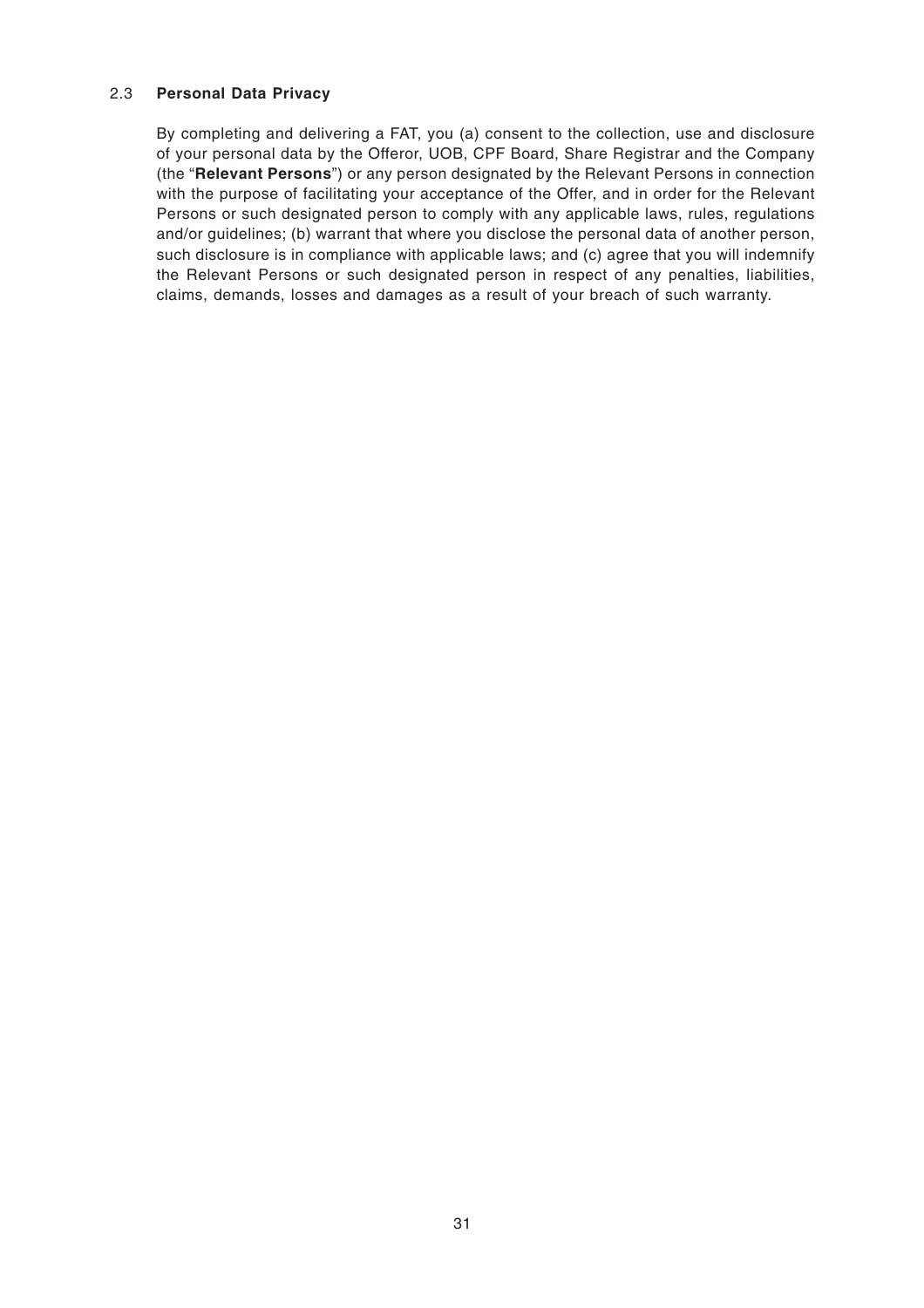#### 2.3 **Personal Data Privacy**

By completing and delivering a FAT, you (a) consent to the collection, use and disclosure of your personal data by the Offeror, UOB, CPF Board, Share Registrar and the Company (the "**Relevant Persons**") or any person designated by the Relevant Persons in connection with the purpose of facilitating your acceptance of the Offer, and in order for the Relevant Persons or such designated person to comply with any applicable laws, rules, regulations and/or guidelines; (b) warrant that where you disclose the personal data of another person, such disclosure is in compliance with applicable laws; and (c) agree that you will indemnify the Relevant Persons or such designated person in respect of any penalties, liabilities, claims, demands, losses and damages as a result of your breach of such warranty.